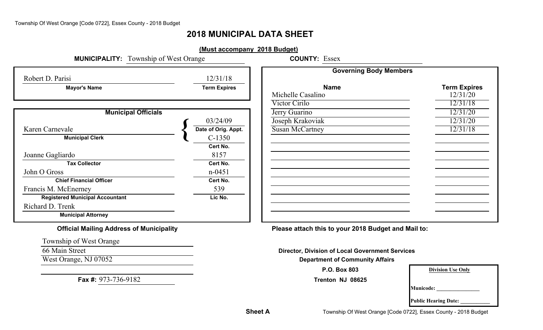# **2018 MUNICIPAL DATA SHEET**

| <b>MUNICIPALITY:</b> Township of West Orange |                     | <b>COUNTY: Essex</b>          |                     |
|----------------------------------------------|---------------------|-------------------------------|---------------------|
| Robert D. Parisi                             | 12/31/18            | <b>Governing Body Members</b> |                     |
| <b>Mayor's Name</b>                          | <b>Term Expires</b> | <b>Name</b>                   | <b>Term Expires</b> |
|                                              |                     | Michelle Casalino             | 12/31/20            |
|                                              |                     | Victor Cirilo                 | 12/31/18            |
| <b>Municipal Officials</b>                   |                     | Jerry Guarino                 | 12/31/20            |
|                                              | 03/24/09            | Joseph Krakoviak              | 12/31/20            |
| Karen Carnevale                              | Date of Orig. Appt. | <b>Susan McCartney</b>        | 12/31/18            |
| <b>Municipal Clerk</b>                       | $C-1350$            |                               |                     |
|                                              | Cert No.            |                               |                     |
| Joanne Gagliardo                             | 8157                |                               |                     |
| <b>Tax Collector</b>                         | Cert No.            |                               |                     |
| John O Gross                                 | $n - 0451$          |                               |                     |
| <b>Chief Financial Officer</b>               | Cert No.            |                               |                     |
| Francis M. McEnerney                         | 539                 |                               |                     |
| <b>Registered Municipal Accountant</b>       | Lic No.             |                               |                     |
| Richard D. Trenk                             |                     |                               |                     |
| <b>Municipal Attorney</b>                    |                     |                               |                     |

Township of West Orange

66 Main Street

**Fax #:** 973-736-9182

**Official Mailing Address of Municipality Please attach this to your 2018 Budget and Mail to:**

**Director, Division of Local Government Services**

**West Orange, NJ 07052 Department of Community Affairs** 

**P.O. Box 803**

**Trenton NJ 08625**

| 3    | <b>Division Use Only</b> |
|------|--------------------------|
| 3625 |                          |

 $\begin{tabular}{|c|c|c|} \hline \quad \quad & \quad \quad & \quad \quad \\ \hline \quad \quad & \quad \quad & \quad \quad \\ \hline \quad \quad & \quad \quad & \quad \quad \\ \hline \quad \quad & \quad \quad & \quad \quad \\ \hline \quad \quad & \quad \quad & \quad \quad \\ \hline \end{tabular}$ 

**Municode: \_\_\_\_\_\_\_\_\_\_\_\_\_\_\_\_**

**Public Hearing Date: \_\_\_\_\_\_\_\_\_\_\_**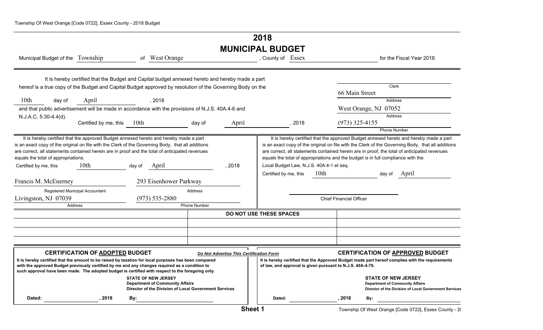# **2018 MUNICIPAL BUDGET**

| Municipal Budget of the Township                                                                                                                                                                                                                                                                                                                                                      |                                                                                                 |        | of West Orange                                                                                                                |                     |                                          | , County of Essex       |       |                                                            |                                |                                                                                            | for the Fiscal Year 2018.                                                                                                                                                                                                                                                                           |
|---------------------------------------------------------------------------------------------------------------------------------------------------------------------------------------------------------------------------------------------------------------------------------------------------------------------------------------------------------------------------------------|-------------------------------------------------------------------------------------------------|--------|-------------------------------------------------------------------------------------------------------------------------------|---------------------|------------------------------------------|-------------------------|-------|------------------------------------------------------------|--------------------------------|--------------------------------------------------------------------------------------------|-----------------------------------------------------------------------------------------------------------------------------------------------------------------------------------------------------------------------------------------------------------------------------------------------------|
|                                                                                                                                                                                                                                                                                                                                                                                       | It is hereby certified that the Budget and Capital budget annexed hereto and hereby made a part |        |                                                                                                                               |                     |                                          |                         |       |                                                            |                                |                                                                                            |                                                                                                                                                                                                                                                                                                     |
|                                                                                                                                                                                                                                                                                                                                                                                       |                                                                                                 |        |                                                                                                                               |                     |                                          |                         |       |                                                            |                                | Clerk                                                                                      |                                                                                                                                                                                                                                                                                                     |
| hereof is a true copy of the Budget and Capital Budget approved by resolution of the Governing Body on the                                                                                                                                                                                                                                                                            |                                                                                                 |        |                                                                                                                               |                     |                                          |                         |       |                                                            | 66 Main Street                 |                                                                                            |                                                                                                                                                                                                                                                                                                     |
| 10 <sub>th</sub><br>day of                                                                                                                                                                                                                                                                                                                                                            | April                                                                                           |        | , 2018                                                                                                                        |                     |                                          |                         |       |                                                            |                                | Address                                                                                    |                                                                                                                                                                                                                                                                                                     |
| and that public advertisement will be made in accordance with the provisions of N.J.S. 40A:4-6 and                                                                                                                                                                                                                                                                                    |                                                                                                 |        |                                                                                                                               |                     |                                          |                         |       |                                                            |                                | West Orange, NJ 07052                                                                      |                                                                                                                                                                                                                                                                                                     |
| N.J.A.C. 5:30-4.4(d).                                                                                                                                                                                                                                                                                                                                                                 |                                                                                                 |        |                                                                                                                               |                     |                                          |                         |       |                                                            |                                | <b>Address</b>                                                                             |                                                                                                                                                                                                                                                                                                     |
|                                                                                                                                                                                                                                                                                                                                                                                       | Certified by me, this 10th                                                                      |        |                                                                                                                               | day of              | April                                    |                         | ,2018 |                                                            | $(973)$ 325-4155               |                                                                                            |                                                                                                                                                                                                                                                                                                     |
|                                                                                                                                                                                                                                                                                                                                                                                       |                                                                                                 |        |                                                                                                                               |                     |                                          |                         |       |                                                            |                                | <b>Phone Number</b>                                                                        |                                                                                                                                                                                                                                                                                                     |
| It is hereby certified that the approved Budget annexed hereto and hereby made a part<br>is an exact copy of the original on file with the Clerk of the Governing Body, that all additions<br>are correct, all statements contained herein are in proof and the total of anticipated revenues<br>equals the total of appropriations.<br>Certified by me, this<br>Francis M. McEnerney | 10 <sub>th</sub>                                                                                | day of | April<br>293 Eisenhower Parkway                                                                                               |                     | , 2018                                   | Certified by me, this   |       | Local Budget Law, N.J.S. 40A:4-1 et seq.<br>10th           |                                | equals the total of appropriations and the budget is in full compliance with the<br>day of | It is hereby certified that the approved Budget annexed hereto and hereby made a part<br>is an exact copy of the original on file with the Clerk of the Governing Body, that all additions<br>are correct, all statements contained herein are in proof, the total of anticipated revenues<br>April |
|                                                                                                                                                                                                                                                                                                                                                                                       | Registered Municipal Accountant                                                                 |        |                                                                                                                               | Address             |                                          |                         |       |                                                            |                                |                                                                                            |                                                                                                                                                                                                                                                                                                     |
| Livingston, NJ 07039                                                                                                                                                                                                                                                                                                                                                                  |                                                                                                 |        | $(973) 535 - 2880$                                                                                                            |                     |                                          |                         |       |                                                            | <b>Chief Financial Officer</b> |                                                                                            |                                                                                                                                                                                                                                                                                                     |
|                                                                                                                                                                                                                                                                                                                                                                                       | Address                                                                                         |        |                                                                                                                               | <b>Phone Number</b> |                                          |                         |       |                                                            |                                |                                                                                            |                                                                                                                                                                                                                                                                                                     |
|                                                                                                                                                                                                                                                                                                                                                                                       |                                                                                                 |        |                                                                                                                               |                     |                                          | DO NOT USE THESE SPACES |       |                                                            |                                |                                                                                            |                                                                                                                                                                                                                                                                                                     |
|                                                                                                                                                                                                                                                                                                                                                                                       |                                                                                                 |        |                                                                                                                               |                     |                                          |                         |       |                                                            |                                |                                                                                            |                                                                                                                                                                                                                                                                                                     |
|                                                                                                                                                                                                                                                                                                                                                                                       |                                                                                                 |        |                                                                                                                               |                     |                                          |                         |       |                                                            |                                |                                                                                            |                                                                                                                                                                                                                                                                                                     |
|                                                                                                                                                                                                                                                                                                                                                                                       |                                                                                                 |        |                                                                                                                               |                     |                                          |                         |       |                                                            |                                |                                                                                            |                                                                                                                                                                                                                                                                                                     |
|                                                                                                                                                                                                                                                                                                                                                                                       |                                                                                                 |        |                                                                                                                               |                     |                                          |                         |       |                                                            |                                |                                                                                            |                                                                                                                                                                                                                                                                                                     |
|                                                                                                                                                                                                                                                                                                                                                                                       | <b>CERTIFICATION OF ADOPTED BUDGET</b>                                                          |        |                                                                                                                               |                     | Do Not Advertise This Certification Form |                         |       |                                                            |                                |                                                                                            | <b>CERTIFICATION OF APPROVED BUDGET</b>                                                                                                                                                                                                                                                             |
| It is hereby certified that the amount to be raised by taxation for local purposes has been compared<br>with the approved Budget previously certified by me and any changes required as a condition to<br>such approval have been made. The adopted budget is certified with respect to the foregoing only.                                                                           |                                                                                                 |        |                                                                                                                               |                     |                                          |                         |       | of law, and approval is given pursuant to N.J.S. 40A:4-79. |                                |                                                                                            | It is hereby certified that the Approved Budget made part hereof complies with the requirements                                                                                                                                                                                                     |
|                                                                                                                                                                                                                                                                                                                                                                                       |                                                                                                 |        | <b>STATE OF NEW JERSEY</b><br><b>Department of Community Affairs</b><br>Director of the Division of Local Government Services |                     |                                          |                         |       |                                                            |                                | <b>STATE OF NEW JERSEY</b><br><b>Department of Community Affairs</b>                       | Director of the Division of Local Government Services                                                                                                                                                                                                                                               |
| Dated:                                                                                                                                                                                                                                                                                                                                                                                | . 2018                                                                                          | By:    |                                                                                                                               |                     |                                          | Dated:                  |       |                                                            | .2018                          | By:                                                                                        |                                                                                                                                                                                                                                                                                                     |
|                                                                                                                                                                                                                                                                                                                                                                                       |                                                                                                 |        |                                                                                                                               |                     |                                          |                         |       |                                                            |                                |                                                                                            |                                                                                                                                                                                                                                                                                                     |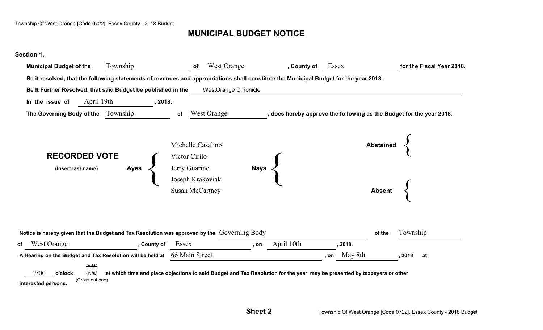# **MUNICIPAL BUDGET NOTICE**

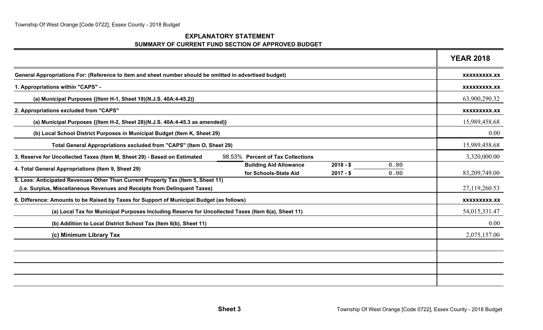#### **EXPLANATORY STATEMENT SUMMARY OF CURRENT FUND SECTION OF APPROVED BUDGET**

|                                                                                                                                                               | <b>YEAR 2018</b>    |
|---------------------------------------------------------------------------------------------------------------------------------------------------------------|---------------------|
| General Appropriations For: (Reference to item and sheet number should be omitted in advertised budget)                                                       | XXXXXXXXX.XX        |
| 1. Appropriations within "CAPS" -                                                                                                                             | <b>XXXXXXXXX.XX</b> |
| (a) Municipal Purposes {(Item H-1, Sheet 19)(N.J.S. 40A:4-45.2)}                                                                                              | 63,900,290.32       |
| 2. Appropriations excluded from "CAPS"                                                                                                                        | <b>XXXXXXXXX.XX</b> |
| (a) Municipal Purposes {(Item H-2, Sheet 28)(N.J.S. 40A:4-45.3 as amended)}                                                                                   | 15,989,458.68       |
| (b) Local School District Purposes in Municipal Budget (Item K, Sheet 29)                                                                                     | 0.00                |
| Total General Appropriations excluded from "CAPS" (Item O, Sheet 29)                                                                                          | 15,989,458.68       |
| 3. Reserve for Uncollected Taxes (Item M, Sheet 29) - Based on Estimated<br>98.53% Percent of Tax Collections                                                 | 3,320,000.00        |
| <b>Building Aid Allowance</b><br>$2018 - $$<br>0.00<br>4. Total General Appropriations (Item 9, Sheet 29)<br>for Schools-State Aid<br>$2017 - $$<br>0.00      | 83,209,749.00       |
| 5. Less: Anticipated Revenues Other Than Current Property Tax (Item 5, Sheet 11)<br>(i.e. Surplus, Miscellaneous Revenues and Receipts from Delinquent Taxes) | 27,119,260.53       |
| 6. Difference: Amounts to be Raised by Taxes for Support of Municipal Budget (as follows)                                                                     | XXXXXXXXX.XX        |
| (a) Local Tax for Municipal Purposes Including Reserve for Uncollected Taxes (Item 6(a), Sheet 11)                                                            | 54,015,331.47       |
| (b) Addition to Local District School Tax (Item 6(b), Sheet 11)                                                                                               | 0.00                |
| (c) Minimum Library Tax                                                                                                                                       | 2,075,157.00        |
|                                                                                                                                                               |                     |
|                                                                                                                                                               |                     |
|                                                                                                                                                               |                     |
|                                                                                                                                                               |                     |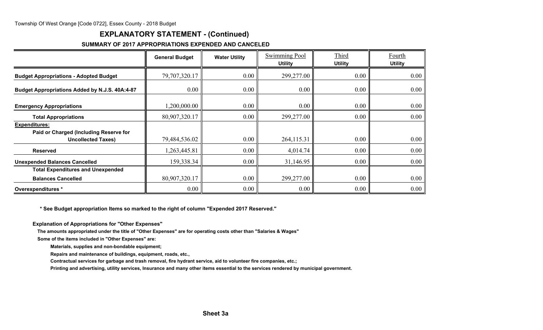## **EXPLANATORY STATEMENT - (Continued)**

#### **SUMMARY OF 2017 APPROPRIATIONS EXPENDED AND CANCELED**

|                                                | <b>General Budget</b> | <b>Water Utility</b> | Swimming Pool | Third<br><b>Utility</b><br><b>Utility</b> |                            |
|------------------------------------------------|-----------------------|----------------------|---------------|-------------------------------------------|----------------------------|
| <b>Budget Appropriations - Adopted Budget</b>  | 79,707,320.17         | 0.00                 | 299,277.00    | 0.00                                      | <b>Utility</b><br>$0.00\,$ |
| Budget Appropriations Added by N.J.S. 40A:4-87 | 0.00                  | 0.00                 | 0.00          | 0.00                                      | 0.00                       |
| <b>Emergency Appropriations</b>                | 1,200,000.00          | 0.00                 | 0.00          | 0.00                                      | 0.00                       |
| <b>Total Appropriations</b>                    | 80,907,320.17         | 0.00                 | 299,277.00    | 0.00                                      | 0.00                       |
| <b>Expenditures:</b>                           |                       |                      |               |                                           |                            |
| Paid or Charged (Including Reserve for         |                       |                      |               |                                           |                            |
| <b>Uncollected Taxes)</b>                      | 79,484,536.02         | 0.00                 | 264,115.31    | 0.00                                      | 0.00                       |
| <b>Reserved</b>                                | 1,263,445.81          | 0.00                 | 4,014.74      | 0.00                                      | 0.00                       |
| <b>Unexpended Balances Cancelled</b>           | 159,338.34            | 0.00                 | 31,146.95     | 0.00                                      | 0.00                       |
| <b>Total Expenditures and Unexpended</b>       |                       |                      |               |                                           |                            |
| <b>Balances Cancelled</b>                      | 80,907,320.17         | 0.00                 | 299,277.00    | 0.00                                      | 0.00                       |
| Overexpenditures *                             | 0.00                  | 0.00                 | 0.00          | 0.00                                      | $0.00\,$                   |

 **\* See Budget appropriation Items so marked to the right of column "Expended 2017 Reserved."**

**Explanation of Appropriations for "Other Expenses"**

**The amounts appropriated under the title of "Other Expenses" are for operating costs other than "Salaries & Wages"**

**Some of the items included in "Other Expenses" are:**

**Materials, supplies and non-bondable equipment;**

**Repairs and maintenance of buildings, equipment, roads, etc.,**

**Contractual services for garbage and trash removal, fire hydrant service, aid to volunteer fire companies, etc.;**

**Printing and advertising, utility services, Insurance and many other items essential to the services rendered by municipal government.**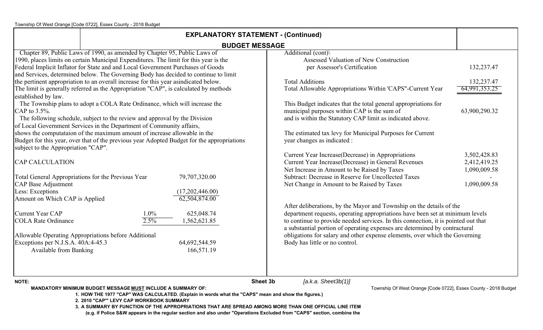| <b>EXPLANATORY STATEMENT - (Continued)</b>                                                                                                 |                                                                                                                                                                                                                                                                                                                                                                                                                                                                                                                                                                                                                                                                                                                                                                                                                                              |                                                                                                                                                                                                                                                                                                                                                                                                                                            |                                                              |  |  |  |
|--------------------------------------------------------------------------------------------------------------------------------------------|----------------------------------------------------------------------------------------------------------------------------------------------------------------------------------------------------------------------------------------------------------------------------------------------------------------------------------------------------------------------------------------------------------------------------------------------------------------------------------------------------------------------------------------------------------------------------------------------------------------------------------------------------------------------------------------------------------------------------------------------------------------------------------------------------------------------------------------------|--------------------------------------------------------------------------------------------------------------------------------------------------------------------------------------------------------------------------------------------------------------------------------------------------------------------------------------------------------------------------------------------------------------------------------------------|--------------------------------------------------------------|--|--|--|
|                                                                                                                                            |                                                                                                                                                                                                                                                                                                                                                                                                                                                                                                                                                                                                                                                                                                                                                                                                                                              | <b>BUDGET MESSAGE</b>                                                                                                                                                                                                                                                                                                                                                                                                                      |                                                              |  |  |  |
| established by law.<br>CAP to 3.5%.                                                                                                        | Chapter 89, Public Laws of 1990, as amended by Chapter 95, Public Laws of<br>1990, places limits on certain Municipal Expenditures. The limit for this year is the<br>Federal Implicit Inflator for State and and Local Government Purchases of Goods<br>and Services, determined below. The Governing Body has decided to continue to limit<br>the pertinent appropriation to an overall increase for this year asindicated below.<br>The limit is generally referred as the Appropriation "CAP", is calculated by methods<br>The Township plans to adopt a COLA Rate Ordinance, which will increase the<br>The following schedule, subject to the review and approval by the Division<br>of Local Government Services in the Department of Community affairs,<br>shows the computataion of the maximum amount of increase allowable in the | Additional $(cont)$<br>Assessed Valuation of New Construction<br>per Assessor's Certification<br><b>Total Additions</b><br>Total Allowable Appropriations Within 'CAPS"-Current Year<br>This Budget indicates that the total general appropriations for<br>municipal purposes within CAP is the sum of<br>and is within the Statutory CAP limit as indicated above.<br>The estimated tax levy for Municipal Purposes for Current           | 132,237.47<br>132,237.47<br>64,991,353.25<br>63,900,290.32   |  |  |  |
| subject to the Appropriation "CAP".<br><b>CAP CALCULATION</b><br>CAP Base Adjustment<br>Less: Exceptions<br>Amount on Which CAP is Applied | Budget for this year, over that of the previous year Adopted Budget for the appropriations<br>79,707,320.00<br>Total General Appropriations for the Previous Year<br>(17,202,446.00)<br>62,504,874.00                                                                                                                                                                                                                                                                                                                                                                                                                                                                                                                                                                                                                                        | year changes as indicated :<br>Current Year Increase(Decrease) in Appropriations<br>Current Year Increase(Decrease) in General Revenues<br>Net Increase in Amount to be Raised by Taxes<br>Subtract: Decrease in Reserve for Uncollected Taxes<br>Net Change in Amount to be Raised by Taxes                                                                                                                                               | 3,502,428.83<br>2,412,419.25<br>1,090,009.58<br>1,090,009.58 |  |  |  |
| Current Year CAP<br><b>COLA Rate Ordinance</b><br>Exceptions per N.J.S.A. 40A:4-45.3<br>Available from Banking                             | $1.0\%$<br>625,048.74<br>2.5%<br>1,562,621.85<br>Allowable Operating Appropriations before Additional<br>64,692,544.59<br>166,571.19                                                                                                                                                                                                                                                                                                                                                                                                                                                                                                                                                                                                                                                                                                         | After deliberations, by the Mayor and Township on the details of the<br>department requests, operating appropriations have been set at minimum levels<br>to continue to provide needed services. In this connection, it is pointed out that<br>a substantial portion of operating expenses are determined by contractural<br>obligations for salary and other expense elements, over which the Governing<br>Body has little or no control. |                                                              |  |  |  |
| <b>NOTE:</b>                                                                                                                               |                                                                                                                                                                                                                                                                                                                                                                                                                                                                                                                                                                                                                                                                                                                                                                                                                                              | <b>Sheet 3b</b><br>[a.k.a. Sheet3b(1)]<br>$T_{\text{cusp}}$ and $T_{\text{cusp}}$ $\sim$ $\sim$ $\sim$ $\sim$ $\sim$ $\sim$ $\sim$                                                                                                                                                                                                                                                                                                         |                                                              |  |  |  |

**MANDATORY MINIMUM BUDGET MESSAGE MUST INCLUDE A SUMMARY OF:**

Township Of West Orange [Code 0722], Essex County - 2018 Budget

**1. HOW THE 1977 "CAP" WAS CALCULATED. (Explain in words what the "CAPS" mean and show the figures.)**

**2. 2010 "CAP'" LEVY CAP WORKBOOK SUMMARY**

**3. A SUMMARY BY FUNCTION OF THE APPROPRIATIONS THAT ARE SPREAD AMONG MORE THAN ONE OFFICIAL LINE ITEM (e.g. if Police S&W appears in the regular section and also under "Operations Excluded from "CAPS" section, combine the**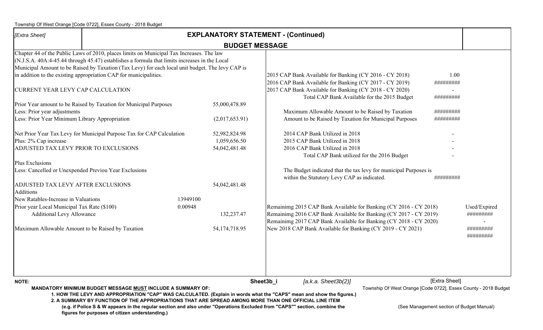| [Extra Sheet]                                                                   | <b>EXPLANATORY STATEMENT - (Continued)</b>                                                                                                                                                                                                                                                                                                                           |          |                                                |           |  |                                                                                                    |                                                                                                                                                                                                                               |                                                                                  |                           |
|---------------------------------------------------------------------------------|----------------------------------------------------------------------------------------------------------------------------------------------------------------------------------------------------------------------------------------------------------------------------------------------------------------------------------------------------------------------|----------|------------------------------------------------|-----------|--|----------------------------------------------------------------------------------------------------|-------------------------------------------------------------------------------------------------------------------------------------------------------------------------------------------------------------------------------|----------------------------------------------------------------------------------|---------------------------|
|                                                                                 |                                                                                                                                                                                                                                                                                                                                                                      |          | <b>BUDGET MESSAGE</b>                          |           |  |                                                                                                    |                                                                                                                                                                                                                               |                                                                                  |                           |
| CURRENT YEAR LEVY CAP CALCULATION                                               | Chapter 44 of the Public Laws of 2010, places limits on Municipal Tax Increases. The law<br>$(N.J.S.A. 40A:4-45.44$ through 45.47) establishes a formula that limits increases in the Local<br>Municipal Amount to be Raised by Taxation (Tax Levy) for each local unit budget. The levy CAP is<br>in addition to the existing appropriation CAP for municipalities. |          |                                                |           |  |                                                                                                    | 2015 CAP Bank Available for Banking (CY 2016 - CY 2018)<br>2016 CAP Bank Available for Banking (CY 2017 - CY 2019)<br>2017 CAP Bank Available for Banking (CY 2018 - CY 2020)<br>Total CAP Bank Available for the 2015 Budget | 1.00<br>#########<br>#########                                                   |                           |
|                                                                                 | Prior Year amount to be Raised by Taxation for Municipal Purposes                                                                                                                                                                                                                                                                                                    |          | 55,000,478.89                                  |           |  |                                                                                                    |                                                                                                                                                                                                                               |                                                                                  |                           |
| Less: Prior year adjustments<br>Less: Prior Year Minimum Library Appropriation  |                                                                                                                                                                                                                                                                                                                                                                      |          | (2,017,653.91)                                 |           |  |                                                                                                    | Maximum Allowable Amount to be Raised by Taxation<br>Amount to be Raised by Taxation for Municipal Purposes                                                                                                                   | #########<br>#########                                                           |                           |
| Plus: 2% Cap increase<br>ADJUSTED TAX LEVY PRIOR TO EXCLUSIONS                  | Net Prior Year Tax Levy for Municipal Purpose Tax for CAP Calculation                                                                                                                                                                                                                                                                                                |          | 52,982,824.98<br>1,059,656.50<br>54,042,481.48 |           |  | 2014 CAP Bank Utilized in 2018<br>2015 CAP Bank Utilized in 2018<br>2016 CAP Bank Utilized in 2018 | Total CAP Bank utilized for the 2016 Budget                                                                                                                                                                                   |                                                                                  |                           |
| Plus Exclusions<br>Less: Cancelled or Unexpended Previou Year Exclusions        |                                                                                                                                                                                                                                                                                                                                                                      |          |                                                |           |  | within the Statutory Levy CAP as indicated.                                                        | The Budget indicated that the tax levy for municipal Purposes is                                                                                                                                                              | #########                                                                        |                           |
| ADJUSTED TAX LEVY AFTER EXCLUSIONS<br><b>Additions</b>                          |                                                                                                                                                                                                                                                                                                                                                                      |          | 54,042,481.48                                  |           |  |                                                                                                    |                                                                                                                                                                                                                               |                                                                                  |                           |
| New Ratables-Increase in Valuations                                             |                                                                                                                                                                                                                                                                                                                                                                      | 13949100 |                                                |           |  |                                                                                                    |                                                                                                                                                                                                                               |                                                                                  |                           |
| Prior year Local Municipal Tax Rate (\$100)<br><b>Additional Levy Allowance</b> |                                                                                                                                                                                                                                                                                                                                                                      | 0.00948  | 132,237.47                                     |           |  |                                                                                                    | Remainimg 2015 CAP Bank Available for Banking (CY 2016 - CY 2018)<br>Remainimg 2016 CAP Bank Available for Banking (CY 2017 - CY 2019)<br>Remainimg 2017 CAP Bank Available for Banking (CY 2018 - CY 2020)                   |                                                                                  | Used/Expired<br>######### |
| Maximum Allowable Amount to be Raised by Taxation                               |                                                                                                                                                                                                                                                                                                                                                                      |          | 54,174,718.95                                  |           |  |                                                                                                    | New 2018 CAP Bank Available for Banking (CY 2019 - CY 2021)                                                                                                                                                                   |                                                                                  | #########<br>#########    |
|                                                                                 |                                                                                                                                                                                                                                                                                                                                                                      |          |                                                |           |  |                                                                                                    |                                                                                                                                                                                                                               |                                                                                  |                           |
| <b>NOTE:</b>                                                                    | <b>MANDATORY MINIMUM BUDGET MESSAGE MUST INCLUDE A SUMMARY OF:</b><br>1. HOW THE LEVY AND APPROPRIATION "CAP" WAS CALCULATED. (Explain in words what the "CAPS" mean and show the figures.)                                                                                                                                                                          |          |                                                | Sheet3b_i |  | [a.k.a. Sheet3b(2)]                                                                                |                                                                                                                                                                                                                               | [Extra Sheet]<br>Township Of West Orange [Code 0722], Essex County - 2018 Budget |                           |
|                                                                                 | 2. A SUMMARY BY FUNCTION OF THE APPROPRIATIONS THAT ARE SPREAD AMONG MORE THAN ONE OFFICIAL LINE ITEM<br>(e.g. if Police S & W appears in the regular section and also under "Operations Excluded from "CAPS"" section, combine the<br>figures for purposes of citizen understanding.)                                                                               |          |                                                |           |  |                                                                                                    |                                                                                                                                                                                                                               | (See Management section of Budget Manual)                                        |                           |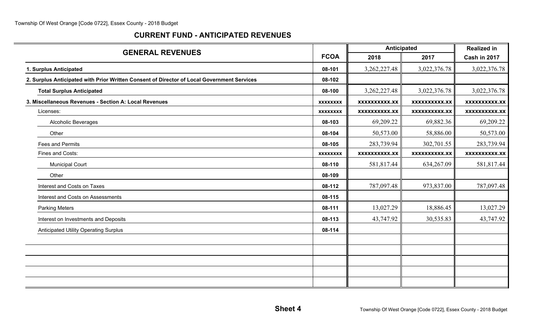## **CURRENT FUND - ANTICIPATED REVENUES**

|                                                                                            |                 | Anticipated          |                      | <b>Realized in</b>   |
|--------------------------------------------------------------------------------------------|-----------------|----------------------|----------------------|----------------------|
| <b>GENERAL REVENUES</b>                                                                    | <b>FCOA</b>     | 2018                 | 2017                 | Cash in 2017         |
| 1. Surplus Anticipated                                                                     | 08-101          | 3, 262, 227. 48      | 3,022,376.78         | 3,022,376.78         |
| 2. Surplus Anticipated with Prior Written Consent of Director of Local Government Services | 08-102          |                      |                      |                      |
| <b>Total Surplus Anticipated</b>                                                           | 08-100          | 3,262,227.48         | 3,022,376.78         | 3,022,376.78         |
| 3. Miscellaneous Revenues - Section A: Local Revenues                                      | <b>XXXXXXXX</b> | <b>XXXXXXXXXX.XX</b> | <b>XXXXXXXXXX.XX</b> | <b>XXXXXXXXXX.XX</b> |
| Licenses:                                                                                  | <b>XXXXXXXX</b> | <b>XXXXXXXXXX.XX</b> | <b>XXXXXXXXX.XX</b>  | <b>XXXXXXXXX.XX</b>  |
| Alcoholic Beverages                                                                        | 08-103          | 69,209.22            | 69,882.36            | 69,209.22            |
| Other                                                                                      | 08-104          | 50,573.00            | 58,886.00            | 50,573.00            |
| Fees and Permits                                                                           | 08-105          | 283,739.94           | 302,701.55           | 283,739.94           |
| Fines and Costs:                                                                           | <b>XXXXXXXX</b> | <b>XXXXXXXXXX.XX</b> | XXXXXXXXXX.XX        | <b>XXXXXXXXXX.XX</b> |
| <b>Municipal Court</b>                                                                     | 08-110          | 581,817.44           | 634,267.09           | 581,817.44           |
| Other                                                                                      | 08-109          |                      |                      |                      |
| Interest and Costs on Taxes                                                                | 08-112          | 787,097.48           | 973,837.00           | 787,097.48           |
| Interest and Costs on Assessments                                                          | 08-115          |                      |                      |                      |
| <b>Parking Meters</b>                                                                      | 08-111          | 13,027.29            | 18,886.45            | 13,027.29            |
| Interest on Investments and Deposits                                                       | 08-113          | 43,747.92            | 30,535.83            | 43,747.92            |
| <b>Anticipated Utility Operating Surplus</b>                                               | 08-114          |                      |                      |                      |
|                                                                                            |                 |                      |                      |                      |
|                                                                                            |                 |                      |                      |                      |
|                                                                                            |                 |                      |                      |                      |
|                                                                                            |                 |                      |                      |                      |
|                                                                                            |                 |                      |                      |                      |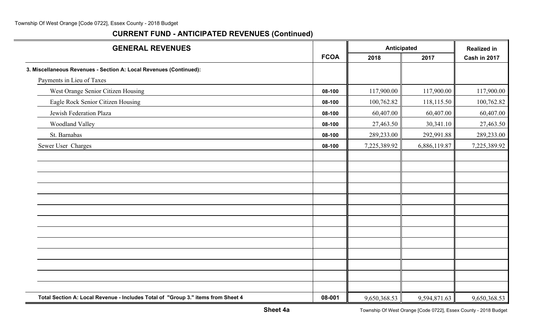| <b>GENERAL REVENUES</b>                                                          |             |              | Anticipated  |              |
|----------------------------------------------------------------------------------|-------------|--------------|--------------|--------------|
|                                                                                  | <b>FCOA</b> | 2018         | 2017         | Cash in 2017 |
| 3. Miscellaneous Revenues - Section A: Local Revenues (Continued):               |             |              |              |              |
| Payments in Lieu of Taxes                                                        |             |              |              |              |
| West Orange Senior Citizen Housing                                               | 08-100      | 117,900.00   | 117,900.00   | 117,900.00   |
| Eagle Rock Senior Citizen Housing                                                | 08-100      | 100,762.82   | 118,115.50   | 100,762.82   |
| Jewish Federation Plaza                                                          | 08-100      | 60,407.00    | 60,407.00    | 60,407.00    |
| Woodland Valley                                                                  | 08-100      | 27,463.50    | 30,341.10    | 27,463.50    |
| St. Barnabas                                                                     | 08-100      | 289,233.00   | 292,991.88   | 289,233.00   |
| Sewer User Charges                                                               | 08-100      | 7,225,389.92 | 6,886,119.87 | 7,225,389.92 |
|                                                                                  |             |              |              |              |
|                                                                                  |             |              |              |              |
|                                                                                  |             |              |              |              |
|                                                                                  |             |              |              |              |
|                                                                                  |             |              |              |              |
|                                                                                  |             |              |              |              |
|                                                                                  |             |              |              |              |
|                                                                                  |             |              |              |              |
|                                                                                  |             |              |              |              |
|                                                                                  |             |              |              |              |
|                                                                                  |             |              |              |              |
|                                                                                  |             |              |              |              |
|                                                                                  |             |              |              |              |
| Total Section A: Local Revenue - Includes Total of "Group 3." items from Sheet 4 | 08-001      | 9,650,368.53 | 9,594,871.63 | 9,650,368.53 |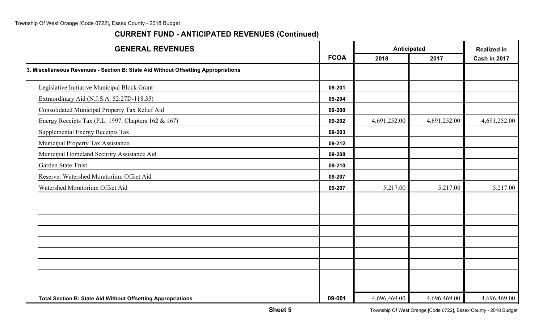| <b>GENERAL REVENUES</b>                                                            |             | Anticipated  |              | <b>Realized in</b> |
|------------------------------------------------------------------------------------|-------------|--------------|--------------|--------------------|
|                                                                                    | <b>FCOA</b> | 2018         | 2017         | Cash in 2017       |
| 3. Miscellaneous Revenues - Section B: State Aid Without Offsetting Appropriations |             |              |              |                    |
| Legislative Initiative Municipal Block Grant                                       | 09-201      |              |              |                    |
| Extraordinary Aid (N.J.S.A. 52:27D-118.35)                                         | 09-204      |              |              |                    |
| Consolidated Municipal Property Tax Relief Aid                                     | 09-200      |              |              |                    |
| Energy Receipts Tax (P.L. 1997, Chapters 162 & 167)                                | 09-202      | 4,691,252.00 | 4,691,252.00 | 4,691,252.00       |
| Supplemental Energy Receipts Tax                                                   | 09-203      |              |              |                    |
| Municipal Property Tax Assistance                                                  | 09-212      |              |              |                    |
| Municipal Homeland Security Assistance Aid                                         | 09-208      |              |              |                    |
| Garden State Trust                                                                 | 09-210      |              |              |                    |
| Reserve: Watershed Moratorium Offset Aid                                           | 09-207      |              |              |                    |
| Watershed Moratorium Offset Aid                                                    | 09-207      | 5,217.00     | 5,217.00     | 5,217.00           |
|                                                                                    |             |              |              |                    |
|                                                                                    |             |              |              |                    |
|                                                                                    |             |              |              |                    |
|                                                                                    |             |              |              |                    |
|                                                                                    |             |              |              |                    |
|                                                                                    |             |              |              |                    |
| <b>Total Section B: State Aid Without Offsetting Appropriations</b>                | 09-001      | 4,696,469.00 | 4,696,469.00 | 4,696,469.00       |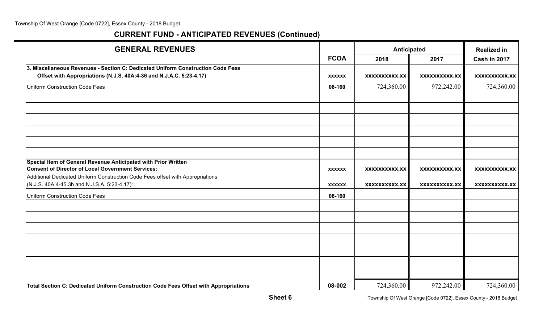| <b>GENERAL REVENUES</b>                                                                                                        |               | Anticipated          | <b>Realized in</b>   |                      |
|--------------------------------------------------------------------------------------------------------------------------------|---------------|----------------------|----------------------|----------------------|
|                                                                                                                                | <b>FCOA</b>   | 2018                 | 2017                 | Cash in 2017         |
| 3. Miscellaneous Revenues - Section C: Dedicated Uniform Construction Code Fees                                                |               |                      |                      |                      |
| Offset with Appropriations (N.J.S. 40A:4-36 and N.J.A.C. 5:23-4.17)                                                            | <b>XXXXXX</b> | <b>XXXXXXXXXX.XX</b> | <b>XXXXXXXXXX.XX</b> | <b>XXXXXXXXXX.XX</b> |
| <b>Uniform Construction Code Fees</b>                                                                                          | 08-160        | 724,360.00           | 972,242.00           | 724,360.00           |
|                                                                                                                                |               |                      |                      |                      |
|                                                                                                                                |               |                      |                      |                      |
|                                                                                                                                |               |                      |                      |                      |
|                                                                                                                                |               |                      |                      |                      |
|                                                                                                                                |               |                      |                      |                      |
|                                                                                                                                |               |                      |                      |                      |
| Special Item of General Revenue Anticipated with Prior Written                                                                 |               |                      |                      |                      |
| <b>Consent of Director of Local Government Services:</b>                                                                       | <b>XXXXXX</b> | <b>XXXXXXXXXX.XX</b> | <b>XXXXXXXXXX.XX</b> | <b>XXXXXXXXXX.XX</b> |
| Additional Dedicated Uniform Construction Code Fees offset with Appropriations<br>(N.J.S. 40A:4-45.3h and N.J.S.A. 5:23-4.17): | <b>XXXXXX</b> | <b>XXXXXXXXXX.XX</b> | XXXXXXXXXX.XX        | XXXXXXXXX.XX         |
| <b>Uniform Construction Code Fees</b>                                                                                          | 08-160        |                      |                      |                      |
|                                                                                                                                |               |                      |                      |                      |
|                                                                                                                                |               |                      |                      |                      |
|                                                                                                                                |               |                      |                      |                      |
|                                                                                                                                |               |                      |                      |                      |
|                                                                                                                                |               |                      |                      |                      |
|                                                                                                                                |               |                      |                      |                      |
|                                                                                                                                |               |                      |                      |                      |
| Total Section C: Dedicated Uniform Construction Code Fees Offset with Appropriations                                           | 08-002        | 724,360.00           | 972,242.00           | 724,360.00           |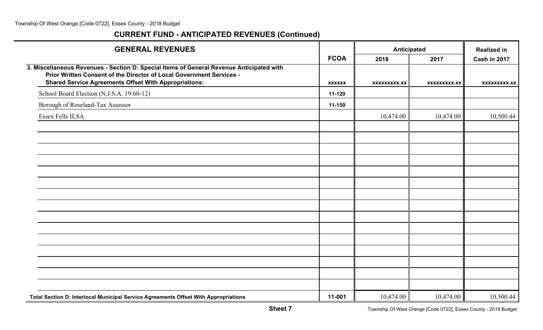| <b>GENERAL REVENUES</b>                                                                                                                                                                                                          |               |              | Anticipated  |                     |
|----------------------------------------------------------------------------------------------------------------------------------------------------------------------------------------------------------------------------------|---------------|--------------|--------------|---------------------|
|                                                                                                                                                                                                                                  | <b>FCOA</b>   | 2018         | 2017         | Cash in 2017        |
| 3. Miscellaneous Revenues - Section D: Special Items of General Revenue Anticipated with<br>Prior Written Consent of the Director of Local Government Services -<br><b>Shared Service Agreements Offset With Appropriations:</b> | <b>XXXXXX</b> | XXXXXXXXX.XX | XXXXXXXXX.XX | <b>XXXXXXXXX.XX</b> |
| School Board Election (N.J.S.A. 19:60-12)                                                                                                                                                                                        | 11-120        |              |              |                     |
| Borough of Roseland-Tax Assessor                                                                                                                                                                                                 | 11-150        |              |              |                     |
| Essex Fells ILSA                                                                                                                                                                                                                 |               | 10,474.00    | 10,474.00    | 10,500.44           |
|                                                                                                                                                                                                                                  |               |              |              |                     |
|                                                                                                                                                                                                                                  |               |              |              |                     |
|                                                                                                                                                                                                                                  |               |              |              |                     |
|                                                                                                                                                                                                                                  |               |              |              |                     |
|                                                                                                                                                                                                                                  |               |              |              |                     |
|                                                                                                                                                                                                                                  |               |              |              |                     |
|                                                                                                                                                                                                                                  |               |              |              |                     |
|                                                                                                                                                                                                                                  |               |              |              |                     |
|                                                                                                                                                                                                                                  |               |              |              |                     |
|                                                                                                                                                                                                                                  |               |              |              |                     |
|                                                                                                                                                                                                                                  |               |              |              |                     |
|                                                                                                                                                                                                                                  |               |              |              |                     |
|                                                                                                                                                                                                                                  |               |              |              |                     |
|                                                                                                                                                                                                                                  |               |              |              |                     |
|                                                                                                                                                                                                                                  |               |              |              |                     |
| Total Section D: Interlocal Municipal Service Agreements Offset With Appropriations                                                                                                                                              | 11-001        | 10,474.00    | 10,474.00    | 10,500.44           |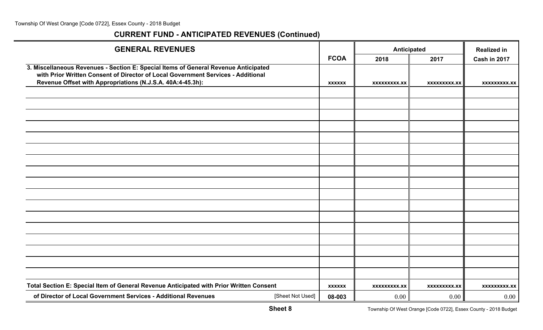| <b>GENERAL REVENUES</b>                                                                                                                                                                                                               |               |                     | Anticipated         | <b>Realized in</b> |
|---------------------------------------------------------------------------------------------------------------------------------------------------------------------------------------------------------------------------------------|---------------|---------------------|---------------------|--------------------|
|                                                                                                                                                                                                                                       | <b>FCOA</b>   | 2018                | 2017                | Cash in 2017       |
| 3. Miscellaneous Revenues - Section E: Special Items of General Revenue Anticipated<br>with Prior Written Consent of Director of Local Government Services - Additional<br>Revenue Offset with Appropriations (N.J.S.A. 40A:4-45.3h): | <b>XXXXXX</b> | XXXXXXXXX.XX        | <b>XXXXXXXXX.XX</b> | XXXXXXXXX.XX       |
|                                                                                                                                                                                                                                       |               |                     |                     |                    |
|                                                                                                                                                                                                                                       |               |                     |                     |                    |
|                                                                                                                                                                                                                                       |               |                     |                     |                    |
|                                                                                                                                                                                                                                       |               |                     |                     |                    |
|                                                                                                                                                                                                                                       |               |                     |                     |                    |
|                                                                                                                                                                                                                                       |               |                     |                     |                    |
|                                                                                                                                                                                                                                       |               |                     |                     |                    |
|                                                                                                                                                                                                                                       |               |                     |                     |                    |
|                                                                                                                                                                                                                                       |               |                     |                     |                    |
|                                                                                                                                                                                                                                       |               |                     |                     |                    |
|                                                                                                                                                                                                                                       |               |                     |                     |                    |
|                                                                                                                                                                                                                                       |               |                     |                     |                    |
|                                                                                                                                                                                                                                       |               |                     |                     |                    |
|                                                                                                                                                                                                                                       |               |                     |                     |                    |
|                                                                                                                                                                                                                                       |               |                     |                     |                    |
|                                                                                                                                                                                                                                       |               |                     |                     |                    |
|                                                                                                                                                                                                                                       |               |                     |                     |                    |
| Total Section E: Special Item of General Revenue Anticipated with Prior Written Consent                                                                                                                                               | <b>XXXXXX</b> | <b>XXXXXXXXX.XX</b> | <b>XXXXXXXXX.XX</b> | xxxxxxxxx.xx       |
| of Director of Local Government Services - Additional Revenues<br>[Sheet Not Used]                                                                                                                                                    | 08-003        | 0.00                | 0.00                | $0.00\,$           |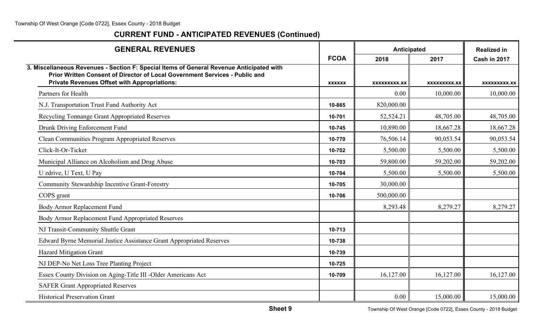| <b>GENERAL REVENUES</b>                                                                                                                                                                                                        |               | Anticipated  |              | <b>Realized in</b>  |
|--------------------------------------------------------------------------------------------------------------------------------------------------------------------------------------------------------------------------------|---------------|--------------|--------------|---------------------|
|                                                                                                                                                                                                                                | <b>FCOA</b>   | 2018         | 2017         | Cash in 2017        |
| 3. Miscellaneous Revenues - Section F: Special Items of General Revenue Anticipated with<br>Prior Written Consent of Director of Local Government Services - Public and<br><b>Private Revenues Offset with Appropriations:</b> | <b>XXXXXX</b> | XXXXXXXXX.XX | XXXXXXXXX.XX | <b>XXXXXXXXX.XX</b> |
| Partners for Health                                                                                                                                                                                                            |               | 0.00         | 10,000.00    | 10,000.00           |
| N.J. Transportation Trust Fund Authority Act                                                                                                                                                                                   | 10-865        | 820,000.00   |              |                     |
| Recycling Tonnange Grant Appropriated Reserves                                                                                                                                                                                 | 10-701        | 52,524.21    | 48,705.00    | 48,705.00           |
| Drunk Driving Enforcement Fund                                                                                                                                                                                                 | 10-745        | 10,890.00    | 18,667.28    | 18,667.28           |
| <b>Clean Communities Program Appropriated Reserves</b>                                                                                                                                                                         | 10-770        | 76,506.14    | 90,053.54    | 90,053.54           |
| Click-It-Or-Ticket                                                                                                                                                                                                             | 10-702        | 5,500.00     | 5,500.00     | 5,500.00            |
| Municipal Alliance on Alcoholism and Drug Abuse                                                                                                                                                                                | 10-703        | 59,800.00    | 59,202.00    | 59,202.00           |
| U zdrive, U Text, U Pay                                                                                                                                                                                                        | 10-704        | 5,500.00     | 5,500.00     | 5,500.00            |
| Community Stewardship Incentive Grant-Forestry                                                                                                                                                                                 | 10-705        | 30,000.00    |              |                     |
| COPS grant                                                                                                                                                                                                                     | 10-706        | 500,000.00   |              |                     |
| Body Armor Replacement Fund                                                                                                                                                                                                    |               | 8,293.48     | 8,279.27     | 8,279.27            |
| Body Armor Replacement Fund Appropriated Reserves                                                                                                                                                                              |               |              |              |                     |
| NJ Transit-Community Shuttle Grant                                                                                                                                                                                             | 10-713        |              |              |                     |
| Edward Byrne Memorial Justice Assistance Grant Appropriated Reserves                                                                                                                                                           | 10-738        |              |              |                     |
| Hazard Mitigation Grant                                                                                                                                                                                                        | 10-739        |              |              |                     |
| NJ DEP-No Net Loss Tree Planting Project                                                                                                                                                                                       | 10-725        |              |              |                     |
| Essex County Division on Aging-Title III -Older Americans Act                                                                                                                                                                  | 10-709        | 16,127.00    | 16,127.00    | 16,127.00           |
| <b>SAFER Grant Appropriated Reserves</b>                                                                                                                                                                                       |               |              |              |                     |
| <b>Historical Preservation Grant</b>                                                                                                                                                                                           |               | 0.00         | 15,000.00    | 15,000.00           |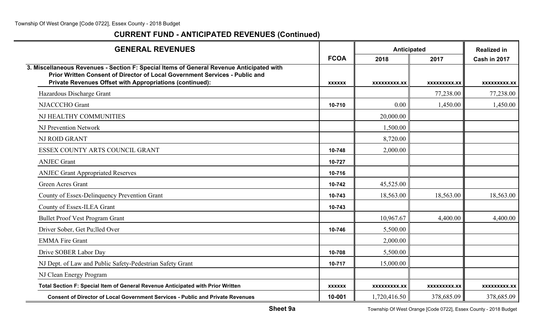| <b>GENERAL REVENUES</b>                                                                                                                                                                                                             |               | Anticipated         |              | <b>Realized in</b>  |
|-------------------------------------------------------------------------------------------------------------------------------------------------------------------------------------------------------------------------------------|---------------|---------------------|--------------|---------------------|
|                                                                                                                                                                                                                                     | <b>FCOA</b>   | 2018                | 2017         | Cash in 2017        |
| 3. Miscellaneous Revenues - Section F: Special Items of General Revenue Anticipated with<br>Prior Written Consent of Director of Local Government Services - Public and<br>Private Revenues Offset with Appropriations (continued): | <b>XXXXXX</b> | XXXXXXXXX.XX        | XXXXXXXXX.XX | XXXXXXXXX.XX        |
| Hazardous Discharge Grant                                                                                                                                                                                                           |               |                     | 77,238.00    | 77,238.00           |
| NJACCCHO Grant                                                                                                                                                                                                                      | 10-710        | 0.00                | 1,450.00     | 1,450.00            |
| NJ HEALTHY COMMUNITIES                                                                                                                                                                                                              |               | 20,000.00           |              |                     |
| <b>NJ Prevention Network</b>                                                                                                                                                                                                        |               | 1,500.00            |              |                     |
| <b>NJ ROID GRANT</b>                                                                                                                                                                                                                |               | 8,720.00            |              |                     |
| ESSEX COUNTY ARTS COUNCIL GRANT                                                                                                                                                                                                     | 10-748        | 2,000.00            |              |                     |
| <b>ANJEC Grant</b>                                                                                                                                                                                                                  | 10-727        |                     |              |                     |
| <b>ANJEC Grant Appropriated Reserves</b>                                                                                                                                                                                            | 10-716        |                     |              |                     |
| <b>Green Acres Grant</b>                                                                                                                                                                                                            | 10-742        | 45,525.00           |              |                     |
| County of Essex-Delinquency Prevention Grant                                                                                                                                                                                        | 10-743        | 18,563.00           | 18,563.00    | 18,563.00           |
| County of Essex-ILEA Grant                                                                                                                                                                                                          | 10-743        |                     |              |                     |
| <b>Bullet Proof Vest Program Grant</b>                                                                                                                                                                                              |               | 10,967.67           | 4,400.00     | 4,400.00            |
| Driver Sober, Get Pu; lled Over                                                                                                                                                                                                     | 10-746        | 5,500.00            |              |                     |
| <b>EMMA Fire Grant</b>                                                                                                                                                                                                              |               | 2,000.00            |              |                     |
| Drive SOBER Labor Day                                                                                                                                                                                                               | 10-708        | 5,500.00            |              |                     |
| NJ Dept. of Law and Public Safety-Pedestrian Safety Grant                                                                                                                                                                           | 10-717        | 15,000.00           |              |                     |
| NJ Clean Energy Program                                                                                                                                                                                                             |               |                     |              |                     |
| Total Section F: Special Item of General Revenue Anticipated with Prior Written                                                                                                                                                     | <b>XXXXXX</b> | <b>XXXXXXXXX.XX</b> | XXXXXXXXX.XX | <b>XXXXXXXXX.XX</b> |
| <b>Consent of Director of Local Government Services - Public and Private Revenues</b>                                                                                                                                               | 10-001        | 1,720,416.50        | 378,685.09   | 378,685.09          |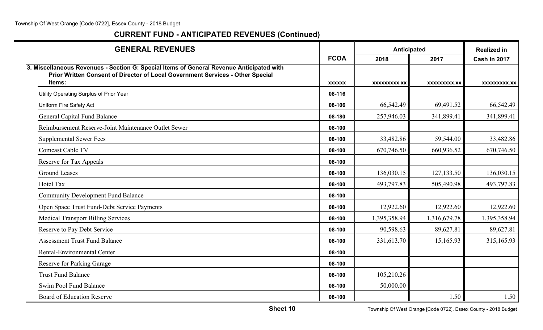| <b>GENERAL REVENUES</b>                                                                                                                                                              |               | Anticipated  |              | <b>Realized in</b> |
|--------------------------------------------------------------------------------------------------------------------------------------------------------------------------------------|---------------|--------------|--------------|--------------------|
|                                                                                                                                                                                      | <b>FCOA</b>   | 2018         | 2017         | Cash in 2017       |
| 3. Miscellaneous Revenues - Section G: Special Items of General Revenue Anticipated with<br>Prior Written Consent of Director of Local Government Services - Other Special<br>Items: | <b>XXXXXX</b> | XXXXXXXXX.XX | XXXXXXXXX.XX | XXXXXXXXX.XX       |
| Utility Operating Surplus of Prior Year                                                                                                                                              | 08-116        |              |              |                    |
| Uniform Fire Safety Act                                                                                                                                                              | 08-106        | 66,542.49    | 69,491.52    | 66,542.49          |
| General Capital Fund Balance                                                                                                                                                         | 08-180        | 257,946.03   | 341,899.41   | 341,899.41         |
| Reimbursement Reserve-Joint Maintenance Outlet Sewer                                                                                                                                 | 08-100        |              |              |                    |
| <b>Supplemental Sewer Fees</b>                                                                                                                                                       | 08-100        | 33,482.86    | 59,544.00    | 33,482.86          |
| Comcast Cable TV                                                                                                                                                                     | 08-100        | 670,746.50   | 660,936.52   | 670,746.50         |
| Reserve for Tax Appeals                                                                                                                                                              | 08-100        |              |              |                    |
| <b>Ground Leases</b>                                                                                                                                                                 | 08-100        | 136,030.15   | 127,133.50   | 136,030.15         |
| Hotel Tax                                                                                                                                                                            | 08-100        | 493,797.83   | 505,490.98   | 493,797.83         |
| <b>Community Development Fund Balance</b>                                                                                                                                            | 08-100        |              |              |                    |
| Open Space Trust Fund-Debt Service Payments                                                                                                                                          | 08-100        | 12,922.60    | 12,922.60    | 12,922.60          |
| <b>Medical Transport Billing Services</b>                                                                                                                                            | 08-100        | 1,395,358.94 | 1,316,679.78 | 1,395,358.94       |
| Reserve to Pay Debt Service                                                                                                                                                          | 08-100        | 90,598.63    | 89,627.81    | 89,627.81          |
| <b>Assessment Trust Fund Balance</b>                                                                                                                                                 | 08-100        | 331,613.70   | 15,165.93    | 315,165.93         |
| Rental-Environmental Center                                                                                                                                                          | 08-100        |              |              |                    |
| Reserve for Parking Garage                                                                                                                                                           | 08-100        |              |              |                    |
| <b>Trust Fund Balance</b>                                                                                                                                                            | 08-100        | 105,210.26   |              |                    |
| Swim Pool Fund Balance                                                                                                                                                               | 08-100        | 50,000.00    |              |                    |
| <b>Board of Education Reserve</b>                                                                                                                                                    | 08-100        |              | 1.50         | 1.50               |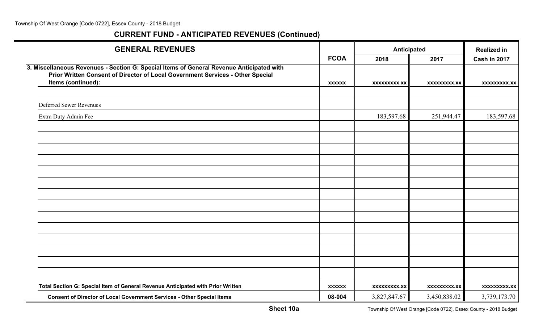| <b>GENERAL REVENUES</b>                                                                                                                                                                          |               | Anticipated         |                     | <b>Realized in</b>  |
|--------------------------------------------------------------------------------------------------------------------------------------------------------------------------------------------------|---------------|---------------------|---------------------|---------------------|
|                                                                                                                                                                                                  | <b>FCOA</b>   | 2018                | 2017                | Cash in 2017        |
| 3. Miscellaneous Revenues - Section G: Special Items of General Revenue Anticipated with<br>Prior Written Consent of Director of Local Government Services - Other Special<br>Items (continued): | <b>XXXXXX</b> | <b>XXXXXXXXX.XX</b> | <b>XXXXXXXXX.XX</b> | <b>XXXXXXXXX.XX</b> |
|                                                                                                                                                                                                  |               |                     |                     |                     |
| <b>Deferred Sewer Revenues</b>                                                                                                                                                                   |               |                     |                     |                     |
| Extra Duty Admin Fee                                                                                                                                                                             |               | 183,597.68          | 251,944.47          | 183,597.68          |
|                                                                                                                                                                                                  |               |                     |                     |                     |
|                                                                                                                                                                                                  |               |                     |                     |                     |
|                                                                                                                                                                                                  |               |                     |                     |                     |
|                                                                                                                                                                                                  |               |                     |                     |                     |
|                                                                                                                                                                                                  |               |                     |                     |                     |
|                                                                                                                                                                                                  |               |                     |                     |                     |
|                                                                                                                                                                                                  |               |                     |                     |                     |
|                                                                                                                                                                                                  |               |                     |                     |                     |
|                                                                                                                                                                                                  |               |                     |                     |                     |
|                                                                                                                                                                                                  |               |                     |                     |                     |
|                                                                                                                                                                                                  |               |                     |                     |                     |
|                                                                                                                                                                                                  |               |                     |                     |                     |
|                                                                                                                                                                                                  |               |                     |                     |                     |
|                                                                                                                                                                                                  |               |                     |                     |                     |
|                                                                                                                                                                                                  |               |                     |                     |                     |
| Total Section G: Special Item of General Revenue Anticipated with Prior Written                                                                                                                  | <b>XXXXXX</b> | <b>XXXXXXXXX.XX</b> | <b>XXXXXXXXX.XX</b> | <b>XXXXXXXXX.XX</b> |
| <b>Consent of Director of Local Government Services - Other Special Items</b>                                                                                                                    | 08-004        | 3,827,847.67        | 3,450,838.02        | 3,739,173.70        |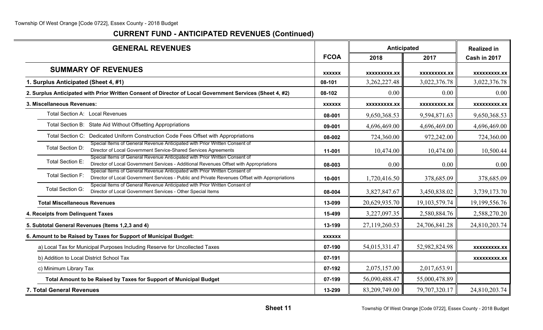| <b>GENERAL REVENUES</b>                                                                                                                                                                                 |               | Anticipated         |                     | <b>Realized in</b>  |
|---------------------------------------------------------------------------------------------------------------------------------------------------------------------------------------------------------|---------------|---------------------|---------------------|---------------------|
|                                                                                                                                                                                                         | <b>FCOA</b>   | 2018                | 2017                | Cash in 2017        |
| <b>SUMMARY OF REVENUES</b>                                                                                                                                                                              | <b>XXXXXX</b> | <b>XXXXXXXXX.XX</b> | <b>XXXXXXXXX.XX</b> | <b>XXXXXXXXX.XX</b> |
| 1. Surplus Anticipated (Sheet 4, #1)                                                                                                                                                                    | 08-101        | 3, 262, 227. 48     | 3,022,376.78        | 3,022,376.78        |
| 2. Surplus Anticipated with Prior Written Consent of Director of Local Government Services (Sheet 4, #2)                                                                                                | 08-102        | 0.00                | 0.00                | 0.00                |
| 3. Miscellaneous Revenues:                                                                                                                                                                              | <b>XXXXXX</b> | <b>XXXXXXXXX.XX</b> | <b>XXXXXXXXX.XX</b> | <b>XXXXXXXXX.XX</b> |
| Total Section A: Local Revenues                                                                                                                                                                         | 08-001        | 9,650,368.53        | 9,594,871.63        | 9,650,368.53        |
| Total Section B: State Aid Without Offsetting Appropriations                                                                                                                                            | 09-001        | 4,696,469.00        | 4,696,469.00        | 4,696,469.00        |
| Total Section C: Dedicated Uniform Construction Code Fees Offset with Appropriations                                                                                                                    | 08-002        | 724,360.00          | 972,242.00          | 724,360.00          |
| Special Items of General Revenue Anticipated with Prior Written Consent of<br>Total Section D:<br>Director of Local Government Service-Shared Services Agreements                                       | 11-001        | 10,474.00           | 10,474.00           | 10,500.44           |
| Special Items of General Revenue Anticipated with Prior Written Consent of<br>Total Section E:<br>Director of Local Government Services - Additional Revenues Offset with Appropriations                | 08-003        | 0.00                | 0.00                | 0.00                |
| Special Items of General Revenue Anticipated with Prior Written Consent of<br><b>Total Section F:</b><br>Director of Local Government Services - Public and Private Revenues Offset with Appropriations | 10-001        | 1,720,416.50        | 378,685.09          | 378,685.09          |
| Special Items of General Revenue Anticipated with Prior Written Consent of<br><b>Total Section G:</b><br>Director of Local Government Services - Other Special Items                                    | 08-004        | 3,827,847.67        | 3,450,838.02        | 3,739,173.70        |
| <b>Total Miscellaneous Revenues</b>                                                                                                                                                                     | 13-099        | 20,629,935.70       | 19, 103, 579. 74    | 19,199,556.76       |
| 4. Receipts from Delinquent Taxes                                                                                                                                                                       | 15-499        | 3,227,097.35        | 2,580,884.76        | 2,588,270.20        |
| 5. Subtotal General Revenues (Items 1,2,3 and 4)                                                                                                                                                        | 13-199        | 27,119,260.53       | 24,706,841.28       | 24,810,203.74       |
| 6. Amount to be Raised by Taxes for Support of Municipal Budget:                                                                                                                                        | <b>XXXXXX</b> |                     |                     |                     |
| a) Local Tax for Municipal Purposes Including Reserve for Uncollected Taxes                                                                                                                             | 07-190        | 54,015,331.47       | 52,982,824.98       | <b>XXXXXXXXX.XX</b> |
| b) Addition to Local District School Tax                                                                                                                                                                | 07-191        |                     |                     | <b>XXXXXXXXX.XX</b> |
| c) Minimum Library Tax                                                                                                                                                                                  | 07-192        | 2,075,157.00        | 2,017,653.91        |                     |
| Total Amount to be Raised by Taxes for Support of Municipal Budget                                                                                                                                      | 07-199        | 56,090,488.47       | 55,000,478.89       |                     |
| 7. Total General Revenues                                                                                                                                                                               | 13-299        | 83,209,749.00       | 79,707,320.17       | 24,810,203.74       |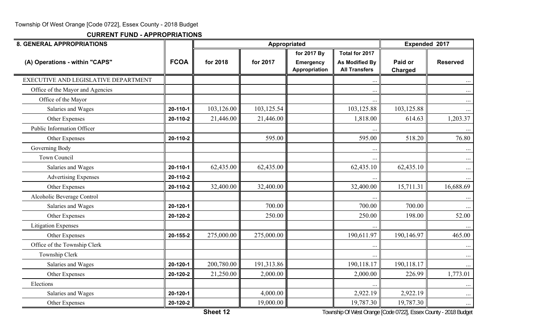| <b>8. GENERAL APPROPRIATIONS</b>     |             |            | Appropriated |                                   |                                               | Expended 2017      |                 |
|--------------------------------------|-------------|------------|--------------|-----------------------------------|-----------------------------------------------|--------------------|-----------------|
|                                      |             |            |              | for 2017 By                       | Total for 2017                                |                    |                 |
| (A) Operations - within "CAPS"       | <b>FCOA</b> | for 2018   | for 2017     | <b>Emergency</b><br>Appropriation | <b>As Modified By</b><br><b>All Transfers</b> | Paid or<br>Charged | <b>Reserved</b> |
| EXECUTIVE AND LEGISLATIVE DEPARTMENT |             |            |              |                                   | $\cdots$                                      |                    |                 |
| Office of the Mayor and Agencies     |             |            |              |                                   | $\ddotsc$                                     |                    | $\cdots$        |
| Office of the Mayor                  |             |            |              |                                   | $\ddotsc$                                     |                    | $\cdots$        |
| Salaries and Wages                   | 20-110-1    | 103,126.00 | 103,125.54   |                                   | 103,125.88                                    | 103,125.88         | $\cdots$        |
| Other Expenses                       | 20-110-2    | 21,446.00  | 21,446.00    |                                   | 1,818.00                                      | 614.63             | 1,203.37        |
| Public Information Officer           |             |            |              |                                   |                                               |                    |                 |
| Other Expenses                       | 20-110-2    |            | 595.00       |                                   | 595.00                                        | 518.20             | 76.80           |
| Governing Body                       |             |            |              |                                   | $\ddot{\phantom{0}}$                          |                    | $\cdots$        |
| Town Council                         |             |            |              |                                   |                                               |                    | $\cdots$        |
| Salaries and Wages                   | 20-110-1    | 62,435.00  | 62,435.00    |                                   | 62,435.10                                     | 62,435.10          | $\cdots$        |
| <b>Advertising Expenses</b>          | 20-110-2    |            |              |                                   |                                               |                    |                 |
| Other Expenses                       | 20-110-2    | 32,400.00  | 32,400.00    |                                   | 32,400.00                                     | 15,711.31          | 16,688.69       |
| Alcoholic Beverage Control           |             |            |              |                                   | $\cdots$                                      |                    | $\cdots$        |
| Salaries and Wages                   | 20-120-1    |            | 700.00       |                                   | 700.00                                        | 700.00             |                 |
| Other Expenses                       | 20-120-2    |            | 250.00       |                                   | 250.00                                        | 198.00             | 52.00           |
| <b>Litigation Expenses</b>           |             |            |              |                                   |                                               |                    | $\cdots$        |
| Other Expenses                       | 20-155-2    | 275,000.00 | 275,000.00   |                                   | 190,611.97                                    | 190,146.97         | 465.00          |
| Office of the Township Clerk         |             |            |              |                                   | $\ddotsc$                                     |                    | $\cdots$        |
| Township Clerk                       |             |            |              |                                   | $\ddots$                                      |                    | $\cdots$        |
| Salaries and Wages                   | 20-120-1    | 200,780.00 | 191,313.86   |                                   | 190,118.17                                    | 190,118.17         |                 |
| Other Expenses                       | 20-120-2    | 21,250.00  | 2,000.00     |                                   | 2,000.00                                      | 226.99             | 1,773.01        |
| Elections                            |             |            |              |                                   | $\ddotsc$                                     |                    | $\cdots$        |
| Salaries and Wages                   | 20-120-1    |            | 4,000.00     |                                   | 2,922.19                                      | 2,922.19           | $\cdots$        |
| Other Expenses                       | 20-120-2    |            | 19,000.00    |                                   | 19,787.30                                     | 19,787.30          | $\cdots$        |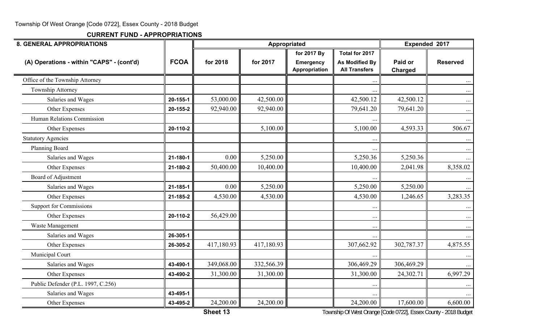**CURRENT FUND - APPROPRIATIONS**

| <b>8. GENERAL APPROPRIATIONS</b>          |             |            | Appropriated |                                   |                                               | Expended 2017      |                 |
|-------------------------------------------|-------------|------------|--------------|-----------------------------------|-----------------------------------------------|--------------------|-----------------|
|                                           |             |            |              | for 2017 By                       | Total for 2017                                |                    |                 |
| (A) Operations - within "CAPS" - (cont'd) | <b>FCOA</b> | for 2018   | for 2017     | <b>Emergency</b><br>Appropriation | <b>As Modified By</b><br><b>All Transfers</b> | Paid or<br>Charged | <b>Reserved</b> |
| Office of the Township Attorney           |             |            |              |                                   |                                               |                    | $\cdots$        |
| Township Attorney                         |             |            |              |                                   |                                               |                    | $\ldots$        |
| Salaries and Wages                        | 20-155-1    | 53,000.00  | 42,500.00    |                                   | 42,500.12                                     | 42,500.12          | $\ldots$        |
| Other Expenses                            | 20-155-2    | 92,940.00  | 92,940.00    |                                   | 79,641.20                                     | 79,641.20          | $\cdots$        |
| Human Relations Commission                |             |            |              |                                   |                                               |                    | $\cdots$        |
| Other Expenses                            | 20-110-2    |            | 5,100.00     |                                   | 5,100.00                                      | 4,593.33           | 506.67          |
| <b>Statutory Agencies</b>                 |             |            |              |                                   |                                               |                    | $\cdots$        |
| Planning Board                            |             |            |              |                                   |                                               |                    | $\cdots$        |
| Salaries and Wages                        | 21-180-1    | 0.00       | 5,250.00     |                                   | 5,250.36                                      | 5,250.36           | $\cdots$        |
| Other Expenses                            | 21-180-2    | 50,400.00  | 10,400.00    |                                   | 10,400.00                                     | 2,041.98           | 8,358.02        |
| Board of Adjustment                       |             |            |              |                                   |                                               |                    | $\cdots$        |
| Salaries and Wages                        | 21-185-1    | 0.00       | 5,250.00     |                                   | 5,250.00                                      | 5,250.00           | $\cdots$        |
| Other Expenses                            | 21-185-2    | 4,530.00   | 4,530.00     |                                   | 4,530.00                                      | 1,246.65           | 3,283.35        |
| <b>Support for Commissions</b>            |             |            |              |                                   |                                               |                    | $\cdots$        |
| Other Expenses                            | 20-110-2    | 56,429.00  |              |                                   | $\ddots$                                      |                    | $\cdots$        |
| Waste Management                          |             |            |              |                                   | $\cdots$                                      |                    | $\cdots$        |
| Salaries and Wages                        | 26-305-1    |            |              |                                   |                                               |                    | $\cdots$        |
| Other Expenses                            | 26-305-2    | 417,180.93 | 417,180.93   |                                   | 307,662.92                                    | 302,787.37         | 4,875.55        |
| Municipal Court                           |             |            |              |                                   |                                               |                    |                 |
| Salaries and Wages                        | 43-490-1    | 349,068.00 | 332,566.39   |                                   | 306,469.29                                    | 306,469.29         | $\cdots$        |
| Other Expenses                            | 43-490-2    | 31,300.00  | 31,300.00    |                                   | 31,300.00                                     | 24,302.71          | 6,997.29        |
| Public Defender (P.L. 1997, C.256)        |             |            |              |                                   |                                               |                    | $\cdots$        |
| Salaries and Wages                        | 43-495-1    |            |              |                                   | $\cdot$ .                                     |                    | $\cdots$        |
| Other Expenses                            | 43-495-2    | 24,200.00  | 24,200.00    |                                   | 24,200.00                                     | 17,600.00          | 6,600.00        |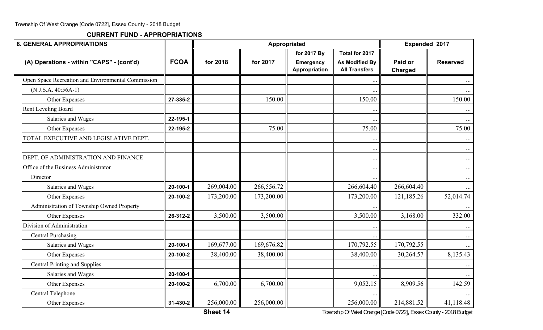**CURRENT FUND - APPROPRIATIONS**

| Total for 2017<br>for 2017 By<br><b>FCOA</b><br>(A) Operations - within "CAPS" - (cont'd)<br>for 2018<br>for 2017<br><b>As Modified By</b><br>Paid or<br><b>Reserved</b><br><b>Emergency</b><br>Appropriation<br><b>All Transfers</b><br><b>Charged</b><br>Open Space Recreation and Environmental Commission<br>$\ddotsc$<br>$(N.J.S.A. 40:56A-1)$<br>150.00<br>150.00<br>Other Expenses<br>27-335-2<br>Rent Leveling Board<br>$\cdot \cdot$<br>Salaries and Wages<br>22-195-1<br>$\cdots$<br>75.00<br>75.00<br>Other Expenses<br>22-195-2<br>TOTAL EXECUTIVE AND LEGISLATIVE DEPT.<br>$\ddotsc$<br>$\ddots$<br>DEPT. OF ADMINISTRATION AND FINANCE<br>$\ddots$<br>Office of the Business Administrator<br>$\ddots$<br>Director<br>$\cdots$<br>269,004.00<br>266,604.40<br>266,604.40<br>266,556.72<br>Salaries and Wages<br>20-100-1<br>173,200.00<br>173,200.00<br>173,200.00<br>121,185.26<br>Other Expenses<br>20-100-2<br>Administration of Township Owned Property<br>3,500.00<br>3,168.00<br>3,500.00<br>3,500.00<br>Other Expenses<br>26-312-2<br>Division of Administration<br><b>Central Purchasing</b><br>$\ddotsc$<br>169,677.00<br>170,792.55<br>170,792.55<br>Salaries and Wages<br>169,676.82<br>20-100-1<br>38,400.00<br>38,400.00<br>38,400.00<br>30,264.57<br>Other Expenses<br>20-100-2<br><b>Central Printing and Supplies</b><br>$\ddots$<br>Salaries and Wages<br>20-100-1<br>6,700.00<br>6,700.00<br>9,052.15<br>8,909.56<br>20-100-2<br>Other Expenses<br>Central Telephone | <b>8. GENERAL APPROPRIATIONS</b> |  | Appropriated | Expended 2017 |           |
|------------------------------------------------------------------------------------------------------------------------------------------------------------------------------------------------------------------------------------------------------------------------------------------------------------------------------------------------------------------------------------------------------------------------------------------------------------------------------------------------------------------------------------------------------------------------------------------------------------------------------------------------------------------------------------------------------------------------------------------------------------------------------------------------------------------------------------------------------------------------------------------------------------------------------------------------------------------------------------------------------------------------------------------------------------------------------------------------------------------------------------------------------------------------------------------------------------------------------------------------------------------------------------------------------------------------------------------------------------------------------------------------------------------------------------------------------------------------------------------------------|----------------------------------|--|--------------|---------------|-----------|
|                                                                                                                                                                                                                                                                                                                                                                                                                                                                                                                                                                                                                                                                                                                                                                                                                                                                                                                                                                                                                                                                                                                                                                                                                                                                                                                                                                                                                                                                                                      |                                  |  |              |               |           |
|                                                                                                                                                                                                                                                                                                                                                                                                                                                                                                                                                                                                                                                                                                                                                                                                                                                                                                                                                                                                                                                                                                                                                                                                                                                                                                                                                                                                                                                                                                      |                                  |  |              |               |           |
|                                                                                                                                                                                                                                                                                                                                                                                                                                                                                                                                                                                                                                                                                                                                                                                                                                                                                                                                                                                                                                                                                                                                                                                                                                                                                                                                                                                                                                                                                                      |                                  |  |              |               |           |
|                                                                                                                                                                                                                                                                                                                                                                                                                                                                                                                                                                                                                                                                                                                                                                                                                                                                                                                                                                                                                                                                                                                                                                                                                                                                                                                                                                                                                                                                                                      |                                  |  |              |               |           |
|                                                                                                                                                                                                                                                                                                                                                                                                                                                                                                                                                                                                                                                                                                                                                                                                                                                                                                                                                                                                                                                                                                                                                                                                                                                                                                                                                                                                                                                                                                      |                                  |  |              |               | 150.00    |
|                                                                                                                                                                                                                                                                                                                                                                                                                                                                                                                                                                                                                                                                                                                                                                                                                                                                                                                                                                                                                                                                                                                                                                                                                                                                                                                                                                                                                                                                                                      |                                  |  |              |               |           |
|                                                                                                                                                                                                                                                                                                                                                                                                                                                                                                                                                                                                                                                                                                                                                                                                                                                                                                                                                                                                                                                                                                                                                                                                                                                                                                                                                                                                                                                                                                      |                                  |  |              |               | $\cdots$  |
|                                                                                                                                                                                                                                                                                                                                                                                                                                                                                                                                                                                                                                                                                                                                                                                                                                                                                                                                                                                                                                                                                                                                                                                                                                                                                                                                                                                                                                                                                                      |                                  |  |              |               | 75.00     |
|                                                                                                                                                                                                                                                                                                                                                                                                                                                                                                                                                                                                                                                                                                                                                                                                                                                                                                                                                                                                                                                                                                                                                                                                                                                                                                                                                                                                                                                                                                      |                                  |  |              |               |           |
|                                                                                                                                                                                                                                                                                                                                                                                                                                                                                                                                                                                                                                                                                                                                                                                                                                                                                                                                                                                                                                                                                                                                                                                                                                                                                                                                                                                                                                                                                                      |                                  |  |              |               | $\cdots$  |
|                                                                                                                                                                                                                                                                                                                                                                                                                                                                                                                                                                                                                                                                                                                                                                                                                                                                                                                                                                                                                                                                                                                                                                                                                                                                                                                                                                                                                                                                                                      |                                  |  |              |               |           |
|                                                                                                                                                                                                                                                                                                                                                                                                                                                                                                                                                                                                                                                                                                                                                                                                                                                                                                                                                                                                                                                                                                                                                                                                                                                                                                                                                                                                                                                                                                      |                                  |  |              |               | $\cdots$  |
|                                                                                                                                                                                                                                                                                                                                                                                                                                                                                                                                                                                                                                                                                                                                                                                                                                                                                                                                                                                                                                                                                                                                                                                                                                                                                                                                                                                                                                                                                                      |                                  |  |              |               | $\cdots$  |
|                                                                                                                                                                                                                                                                                                                                                                                                                                                                                                                                                                                                                                                                                                                                                                                                                                                                                                                                                                                                                                                                                                                                                                                                                                                                                                                                                                                                                                                                                                      |                                  |  |              |               | $\cdots$  |
|                                                                                                                                                                                                                                                                                                                                                                                                                                                                                                                                                                                                                                                                                                                                                                                                                                                                                                                                                                                                                                                                                                                                                                                                                                                                                                                                                                                                                                                                                                      |                                  |  |              |               | 52,014.74 |
|                                                                                                                                                                                                                                                                                                                                                                                                                                                                                                                                                                                                                                                                                                                                                                                                                                                                                                                                                                                                                                                                                                                                                                                                                                                                                                                                                                                                                                                                                                      |                                  |  |              |               |           |
|                                                                                                                                                                                                                                                                                                                                                                                                                                                                                                                                                                                                                                                                                                                                                                                                                                                                                                                                                                                                                                                                                                                                                                                                                                                                                                                                                                                                                                                                                                      |                                  |  |              |               | 332.00    |
|                                                                                                                                                                                                                                                                                                                                                                                                                                                                                                                                                                                                                                                                                                                                                                                                                                                                                                                                                                                                                                                                                                                                                                                                                                                                                                                                                                                                                                                                                                      |                                  |  |              |               |           |
|                                                                                                                                                                                                                                                                                                                                                                                                                                                                                                                                                                                                                                                                                                                                                                                                                                                                                                                                                                                                                                                                                                                                                                                                                                                                                                                                                                                                                                                                                                      |                                  |  |              |               | $\cdots$  |
|                                                                                                                                                                                                                                                                                                                                                                                                                                                                                                                                                                                                                                                                                                                                                                                                                                                                                                                                                                                                                                                                                                                                                                                                                                                                                                                                                                                                                                                                                                      |                                  |  |              |               |           |
|                                                                                                                                                                                                                                                                                                                                                                                                                                                                                                                                                                                                                                                                                                                                                                                                                                                                                                                                                                                                                                                                                                                                                                                                                                                                                                                                                                                                                                                                                                      |                                  |  |              |               | 8,135.43  |
|                                                                                                                                                                                                                                                                                                                                                                                                                                                                                                                                                                                                                                                                                                                                                                                                                                                                                                                                                                                                                                                                                                                                                                                                                                                                                                                                                                                                                                                                                                      |                                  |  |              |               | $\ddots$  |
|                                                                                                                                                                                                                                                                                                                                                                                                                                                                                                                                                                                                                                                                                                                                                                                                                                                                                                                                                                                                                                                                                                                                                                                                                                                                                                                                                                                                                                                                                                      |                                  |  |              |               |           |
|                                                                                                                                                                                                                                                                                                                                                                                                                                                                                                                                                                                                                                                                                                                                                                                                                                                                                                                                                                                                                                                                                                                                                                                                                                                                                                                                                                                                                                                                                                      |                                  |  |              |               | 142.59    |
|                                                                                                                                                                                                                                                                                                                                                                                                                                                                                                                                                                                                                                                                                                                                                                                                                                                                                                                                                                                                                                                                                                                                                                                                                                                                                                                                                                                                                                                                                                      |                                  |  |              |               |           |
| 256,000.00<br>214,881.52<br>256,000.00<br>256,000.00<br>Other Expenses<br>31-430-2                                                                                                                                                                                                                                                                                                                                                                                                                                                                                                                                                                                                                                                                                                                                                                                                                                                                                                                                                                                                                                                                                                                                                                                                                                                                                                                                                                                                                   |                                  |  |              |               | 41,118.48 |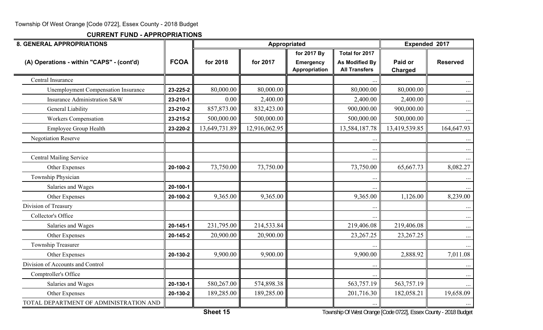| <b>8. GENERAL APPROPRIATIONS</b>           |             |               | Appropriated  |                                   |                                               | Expended 2017             |                 |
|--------------------------------------------|-------------|---------------|---------------|-----------------------------------|-----------------------------------------------|---------------------------|-----------------|
|                                            |             |               |               | for 2017 By                       | Total for 2017                                |                           |                 |
| (A) Operations - within "CAPS" - (cont'd)  | <b>FCOA</b> | for 2018      | for 2017      | <b>Emergency</b><br>Appropriation | <b>As Modified By</b><br><b>All Transfers</b> | Paid or<br><b>Charged</b> | <b>Reserved</b> |
| Central Insurance                          |             |               |               |                                   |                                               |                           |                 |
| <b>Unemployment Compensation Insurance</b> | 23-225-2    | 80,000.00     | 80,000.00     |                                   | 80,000.00                                     | 80,000.00                 |                 |
| Insurance Administration S&W               | 23-210-1    | 0.00          | 2,400.00      |                                   | 2,400.00                                      | 2,400.00                  | $\cdots$        |
| <b>General Liability</b>                   | 23-210-2    | 857,873.00    | 832,423.00    |                                   | 900,000.00                                    | 900,000.00                | $\cdots$        |
| <b>Workers Compensation</b>                | 23-215-2    | 500,000.00    | 500,000.00    |                                   | 500,000.00                                    | 500,000.00                |                 |
| <b>Employee Group Health</b>               | 23-220-2    | 13,649,731.89 | 12,916,062.95 |                                   | 13,584,187.78                                 | 13,419,539.85             | 164,647.93      |
| <b>Negotiation Reserve</b>                 |             |               |               |                                   | $\bullet$ .                                   |                           |                 |
|                                            |             |               |               |                                   | $\bullet$ .                                   |                           |                 |
| <b>Central Mailing Service</b>             |             |               |               |                                   | $\ddotsc$                                     |                           |                 |
| Other Expenses                             | 20-100-2    | 73,750.00     | 73,750.00     |                                   | 73,750.00                                     | 65,667.73                 | 8,082.27        |
| Township Physician                         |             |               |               |                                   | $\ddot{\phantom{0}}$                          |                           |                 |
| Salaries and Wages                         | 20-100-1    |               |               |                                   |                                               |                           |                 |
| Other Expenses                             | 20-100-2    | 9,365.00      | 9,365.00      |                                   | 9,365.00                                      | 1,126.00                  | 8,239.00        |
| Division of Treasury                       |             |               |               |                                   |                                               |                           |                 |
| Collector's Office                         |             |               |               |                                   |                                               |                           | $\cdots$        |
| Salaries and Wages                         | 20-145-1    | 231,795.00    | 214,533.84    |                                   | 219,406.08                                    | 219,406.08                | $\cdots$        |
| Other Expenses                             | 20-145-2    | 20,900.00     | 20,900.00     |                                   | 23,267.25                                     | 23, 267. 25               | $\cdots$        |
| Township Treasurer                         |             |               |               |                                   |                                               |                           |                 |
| Other Expenses                             | 20-130-2    | 9,900.00      | 9,900.00      |                                   | 9,900.00                                      | 2,888.92                  | 7,011.08        |
| Division of Accounts and Control           |             |               |               |                                   |                                               |                           |                 |
| Comptroller's Office                       |             |               |               |                                   |                                               |                           | $\cdots$        |
| Salaries and Wages                         | 20-130-1    | 580,267.00    | 574,898.38    |                                   | 563,757.19                                    | 563,757.19                |                 |
| Other Expenses                             | 20-130-2    | 189,285.00    | 189,285.00    |                                   | 201,716.30                                    | 182,058.21                | 19,658.09       |
| TOTAL DEPARTMENT OF ADMINISTRATION AND     |             |               |               |                                   | $\cdots$                                      |                           | $\cdots$        |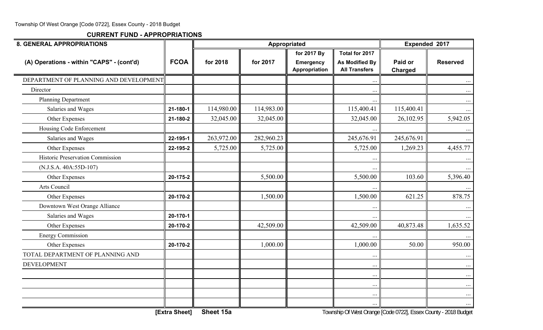| <b>8. GENERAL APPROPRIATIONS</b>          |             |            | Appropriated |                                   |                                               | Expended 2017      |                 |
|-------------------------------------------|-------------|------------|--------------|-----------------------------------|-----------------------------------------------|--------------------|-----------------|
|                                           |             |            |              | for 2017 By                       | Total for 2017                                |                    |                 |
| (A) Operations - within "CAPS" - (cont'd) | <b>FCOA</b> | for 2018   | for 2017     | <b>Emergency</b><br>Appropriation | <b>As Modified By</b><br><b>All Transfers</b> | Paid or<br>Charged | <b>Reserved</b> |
| DEPARTMENT OF PLANNING AND DEVELOPMENT    |             |            |              |                                   | $\ddots$                                      |                    |                 |
| Director                                  |             |            |              |                                   | $\ddotsc$                                     |                    | $\cdots$        |
| <b>Planning Department</b>                |             |            |              |                                   | $\ddotsc$                                     |                    | $\cdots$        |
| Salaries and Wages                        | 21-180-1    | 114,980.00 | 114,983.00   |                                   | 115,400.41                                    | 115,400.41         | $\cdots$        |
| Other Expenses                            | 21-180-2    | 32,045.00  | 32,045.00    |                                   | 32,045.00                                     | 26,102.95          | 5,942.05        |
| Housing Code Enforcement                  |             |            |              |                                   |                                               |                    | $\cdots$        |
| Salaries and Wages                        | 22-195-1    | 263,972.00 | 282,960.23   |                                   | 245,676.91                                    | 245,676.91         | $\cdots$        |
| Other Expenses                            | 22-195-2    | 5,725.00   | 5,725.00     |                                   | 5,725.00                                      | 1,269.23           | 4,455.77        |
| Historic Preservation Commission          |             |            |              |                                   | $\ddots$                                      |                    | $\cdots$        |
| (N.J.S.A. 40A:55D-107)                    |             |            |              |                                   | $\ddotsc$                                     |                    | $\cdots$        |
| Other Expenses                            | 20-175-2    |            | 5,500.00     |                                   | 5,500.00                                      | 103.60             | 5,396.40        |
| Arts Council                              |             |            |              |                                   |                                               |                    |                 |
| Other Expenses                            | 20-170-2    |            | 1,500.00     |                                   | 1,500.00                                      | 621.25             | 878.75          |
| Downtown West Orange Alliance             |             |            |              |                                   | $\ddot{\phantom{0}}$                          |                    |                 |
| Salaries and Wages                        | 20-170-1    |            |              |                                   | $\ddotsc$                                     |                    | $\cdots$        |
| Other Expenses                            | 20-170-2    |            | 42,509.00    |                                   | 42,509.00                                     | 40,873.48          | 1,635.52        |
| <b>Energy Commission</b>                  |             |            |              |                                   |                                               |                    |                 |
| Other Expenses                            | 20-170-2    |            | 1,000.00     |                                   | 1,000.00                                      | 50.00              | 950.00          |
| TOTAL DEPARTMENT OF PLANNING AND          |             |            |              |                                   | $\ddotsc$                                     |                    | $\cdots$        |
| <b>DEVELOPMENT</b>                        |             |            |              |                                   | $\ddotsc$                                     |                    | $\cdots$        |
|                                           |             |            |              |                                   | $\cdots$                                      |                    | $\cdots$        |
|                                           |             |            |              |                                   | $\ddots$                                      |                    | $\cdots$        |
|                                           |             |            |              |                                   | $\cdots$                                      |                    | $\cdots$        |
|                                           |             |            |              |                                   | $\ldots$                                      |                    | $\cdots$        |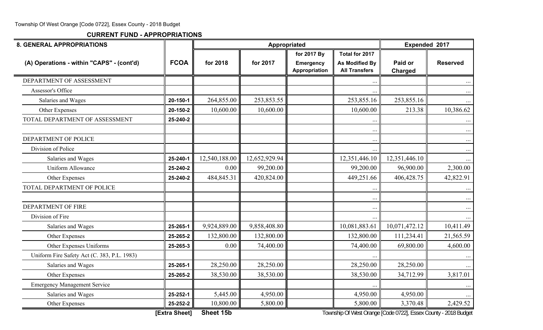| <b>8. GENERAL APPROPRIATIONS</b>            |               |               |               | Appropriated                      |                                                                 | Expended 2017             |                      |
|---------------------------------------------|---------------|---------------|---------------|-----------------------------------|-----------------------------------------------------------------|---------------------------|----------------------|
|                                             |               |               |               | for 2017 By                       | Total for 2017                                                  |                           |                      |
| (A) Operations - within "CAPS" - (cont'd)   | <b>FCOA</b>   | for 2018      | for 2017      | <b>Emergency</b><br>Appropriation | <b>As Modified By</b><br><b>All Transfers</b>                   | Paid or<br><b>Charged</b> | <b>Reserved</b>      |
| DEPARTMENT OF ASSESSMENT                    |               |               |               |                                   |                                                                 |                           | $\cdots$             |
| Assessor's Office                           |               |               |               |                                   |                                                                 |                           | $\cdots$             |
| Salaries and Wages                          | 20-150-1      | 264,855.00    | 253,853.55    |                                   | 253,855.16                                                      | 253,855.16                | $\cdots$             |
| Other Expenses                              | 20-150-2      | 10,600.00     | 10,600.00     |                                   | 10,600.00                                                       | 213.38                    | 10,386.62            |
| TOTAL DEPARTMENT OF ASSESSMENT              | 25-240-2      |               |               |                                   | $\ddots$                                                        |                           | $\cdots$             |
| DEPARTMENT OF POLICE                        |               |               |               |                                   | $\ddotsc$<br>$\ddotsc$                                          |                           | $\cdots$<br>$\cdots$ |
| Division of Police                          |               |               |               |                                   |                                                                 |                           | $\ldots$             |
| Salaries and Wages                          | 25-240-1      | 12,540,188.00 | 12,652,929.94 |                                   | 12,351,446.10                                                   | 12,351,446.10             | $\cdots$             |
| Uniform Allowance                           | 25-240-2      | 0.00          | 99,200.00     |                                   | 99,200.00                                                       | 96,900.00                 | 2,300.00             |
| Other Expenses                              | 25-240-2      | 484,845.31    | 420,824.00    |                                   | 449,251.66                                                      | 406,428.75                | 42,822.91            |
| TOTAL DEPARTMENT OF POLICE                  |               |               |               |                                   |                                                                 |                           | $\cdots$             |
|                                             |               |               |               |                                   | $\ddots$                                                        |                           | $\cdots$             |
| <b>DEPARTMENT OF FIRE</b>                   |               |               |               |                                   | $\ddotsc$                                                       |                           | $\cdots$             |
| Division of Fire                            |               |               |               |                                   | $\ddots$                                                        |                           | $\cdots$             |
| Salaries and Wages                          | 25-265-1      | 9,924,889.00  | 9,858,408.80  |                                   | 10,081,883.61                                                   | 10,071,472.12             | 10,411.49            |
| Other Expenses                              | 25-265-2      | 132,800.00    | 132,800.00    |                                   | 132,800.00                                                      | 111,234.41                | 21,565.59            |
| Other Expenses Uniforms                     | 25-265-3      | 0.00          | 74,400.00     |                                   | 74,400.00                                                       | 69,800.00                 | 4,600.00             |
| Uniform Fire Safety Act (C. 383, P.L. 1983) |               |               |               |                                   |                                                                 |                           | $\cdots$             |
| Salaries and Wages                          | 25-265-1      | 28,250.00     | 28,250.00     |                                   | 28,250.00                                                       | 28,250.00                 | $\cdots$             |
| Other Expenses                              | 25-265-2      | 38,530.00     | 38,530.00     |                                   | 38,530.00                                                       | 34,712.99                 | 3,817.01             |
| <b>Emergency Management Service</b>         |               |               |               |                                   |                                                                 |                           |                      |
| Salaries and Wages                          | 25-252-1      | 5,445.00      | 4,950.00      |                                   | 4,950.00                                                        | 4,950.00                  | $\cdots$             |
| Other Expenses                              | 25-252-2      | 10,800.00     | 5,800.00      |                                   | 5,800.00                                                        | 3,370.48                  | 2,429.52             |
|                                             | [Extra Sheet] | Sheet 15b     |               |                                   | Township Of West Orange [Code 0722], Essex County - 2018 Budget |                           |                      |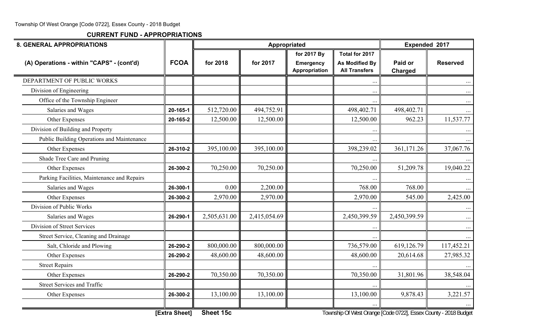| <b>8. GENERAL APPROPRIATIONS</b>            |               |              |              | Appropriated                      |                                               | Expended 2017                                                   |                 |
|---------------------------------------------|---------------|--------------|--------------|-----------------------------------|-----------------------------------------------|-----------------------------------------------------------------|-----------------|
|                                             |               |              |              | for 2017 By                       | Total for 2017                                |                                                                 |                 |
| (A) Operations - within "CAPS" - (cont'd)   | <b>FCOA</b>   | for 2018     | for 2017     | <b>Emergency</b><br>Appropriation | <b>As Modified By</b><br><b>All Transfers</b> | Paid or<br>Charged                                              | <b>Reserved</b> |
| DEPARTMENT OF PUBLIC WORKS                  |               |              |              |                                   |                                               |                                                                 |                 |
| Division of Engineering                     |               |              |              |                                   |                                               |                                                                 | $\cdots$        |
| Office of the Township Engineer             |               |              |              |                                   |                                               |                                                                 | $\ldots$        |
| Salaries and Wages                          | 20-165-1      | 512,720.00   | 494,752.91   |                                   | 498,402.71                                    | 498,402.71                                                      | $\cdots$        |
| Other Expenses                              | 20-165-2      | 12,500.00    | 12,500.00    |                                   | 12,500.00                                     | 962.23                                                          | 11,537.77       |
| Division of Building and Property           |               |              |              |                                   |                                               |                                                                 |                 |
| Public Building Operations and Maintenance  |               |              |              |                                   |                                               |                                                                 |                 |
| Other Expenses                              | 26-310-2      | 395,100.00   | 395,100.00   |                                   | 398,239.02                                    | 361,171.26                                                      | 37,067.76       |
| Shade Tree Care and Pruning                 |               |              |              |                                   |                                               |                                                                 |                 |
| Other Expenses                              | 26-300-2      | 70,250.00    | 70,250.00    |                                   | 70,250.00                                     | 51,209.78                                                       | 19,040.22       |
| Parking Facilities, Maintenance and Repairs |               |              |              |                                   |                                               |                                                                 |                 |
| Salaries and Wages                          | 26-300-1      | 0.00         | 2,200.00     |                                   | 768.00                                        | 768.00                                                          |                 |
| Other Expenses                              | 26-300-2      | 2,970.00     | 2,970.00     |                                   | 2,970.00                                      | 545.00                                                          | 2,425.00        |
| Division of Public Works                    |               |              |              |                                   |                                               |                                                                 |                 |
| Salaries and Wages                          | 26-290-1      | 2,505,631.00 | 2,415,054.69 |                                   | 2,450,399.59                                  | 2,450,399.59                                                    | $\cdots$        |
| Division of Street Services                 |               |              |              |                                   |                                               |                                                                 | $\cdots$        |
| Street Service, Cleaning and Drainage       |               |              |              |                                   |                                               |                                                                 |                 |
| Salt, Chloride and Plowing                  | 26-290-2      | 800,000.00   | 800,000.00   |                                   | 736,579.00                                    | 619,126.79                                                      | 117,452.21      |
| Other Expenses                              | 26-290-2      | 48,600.00    | 48,600.00    |                                   | 48,600.00                                     | 20,614.68                                                       | 27,985.32       |
| <b>Street Repairs</b>                       |               |              |              |                                   |                                               |                                                                 |                 |
| Other Expenses                              | 26-290-2      | 70,350.00    | 70,350.00    |                                   | 70,350.00                                     | 31,801.96                                                       | 38,548.04       |
| <b>Street Services and Traffic</b>          |               |              |              |                                   |                                               |                                                                 |                 |
| Other Expenses                              | 26-300-2      | 13,100.00    | 13,100.00    |                                   | 13,100.00                                     | 9,878.43                                                        | 3,221.57        |
|                                             | [Extra Sheet] | Sheet 15c    |              |                                   |                                               | Township Of West Orange [Code 0722], Essex County - 2018 Budget |                 |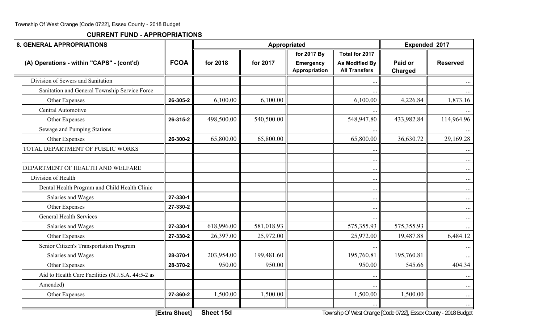| <b>8. GENERAL APPROPRIATIONS</b>                  |               |            | Appropriated |                                   |                                               | Expended 2017                                                   |                 |
|---------------------------------------------------|---------------|------------|--------------|-----------------------------------|-----------------------------------------------|-----------------------------------------------------------------|-----------------|
|                                                   |               |            |              | for 2017 By                       | Total for 2017                                |                                                                 |                 |
| (A) Operations - within "CAPS" - (cont'd)         | <b>FCOA</b>   | for 2018   | for 2017     | <b>Emergency</b><br>Appropriation | <b>As Modified By</b><br><b>All Transfers</b> | Paid or<br>Charged                                              | <b>Reserved</b> |
| Division of Sewers and Sanitation                 |               |            |              |                                   |                                               |                                                                 |                 |
| Sanitation and General Township Service Force     |               |            |              |                                   |                                               |                                                                 | $\cdots$        |
| Other Expenses                                    | 26-305-2      | 6,100.00   | 6,100.00     |                                   | 6,100.00                                      | 4,226.84                                                        | 1,873.16        |
| Central Automotive                                |               |            |              |                                   |                                               |                                                                 |                 |
| Other Expenses                                    | 26-315-2      | 498,500.00 | 540,500.00   |                                   | 548,947.80                                    | 433,982.84                                                      | 114,964.96      |
| Sewage and Pumping Stations                       |               |            |              |                                   |                                               |                                                                 |                 |
| Other Expenses                                    | 26-300-2      | 65,800.00  | 65,800.00    |                                   | 65,800.00                                     | 36,630.72                                                       | 29,169.28       |
| TOTAL DEPARTMENT OF PUBLIC WORKS                  |               |            |              |                                   | $\cdot$ .                                     |                                                                 | $\cdots$        |
|                                                   |               |            |              |                                   | $\ddotsc$                                     |                                                                 | $\cdots$        |
| DEPARTMENT OF HEALTH AND WELFARE                  |               |            |              |                                   | $\cdots$                                      |                                                                 | $\cdots$        |
| Division of Health                                |               |            |              |                                   | $\cdots$                                      |                                                                 | $\cdots$        |
| Dental Health Program and Child Health Clinic     |               |            |              |                                   | $\ddotsc$                                     |                                                                 | $\cdots$        |
| Salaries and Wages                                | 27-330-1      |            |              |                                   | $\cdots$                                      |                                                                 | $\ldots$        |
| Other Expenses                                    | 27-330-2      |            |              |                                   | $\ddotsc$                                     |                                                                 | $\cdots$        |
| <b>General Health Services</b>                    |               |            |              |                                   |                                               |                                                                 | $\cdots$        |
| Salaries and Wages                                | 27-330-1      | 618,996.00 | 581,018.93   |                                   | 575,355.93                                    | 575,355.93                                                      | $\cdots$        |
| Other Expenses                                    | 27-330-2      | 26,397.00  | 25,972.00    |                                   | 25,972.00                                     | 19,487.88                                                       | 6,484.12        |
| Senior Citizen's Transportation Program           |               |            |              |                                   | $\ddotsc$                                     |                                                                 | $\cdots$        |
| Salaries and Wages                                | 28-370-1      | 203,954.00 | 199,481.60   |                                   | 195,760.81                                    | 195,760.81                                                      | $\cdots$        |
| Other Expenses                                    | 28-370-2      | 950.00     | 950.00       |                                   | 950.00                                        | 545.66                                                          | 404.34          |
| Aid to Health Care Facilities (N.J.S.A. 44:5-2 as |               |            |              |                                   |                                               |                                                                 | $\cdots$        |
| Amended)                                          |               |            |              |                                   |                                               |                                                                 | $\cdots$        |
| Other Expenses                                    | 27-360-2      | 1,500.00   | 1,500.00     |                                   | 1,500.00                                      | 1,500.00                                                        | $\cdots$        |
|                                                   | [Extra Sheet] | Sheet 15d  |              |                                   |                                               | Township Of West Orange [Code 0722], Essex County - 2018 Budget | $\cdots$        |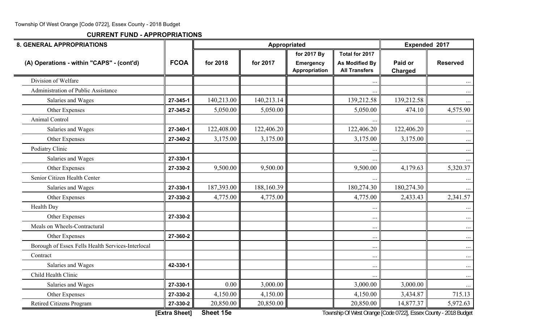| <b>8. GENERAL APPROPRIATIONS</b>                  |               |            |            | Appropriated                      |                                                                 | Expended 2017             |                 |
|---------------------------------------------------|---------------|------------|------------|-----------------------------------|-----------------------------------------------------------------|---------------------------|-----------------|
|                                                   |               |            |            | for 2017 By                       | Total for 2017                                                  |                           |                 |
| (A) Operations - within "CAPS" - (cont'd)         | <b>FCOA</b>   | for 2018   | for 2017   | <b>Emergency</b><br>Appropriation | <b>As Modified By</b><br><b>All Transfers</b>                   | Paid or<br><b>Charged</b> | <b>Reserved</b> |
| Division of Welfare                               |               |            |            |                                   |                                                                 |                           |                 |
| <b>Administration of Public Assistance</b>        |               |            |            |                                   |                                                                 |                           | $\cdots$        |
| Salaries and Wages                                | 27-345-1      | 140,213.00 | 140,213.14 |                                   | 139,212.58                                                      | 139,212.58                | $\cdots$        |
| Other Expenses                                    | 27-345-2      | 5,050.00   | 5,050.00   |                                   | 5,050.00                                                        | 474.10                    | 4,575.90        |
| Animal Control                                    |               |            |            |                                   |                                                                 |                           | $\cdots$        |
| Salaries and Wages                                | 27-340-1      | 122,408.00 | 122,406.20 |                                   | 122,406.20                                                      | 122,406.20                | $\cdots$        |
| Other Expenses                                    | 27-340-2      | 3,175.00   | 3,175.00   |                                   | 3,175.00                                                        | 3,175.00                  | $\cdots$        |
| Podiatry Clinic                                   |               |            |            |                                   |                                                                 |                           | $\cdots$        |
| Salaries and Wages                                | 27-330-1      |            |            |                                   |                                                                 |                           | $\cdots$        |
| Other Expenses                                    | 27-330-2      | 9,500.00   | 9,500.00   |                                   | 9,500.00                                                        | 4,179.63                  | 5,320.37        |
| Senior Citizen Health Center                      |               |            |            |                                   |                                                                 |                           | $\cdots$        |
| Salaries and Wages                                | 27-330-1      | 187,393.00 | 188,160.39 |                                   | 180,274.30                                                      | 180,274.30                |                 |
| Other Expenses                                    | 27-330-2      | 4,775.00   | 4,775.00   |                                   | 4,775.00                                                        | 2,433.43                  | 2,341.57        |
| Health Day                                        |               |            |            |                                   |                                                                 |                           | $\cdots$        |
| Other Expenses                                    | 27-330-2      |            |            |                                   | $\ddots$                                                        |                           | $\cdots$        |
| Meals on Wheels-Contractural                      |               |            |            |                                   | $\ddotsc$                                                       |                           | $\cdots$        |
| Other Expenses                                    | 27-360-2      |            |            |                                   | $\ddotsc$                                                       |                           | $\cdots$        |
| Borough of Essex Fells Health Services-Interlocal |               |            |            |                                   | $\ddots$                                                        |                           | $\cdots$        |
| Contract                                          |               |            |            |                                   | $\ddots$                                                        |                           | $\cdots$        |
| Salaries and Wages                                | 42-330-1      |            |            |                                   | $\cdots$                                                        |                           | $\cdots$        |
| Child Health Clinic                               |               |            |            |                                   |                                                                 |                           | $\cdots$        |
| Salaries and Wages                                | 27-330-1      | 0.00       | 3,000.00   |                                   | 3,000.00                                                        | 3,000.00                  | $\cdots$        |
| Other Expenses                                    | 27-330-2      | 4,150.00   | 4,150.00   |                                   | 4,150.00                                                        | 3,434.87                  | 715.13          |
| Retired Citizens Program                          | 27-330-2      | 20,850.00  | 20,850.00  |                                   | 20,850.00                                                       | 14,877.37                 | 5,972.63        |
|                                                   | [Extra Sheet] | Sheet 15e  |            |                                   | Township Of West Orange [Code 0722], Essex County - 2018 Budget |                           |                 |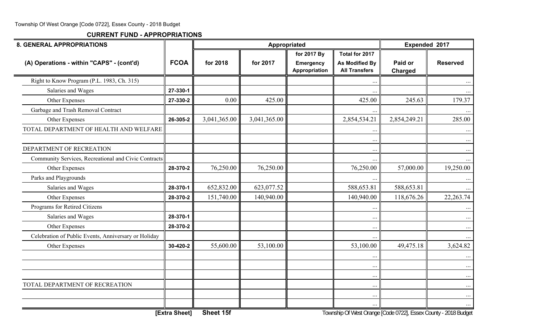| <b>8. GENERAL APPROPRIATIONS</b>                     |             |              | Appropriated |                                   |                                               | Expended 2017             |                 |  |
|------------------------------------------------------|-------------|--------------|--------------|-----------------------------------|-----------------------------------------------|---------------------------|-----------------|--|
|                                                      |             |              |              | for 2017 By                       | Total for 2017                                |                           |                 |  |
| (A) Operations - within "CAPS" - (cont'd)            | <b>FCOA</b> | for 2018     | for 2017     | <b>Emergency</b><br>Appropriation | <b>As Modified By</b><br><b>All Transfers</b> | Paid or<br><b>Charged</b> | <b>Reserved</b> |  |
| Right to Know Program (P.L. 1983, Ch. 315)           |             |              |              |                                   | $\ddotsc$                                     |                           |                 |  |
| Salaries and Wages                                   | 27-330-1    |              |              |                                   |                                               |                           |                 |  |
| Other Expenses                                       | 27-330-2    | 0.00         | 425.00       |                                   | 425.00                                        | 245.63                    | 179.37          |  |
| Garbage and Trash Removal Contract                   |             |              |              |                                   | $\ddotsc$                                     |                           |                 |  |
| Other Expenses                                       | 26-305-2    | 3,041,365.00 | 3,041,365.00 |                                   | 2,854,534.21                                  | 2,854,249.21              | 285.00          |  |
| TOTAL DEPARTMENT OF HEALTH AND WELFARE               |             |              |              |                                   | $\ddots$                                      |                           | $\cdots$        |  |
|                                                      |             |              |              |                                   | $\cdots$                                      |                           | $\cdots$        |  |
| DEPARTMENT OF RECREATION                             |             |              |              |                                   | $\ddotsc$                                     |                           | $\cdots$        |  |
| Community Services, Recreational and Civic Contracts |             |              |              |                                   |                                               |                           | $\cdots$        |  |
| Other Expenses                                       | 28-370-2    | 76,250.00    | 76,250.00    |                                   | 76,250.00                                     | 57,000.00                 | 19,250.00       |  |
| Parks and Playgrounds                                |             |              |              |                                   |                                               |                           |                 |  |
| Salaries and Wages                                   | 28-370-1    | 652,832.00   | 623,077.52   |                                   | 588,653.81                                    | 588,653.81                | $\cdots$        |  |
| Other Expenses                                       | 28-370-2    | 151,740.00   | 140,940.00   |                                   | 140,940.00                                    | 118,676.26                | 22, 263. 74     |  |
| Programs for Retired Citizens                        |             |              |              |                                   | $\ddotsc$                                     |                           |                 |  |
| Salaries and Wages                                   | 28-370-1    |              |              |                                   | $\ldots$                                      |                           | $\cdots$        |  |
| Other Expenses                                       | 28-370-2    |              |              |                                   | $\ldots$                                      |                           | $\cdots$        |  |
| Celebration of Public Events, Anniversary or Holiday |             |              |              |                                   | $\cdots$                                      |                           |                 |  |
| Other Expenses                                       | 30-420-2    | 55,600.00    | 53,100.00    |                                   | 53,100.00                                     | 49,475.18                 | 3,624.82        |  |
|                                                      |             |              |              |                                   | $\ddotsc$                                     |                           | $\cdots$        |  |
|                                                      |             |              |              |                                   | $\ddotsc$                                     |                           | $\cdots$        |  |
|                                                      |             |              |              |                                   | $\ldots$                                      |                           | $\cdots$        |  |
| TOTAL DEPARTMENT OF RECREATION                       |             |              |              |                                   | $\cdots$                                      |                           | $\cdots$        |  |
|                                                      |             |              |              |                                   | $\ddots$                                      |                           | $\cdots$        |  |
|                                                      |             |              |              |                                   | $\cdots$                                      |                           | $\cdots$        |  |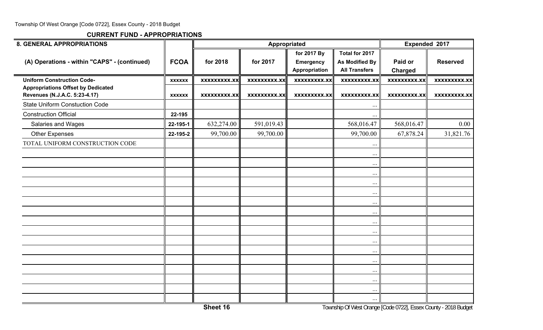| <b>8. GENERAL APPROPRIATIONS</b>                                               |               |                     | Appropriated        |                                                  |                                                                 | Expended 2017             |                     |  |
|--------------------------------------------------------------------------------|---------------|---------------------|---------------------|--------------------------------------------------|-----------------------------------------------------------------|---------------------------|---------------------|--|
| (A) Operations - within "CAPS" - (continued)                                   | <b>FCOA</b>   | for 2018            | for 2017            | for 2017 By<br><b>Emergency</b><br>Appropriation | Total for 2017<br><b>As Modified By</b><br><b>All Transfers</b> | Paid or<br><b>Charged</b> | <b>Reserved</b>     |  |
| <b>Uniform Construction Code-</b><br><b>Appropriations Offset by Dedicated</b> | <b>XXXXXX</b> | xxxxxxxxx.xx        | <b>XXXXXXXXX.XX</b> | <b>XXXXXXXXX.XX</b>                              | <b>XXXXXXXXX.XX</b>                                             | <b>XXXXXXXXX.XX</b>       | <b>XXXXXXXXX.XX</b> |  |
| Revenues (N.J.A.C. 5:23-4.17)<br><b>State Uniform Constuction Code</b>         | <b>XXXXXX</b> | <b>XXXXXXXXX.XX</b> | <b>XXXXXXXXX.XX</b> | <b>XXXXXXXXX.XX</b>                              | <b>XXXXXXXXX.XX</b>                                             | <b>XXXXXXXXX.XX</b>       | <b>XXXXXXXXX.XX</b> |  |
| <b>Construction Official</b>                                                   | 22-195        |                     |                     |                                                  | $\ddots$                                                        |                           |                     |  |
| <b>Salaries and Wages</b>                                                      | 22-195-1      | 632,274.00          | 591,019.43          |                                                  | 568,016.47                                                      | 568,016.47                | 0.00                |  |
| <b>Other Expenses</b>                                                          | 22-195-2      | 99,700.00           | 99,700.00           |                                                  | 99,700.00                                                       | 67,878.24                 | 31,821.76           |  |
| TOTAL UNIFORM CONSTRUCTION CODE                                                |               |                     |                     |                                                  |                                                                 |                           |                     |  |
|                                                                                |               |                     |                     |                                                  | $\cdots$<br>$\ddots$                                            |                           |                     |  |
|                                                                                |               |                     |                     |                                                  | $\cdots$                                                        |                           |                     |  |
|                                                                                |               |                     |                     |                                                  | $\cdots$                                                        |                           |                     |  |
|                                                                                |               |                     |                     |                                                  | $\ddots$                                                        |                           |                     |  |
|                                                                                |               |                     |                     |                                                  | $\cdots$                                                        |                           |                     |  |
|                                                                                |               |                     |                     |                                                  | $\cdots$                                                        |                           |                     |  |
|                                                                                |               |                     |                     |                                                  | $\ddots$                                                        |                           |                     |  |
|                                                                                |               |                     |                     |                                                  | $\cdots$                                                        |                           |                     |  |
|                                                                                |               |                     |                     |                                                  | $\cdots$                                                        |                           |                     |  |
|                                                                                |               |                     |                     |                                                  | $\cdots$                                                        |                           |                     |  |
|                                                                                |               |                     |                     |                                                  | $\cdots$                                                        |                           |                     |  |
|                                                                                |               |                     |                     |                                                  | $\cdots$                                                        |                           |                     |  |
|                                                                                |               |                     |                     |                                                  | $\cdots$                                                        |                           |                     |  |
|                                                                                |               |                     |                     |                                                  | $\cdots$                                                        |                           |                     |  |
|                                                                                |               |                     |                     |                                                  | $\cdots$                                                        |                           |                     |  |
|                                                                                |               |                     |                     |                                                  | $\ldots$                                                        |                           |                     |  |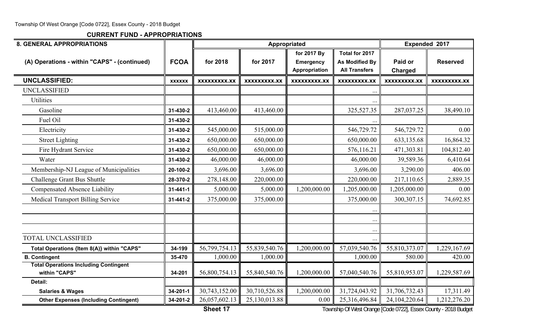**CURRENT FUND - APPROPRIATIONS**

| <b>8. GENERAL APPROPRIATIONS</b>                              |                |               |                     | Appropriated                                     |                                                                 | Expended 2017             |                 |
|---------------------------------------------------------------|----------------|---------------|---------------------|--------------------------------------------------|-----------------------------------------------------------------|---------------------------|-----------------|
| (A) Operations - within "CAPS" - (continued)                  | <b>FCOA</b>    | for 2018      | for 2017            | for 2017 By<br><b>Emergency</b><br>Appropriation | Total for 2017<br><b>As Modified By</b><br><b>All Transfers</b> | Paid or<br><b>Charged</b> | <b>Reserved</b> |
| <b>UNCLASSIFIED:</b>                                          | <b>XXXXXX</b>  | XXXXXXXXX.XX  | <b>XXXXXXXXX.XX</b> | XXXXXXXXX.XX                                     | XXXXXXXXX.XX                                                    | <b>XXXXXXXXX.XX</b>       | XXXXXXXXX.XX    |
| <b>UNCLASSIFIED</b>                                           |                |               |                     |                                                  |                                                                 |                           |                 |
| Utilities                                                     |                |               |                     |                                                  |                                                                 |                           |                 |
| Gasoline                                                      | 31-430-2       | 413,460.00    | 413,460.00          |                                                  | 325,527.35                                                      | 287,037.25                | 38,490.10       |
| Fuel Oil                                                      | 31-430-2       |               |                     |                                                  |                                                                 |                           |                 |
| Electricity                                                   | 31-430-2       | 545,000.00    | 515,000.00          |                                                  | 546,729.72                                                      | 546,729.72                | 0.00            |
| <b>Street Lighting</b>                                        | 31-430-2       | 650,000.00    | 650,000.00          |                                                  | 650,000.00                                                      | 633,135.68                | 16,864.32       |
| Fire Hydrant Service                                          | 31-430-2       | 650,000.00    | 650,000.00          |                                                  | 576,116.21                                                      | 471,303.81                | 104,812.40      |
| Water                                                         | 31-430-2       | 46,000.00     | 46,000.00           |                                                  | 46,000.00                                                       | 39,589.36                 | 6,410.64        |
| Membership-NJ League of Municipalities                        | 20-100-2       | 3,696.00      | 3,696.00            |                                                  | 3,696.00                                                        | 3,290.00                  | 406.00          |
| Challenge Grant Bus Shuttle                                   | 28-370-2       | 278,148.00    | 220,000.00          |                                                  | 220,000.00                                                      | 217,110.65                | 2,889.35        |
| <b>Compensated Absence Liability</b>                          | $31 - 441 - 1$ | 5,000.00      | 5,000.00            | 1,200,000.00                                     | 1,205,000.00                                                    | 1,205,000.00              | 0.00            |
| <b>Medical Transport Billing Service</b>                      | 31-441-2       | 375,000.00    | 375,000.00          |                                                  | 375,000.00                                                      | 300, 307. 15              | 74,692.85       |
|                                                               |                |               |                     |                                                  | $\ddots$                                                        |                           |                 |
|                                                               |                |               |                     |                                                  | $\cdot$ .                                                       |                           |                 |
|                                                               |                |               |                     |                                                  |                                                                 |                           |                 |
| <b>TOTAL UNCLASSIFIED</b>                                     |                |               |                     |                                                  |                                                                 |                           |                 |
| Total Operations {Item 8(A)} within "CAPS"                    | 34-199         | 56,799,754.13 | 55,839,540.76       | 1,200,000.00                                     | 57,039,540.76                                                   | 55,810,373.07             | 1,229,167.69    |
| <b>B. Contingent</b>                                          | 35-470         | 1,000.00      | 1,000.00            |                                                  | 1,000.00                                                        | 580.00                    | 420.00          |
| <b>Total Operations Including Contingent</b><br>within "CAPS" | 34-201         | 56,800,754.13 | 55,840,540.76       | 1,200,000.00                                     | 57,040,540.76                                                   | 55,810,953.07             | 1,229,587.69    |
| Detail:                                                       |                |               |                     |                                                  |                                                                 |                           |                 |
| <b>Salaries &amp; Wages</b>                                   | 34-201-1       | 30,743,152.00 | 30,710,526.88       | 1,200,000.00                                     | 31,724,043.92                                                   | 31,706,732.43             | 17,311.49       |
| <b>Other Expenses (Including Contingent)</b>                  | 34-201-2       | 26,057,602.13 | 25,130,013.88       | 0.00                                             | 25,316,496.84                                                   | 24,104,220.64             | 1,212,276.20    |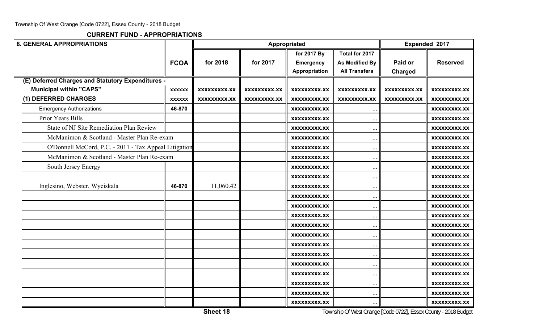| <b>8. GENERAL APPROPRIATIONS</b>                      |               |                     |              | Appropriated        |                       |                | Expended 2017       |
|-------------------------------------------------------|---------------|---------------------|--------------|---------------------|-----------------------|----------------|---------------------|
|                                                       |               |                     |              | for 2017 By         | Total for 2017        |                |                     |
|                                                       | <b>FCOA</b>   | for 2018            | for 2017     | <b>Emergency</b>    | <b>As Modified By</b> | Paid or        | <b>Reserved</b>     |
|                                                       |               |                     |              | Appropriation       | <b>All Transfers</b>  | <b>Charged</b> |                     |
| (E) Deferred Charges and Statutory Expenditures -     |               |                     |              |                     |                       |                |                     |
| <b>Municipal within "CAPS"</b>                        | <b>XXXXXX</b> | <b>XXXXXXXXX.XX</b> | XXXXXXXXX.XX | XXXXXXXXX.XX        | <b>XXXXXXXXX.XX</b>   | XXXXXXXXX.XX   | XXXXXXXXX.XX        |
| (1) DEFERRED CHARGES                                  | <b>XXXXXX</b> | <b>XXXXXXXXX.XX</b> | XXXXXXXXX.XX | XXXXXXXXX.XX        | <b>XXXXXXXXX.XX</b>   | XXXXXXXXX.XX   | XXXXXXXXX.XX        |
| <b>Emergency Authorizations</b>                       | 46-870        |                     |              | <b>XXXXXXXXX.XX</b> | $\cdot \cdot$         |                | XXXXXXXXX.XX        |
| Prior Years Bills                                     |               |                     |              | <b>XXXXXXXXX.XX</b> |                       |                | <b>XXXXXXXXX.XX</b> |
| <b>State of NJ Site Remediation Plan Review</b>       |               |                     |              | XXXXXXXXX.XX        | $\ddotsc$             |                | XXXXXXXXX.XX        |
| McManimon & Scotland - Master Plan Re-exam            |               |                     |              | XXXXXXXXX.XX        | $\ddotsc$             |                | <b>XXXXXXXXX.XX</b> |
| O'Donnell McCord, P.C. - 2011 - Tax Appeal Litigation |               |                     |              | XXXXXXXXX.XX        | $\cdot \cdot$         |                | <b>XXXXXXXXX.XX</b> |
| McManimon & Scotland - Master Plan Re-exam            |               |                     |              | <b>XXXXXXXXX.XX</b> | $\ddotsc$             |                | <b>XXXXXXXXX.XX</b> |
| South Jersey Energy                                   |               |                     |              | XXXXXXXXX.XX        | $\ddotsc$             |                | XXXXXXXXX.XX        |
|                                                       |               |                     |              | XXXXXXXXX.XX        | $\ddotsc$             |                | XXXXXXXXX.XX        |
| Inglesino, Webster, Wyciskala                         | 46-870        | 11,060.42           |              | XXXXXXXXX.XX        | $\ddots$              |                | XXXXXXXXX.XX        |
|                                                       |               |                     |              | XXXXXXXXX.XX        |                       |                | XXXXXXXXX.XX        |
|                                                       |               |                     |              | XXXXXXXXX.XX        | $\ddotsc$             |                | XXXXXXXXX.XX        |
|                                                       |               |                     |              | XXXXXXXXX.XX        | $\cdots$              |                | <b>XXXXXXXXX.XX</b> |
|                                                       |               |                     |              | XXXXXXXXX.XX        | $\ddotsc$             |                | <b>XXXXXXXXX.XX</b> |
|                                                       |               |                     |              | XXXXXXXXX.XX        | $\ddotsc$             |                | XXXXXXXXX.XX        |
|                                                       |               |                     |              | XXXXXXXXX.XX        | $\ddotsc$             |                | <b>XXXXXXXXX.XX</b> |
|                                                       |               |                     |              | XXXXXXXXX.XX        | $\ddotsc$             |                | XXXXXXXXX.XX        |
|                                                       |               |                     |              | XXXXXXXXX.XX        | $\ddotsc$             |                | <b>XXXXXXXXX.XX</b> |
|                                                       |               |                     |              | XXXXXXXXX.XX        | $\ddotsc$             |                | XXXXXXXXX.XX        |
|                                                       |               |                     |              | XXXXXXXXX.XX        | $\ddots$              |                | XXXXXXXXX.XX        |
|                                                       |               |                     |              | <b>XXXXXXXXX.XX</b> | $\cdot \cdot \cdot$   |                | <b>XXXXXXXXX.XX</b> |
|                                                       |               |                     |              | XXXXXXXXX.XX        | $\ddotsc$             |                | XXXXXXXXX.XX        |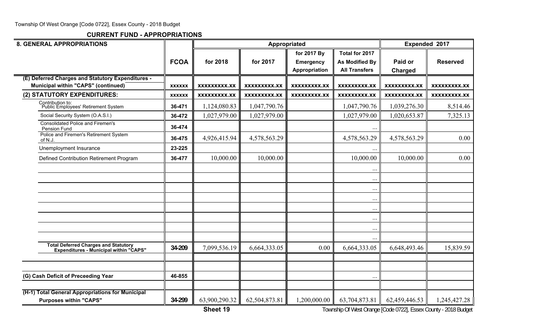| <b>8. GENERAL APPROPRIATIONS</b>                                                         |               |                     |                     | Appropriated                      |                                               | Expended 2017             |                    |  |
|------------------------------------------------------------------------------------------|---------------|---------------------|---------------------|-----------------------------------|-----------------------------------------------|---------------------------|--------------------|--|
|                                                                                          |               |                     |                     | for 2017 By                       | Total for 2017                                |                           |                    |  |
|                                                                                          | <b>FCOA</b>   | for 2018            | for 2017            | <b>Emergency</b><br>Appropriation | <b>As Modified By</b><br><b>All Transfers</b> | Paid or<br><b>Charged</b> | <b>Reserved</b>    |  |
| (E) Deferred Charges and Statutory Expenditures -<br>Municipal within "CAPS" (continued) | <b>XXXXXX</b> | XXXXXXXXX.XX        | <b>XXXXXXXXX.XX</b> | XXXXXXXXX.XX                      | <b>XXXXXXXXX.XX</b>                           | XXXXXXXXX.XX              | XXXXXXXXX.XX       |  |
| (2) STATUTORY EXPENDITURES:                                                              | <b>XXXXXX</b> | <b>XXXXXXXXX.XX</b> | <b>XXXXXXXXX.XX</b> | <b>XXXXXXXXX.XX</b>               | <b>XXXXXXXXX.XX</b>                           | XXXXXXXXX.XX              | <b>XXXXXXXX.XX</b> |  |
| Contribution to:<br>Public Employees' Retirement System                                  | 36-471        | 1,124,080.83        | 1,047,790.76        |                                   | 1,047,790.76                                  | 1,039,276.30              | 8,514.46           |  |
| Social Security System (O.A.S.I.)                                                        | 36-472        | 1,027,979.00        | 1,027,979.00        |                                   | 1,027,979.00                                  | 1,020,653.87              | 7,325.13           |  |
| <b>Consolidated Police and Firemen's</b><br>Pension Fund                                 | 36-474        |                     |                     |                                   |                                               |                           |                    |  |
| Police and Firemen's Retirement System<br>of N.J.                                        | 36-475        | 4,926,415.94        | 4,578,563.29        |                                   | 4,578,563.29                                  | 4,578,563.29              | 0.00               |  |
| Unemployment Insurance                                                                   | 23-225        |                     |                     |                                   |                                               |                           |                    |  |
| Defined Contribution Retirement Program                                                  | 36-477        | 10,000.00           | 10,000.00           |                                   | 10,000.00                                     | 10,000.00                 | 0.00               |  |
|                                                                                          |               |                     |                     |                                   | $\ddotsc$                                     |                           |                    |  |
|                                                                                          |               |                     |                     |                                   | $\ddots$                                      |                           |                    |  |
|                                                                                          |               |                     |                     |                                   | $\ddotsc$                                     |                           |                    |  |
|                                                                                          |               |                     |                     |                                   | $\cdots$                                      |                           |                    |  |
|                                                                                          |               |                     |                     |                                   | $\cdots$                                      |                           |                    |  |
|                                                                                          |               |                     |                     |                                   | $\cdots$                                      |                           |                    |  |
|                                                                                          |               |                     |                     |                                   | $\ddots$                                      |                           |                    |  |
|                                                                                          |               |                     |                     |                                   |                                               |                           |                    |  |
| <b>Total Deferred Charges and Statutory</b><br>Expenditures - Municipal within "CAPS"    | 34-209        | 7,099,536.19        | 6,664,333.05        | 0.00                              | 6,664,333.05                                  | 6,648,493.46              | 15,839.59          |  |
|                                                                                          |               |                     |                     |                                   |                                               |                           |                    |  |
| (G) Cash Deficit of Preceeding Year                                                      | 46-855        |                     |                     |                                   | $\ddotsc$                                     |                           |                    |  |
|                                                                                          |               |                     |                     |                                   |                                               |                           |                    |  |
| (H-1) Total General Appropriations for Municipal<br><b>Purposes within "CAPS"</b>        | 34-299        | 63,900,290.32       | 62,504,873.81       | 1,200,000.00                      | 63,704,873.81                                 | 62,459,446.53             | 1,245,427.28       |  |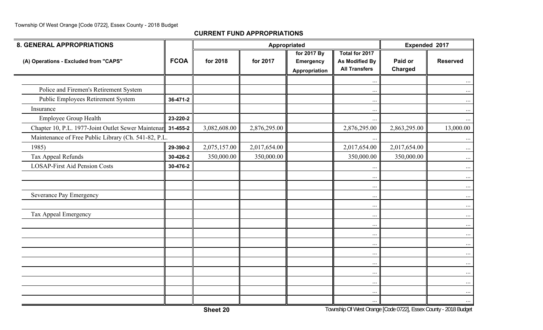| <b>8. GENERAL APPROPRIATIONS</b>                            |             |              | Appropriated |                                                  |                                                                 |                    | Expended 2017   |
|-------------------------------------------------------------|-------------|--------------|--------------|--------------------------------------------------|-----------------------------------------------------------------|--------------------|-----------------|
| (A) Operations - Excluded from "CAPS"                       | <b>FCOA</b> | for 2018     | for 2017     | for 2017 By<br><b>Emergency</b><br>Appropriation | Total for 2017<br><b>As Modified By</b><br><b>All Transfers</b> | Paid or<br>Charged | <b>Reserved</b> |
|                                                             |             |              |              |                                                  | $\ddotsc$                                                       |                    | $\cdots$        |
| Police and Firemen's Retirement System                      |             |              |              |                                                  | $\cdots$                                                        |                    | $\cdots$        |
| Public Employees Retirement System                          | 36-471-2    |              |              |                                                  | $\cdots$                                                        |                    | $\cdots$        |
| Insurance                                                   |             |              |              |                                                  | $\cdots$                                                        |                    | $\cdots$        |
| Employee Group Health                                       | 23-220-2    |              |              |                                                  | $\cdots$                                                        |                    | $\cdots$        |
| Chapter 10, P.L. 1977-Joint Outlet Sewer Maintenar 31-455-2 |             | 3,082,608.00 | 2,876,295.00 |                                                  | 2,876,295.00                                                    | 2,863,295.00       | 13,000.00       |
| Maintenance of Free Public Library (Ch. 541-82, P.L.        |             |              |              |                                                  |                                                                 |                    | $\cdots$        |
| 1985)                                                       | 29-390-2    | 2,075,157.00 | 2,017,654.00 |                                                  | 2,017,654.00                                                    | 2,017,654.00       | $\cdots$        |
| Tax Appeal Refunds                                          | 30-426-2    | 350,000.00   | 350,000.00   |                                                  | 350,000.00                                                      | 350,000.00         | $\ldots$        |
| <b>LOSAP-First Aid Pension Costs</b>                        | 30-476-2    |              |              |                                                  | $\ddotsc$                                                       |                    | $\cdots$        |
|                                                             |             |              |              |                                                  | $\ddotsc$                                                       |                    | $\cdots$        |
|                                                             |             |              |              |                                                  | $\cdots$                                                        |                    | $\cdots$        |
| Severance Pay Emergency                                     |             |              |              |                                                  | $\cdots$                                                        |                    | $\cdots$        |
|                                                             |             |              |              |                                                  | $\ddotsc$                                                       |                    | $\cdots$        |
| Tax Appeal Emergency                                        |             |              |              |                                                  | $\cdots$                                                        |                    | $\cdots$        |
|                                                             |             |              |              |                                                  | $\cdots$                                                        |                    | $\cdots$        |
|                                                             |             |              |              |                                                  | $\cdots$                                                        |                    | $\cdots$        |
|                                                             |             |              |              |                                                  | $\cdots$                                                        |                    | $\cdots$        |
|                                                             |             |              |              |                                                  | $\cdots$                                                        |                    | $\cdots$        |
|                                                             |             |              |              |                                                  | $\cdots$                                                        |                    | $\cdots$        |
|                                                             |             |              |              |                                                  | $\cdots$                                                        |                    | $\cdots$        |
|                                                             |             |              |              |                                                  | $\cdots$                                                        |                    | $\ldots$        |
|                                                             |             |              |              |                                                  | $\cdots$                                                        |                    | $\cdots$        |
|                                                             |             |              |              |                                                  | $\cdots$                                                        |                    | $\cdots$        |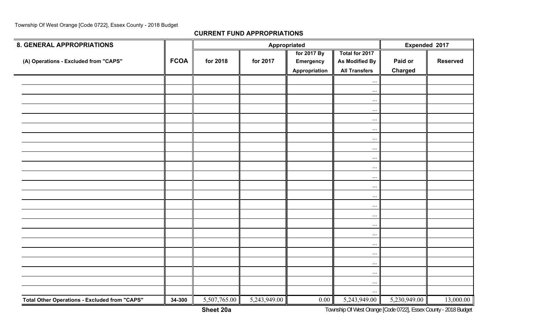| <b>8. GENERAL APPROPRIATIONS</b>                     |             |              |              | Appropriated                                     |                                                                 | Expended 2017             |                 |
|------------------------------------------------------|-------------|--------------|--------------|--------------------------------------------------|-----------------------------------------------------------------|---------------------------|-----------------|
| (A) Operations - Excluded from "CAPS"                | <b>FCOA</b> | for 2018     | for 2017     | for 2017 By<br><b>Emergency</b><br>Appropriation | Total for 2017<br><b>As Modified By</b><br><b>All Transfers</b> | Paid or<br><b>Charged</b> | <b>Reserved</b> |
|                                                      |             |              |              |                                                  | $\cdots$                                                        |                           |                 |
|                                                      |             |              |              |                                                  | $\cdots$                                                        |                           |                 |
|                                                      |             |              |              |                                                  | $\cdots$                                                        |                           |                 |
|                                                      |             |              |              |                                                  | $\ddots$                                                        |                           |                 |
|                                                      |             |              |              |                                                  | $\cdots$                                                        |                           |                 |
|                                                      |             |              |              |                                                  | $\cdots$                                                        |                           |                 |
|                                                      |             |              |              |                                                  | $\cdots$                                                        |                           |                 |
|                                                      |             |              |              |                                                  | $\ddots$                                                        |                           |                 |
|                                                      |             |              |              |                                                  | $\cdots$                                                        |                           |                 |
|                                                      |             |              |              |                                                  | $\cdots$                                                        |                           |                 |
|                                                      |             |              |              |                                                  | $\cdots$                                                        |                           |                 |
|                                                      |             |              |              |                                                  | $\cdots$                                                        |                           |                 |
|                                                      |             |              |              |                                                  | $\cdots$                                                        |                           |                 |
|                                                      |             |              |              |                                                  | $\cdots$                                                        |                           |                 |
|                                                      |             |              |              |                                                  | $\cdots$                                                        |                           |                 |
|                                                      |             |              |              |                                                  | $\cdots$                                                        |                           |                 |
|                                                      |             |              |              |                                                  | $\cdots$                                                        |                           |                 |
|                                                      |             |              |              |                                                  | $\ddotsc$                                                       |                           |                 |
|                                                      |             |              |              |                                                  | $\cdots$                                                        |                           |                 |
|                                                      |             |              |              |                                                  | $\cdots$                                                        |                           |                 |
|                                                      |             |              |              |                                                  | $\cdots$                                                        |                           |                 |
|                                                      |             |              |              |                                                  | $\cdots$                                                        |                           |                 |
|                                                      |             |              |              |                                                  | $\ddotsc$                                                       |                           |                 |
| <b>Total Other Operations - Excluded from "CAPS"</b> | 34-300      | 5,507,765.00 | 5,243,949.00 | 0.00                                             | 5,243,949.00                                                    | 5,230,949.00              | 13,000.00       |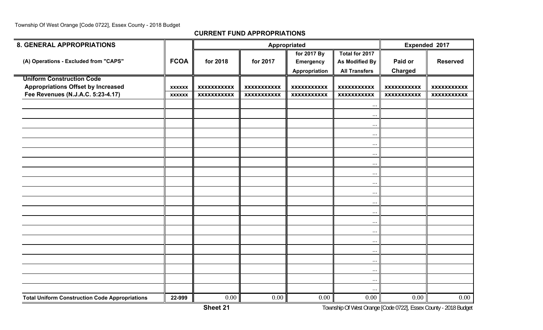| <b>8. GENERAL APPROPRIATIONS</b>                      |               |                    |                    | Appropriated       |                       | <b>Expended 2017</b> |                    |
|-------------------------------------------------------|---------------|--------------------|--------------------|--------------------|-----------------------|----------------------|--------------------|
|                                                       |               |                    |                    | for 2017 By        | Total for 2017        |                      |                    |
| (A) Operations - Excluded from "CAPS"                 | <b>FCOA</b>   | for 2018           | for 2017           | <b>Emergency</b>   | <b>As Modified By</b> | Paid or              | <b>Reserved</b>    |
|                                                       |               |                    |                    | Appropriation      | <b>All Transfers</b>  | <b>Charged</b>       |                    |
| <b>Uniform Construction Code</b>                      |               |                    |                    |                    |                       |                      |                    |
| <b>Appropriations Offset by Increased</b>             | <b>XXXXXX</b> | <b>XXXXXXXXXXX</b> | <b>XXXXXXXXXXX</b> | <b>XXXXXXXXXXX</b> | <b>XXXXXXXXXXX</b>    | <b>XXXXXXXXXXX</b>   | <b>XXXXXXXXXXX</b> |
| Fee Revenues (N.J.A.C. 5:23-4.17)                     | <b>XXXXXX</b> | <b>XXXXXXXXXXX</b> | <b>XXXXXXXXXXX</b> | <b>XXXXXXXXXXX</b> | <b>XXXXXXXXXXX</b>    | <b>XXXXXXXXXXX</b>   | <b>XXXXXXXXXXX</b> |
|                                                       |               |                    |                    |                    | $\cdots$              |                      |                    |
|                                                       |               |                    |                    |                    | $\ddotsc$             |                      |                    |
|                                                       |               |                    |                    |                    | $\ddotsc$             |                      |                    |
|                                                       |               |                    |                    |                    | $\cdots$              |                      |                    |
|                                                       |               |                    |                    |                    | $\cdots$              |                      |                    |
|                                                       |               |                    |                    |                    | $\cdots$              |                      |                    |
|                                                       |               |                    |                    |                    | $\cdots$              |                      |                    |
|                                                       |               |                    |                    |                    | $\cdots$              |                      |                    |
|                                                       |               |                    |                    |                    | $\ldots$              |                      |                    |
|                                                       |               |                    |                    |                    | $\cdots$              |                      |                    |
|                                                       |               |                    |                    |                    | $\cdots$              |                      |                    |
|                                                       |               |                    |                    |                    | $\cdots$              |                      |                    |
|                                                       |               |                    |                    |                    | $\cdots$              |                      |                    |
|                                                       |               |                    |                    |                    | $\cdots$              |                      |                    |
|                                                       |               |                    |                    |                    | $\cdots$              |                      |                    |
|                                                       |               |                    |                    |                    | $\ldots$              |                      |                    |
|                                                       |               |                    |                    |                    | $\ddots$              |                      |                    |
|                                                       |               |                    |                    |                    | $\cdots$              |                      |                    |
|                                                       |               |                    |                    |                    | $\cdots$              |                      |                    |
|                                                       |               |                    |                    |                    | $\cdots$              |                      |                    |
| <b>Total Uniform Construction Code Appropriations</b> | 22-999        | 0.00               | 0.00               | 0.00               | 0.00                  | 0.00                 | 0.00               |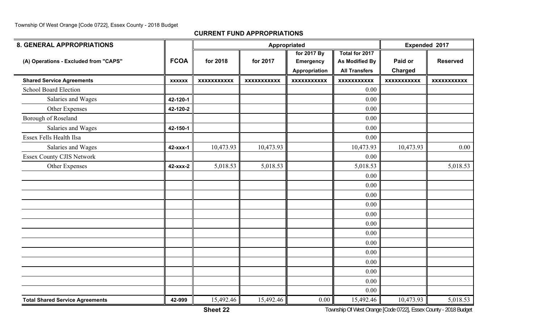| <b>8. GENERAL APPROPRIATIONS</b>       |               |                    |                    | Appropriated       |                       |                    | Expended 2017      |
|----------------------------------------|---------------|--------------------|--------------------|--------------------|-----------------------|--------------------|--------------------|
|                                        |               |                    |                    | for 2017 By        | Total for 2017        |                    |                    |
| (A) Operations - Excluded from "CAPS"  | <b>FCOA</b>   | for 2018           | for 2017           | <b>Emergency</b>   | <b>As Modified By</b> | Paid or            | <b>Reserved</b>    |
|                                        |               |                    |                    | Appropriation      | <b>All Transfers</b>  | <b>Charged</b>     |                    |
| <b>Shared Service Agreements</b>       | <b>XXXXXX</b> | <b>XXXXXXXXXXX</b> | <b>XXXXXXXXXXX</b> | <b>XXXXXXXXXXX</b> | <b>XXXXXXXXXXX</b>    | <b>XXXXXXXXXXX</b> | <b>XXXXXXXXXXX</b> |
| <b>School Board Election</b>           |               |                    |                    |                    | 0.00                  |                    |                    |
| Salaries and Wages                     | 42-120-1      |                    |                    |                    | 0.00                  |                    |                    |
| Other Expenses                         | 42-120-2      |                    |                    |                    | 0.00                  |                    |                    |
| Borough of Roseland                    |               |                    |                    |                    | 0.00                  |                    |                    |
| Salaries and Wages                     | 42-150-1      |                    |                    |                    | 0.00                  |                    |                    |
| Essex Fells Health Ilsa                |               |                    |                    |                    | 0.00                  |                    |                    |
| Salaries and Wages                     | 42-xxx-1      | 10,473.93          | 10,473.93          |                    | 10,473.93             | 10,473.93          | 0.00               |
| <b>Essex County CJIS Network</b>       |               |                    |                    |                    | 0.00                  |                    |                    |
| Other Expenses                         | 42-xxx-2      | 5,018.53           | 5,018.53           |                    | 5,018.53              |                    | 5,018.53           |
|                                        |               |                    |                    |                    | 0.00                  |                    |                    |
|                                        |               |                    |                    |                    | 0.00                  |                    |                    |
|                                        |               |                    |                    |                    | 0.00                  |                    |                    |
|                                        |               |                    |                    |                    | 0.00                  |                    |                    |
|                                        |               |                    |                    |                    | 0.00                  |                    |                    |
|                                        |               |                    |                    |                    | 0.00                  |                    |                    |
|                                        |               |                    |                    |                    | 0.00                  |                    |                    |
|                                        |               |                    |                    |                    | 0.00                  |                    |                    |
|                                        |               |                    |                    |                    | 0.00                  |                    |                    |
|                                        |               |                    |                    |                    | 0.00                  |                    |                    |
|                                        |               |                    |                    |                    | 0.00                  |                    |                    |
|                                        |               |                    |                    |                    | 0.00                  |                    |                    |
|                                        |               |                    |                    |                    | 0.00                  |                    |                    |
| <b>Total Shared Service Agreements</b> | 42-999        | 15,492.46          | 15,492.46          | 0.00               | 15,492.46             | 10,473.93          | 5,018.53           |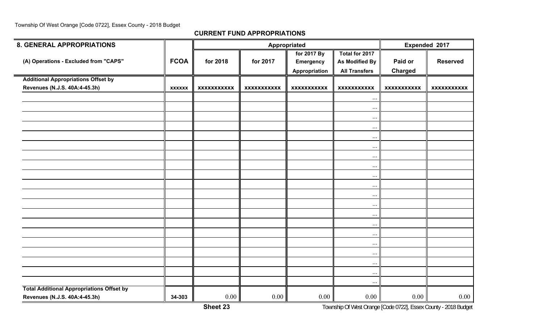| <b>8. GENERAL APPROPRIATIONS</b>                 |               |                    | Appropriated       |                                                  | Expended 2017                                                   |                           |                    |
|--------------------------------------------------|---------------|--------------------|--------------------|--------------------------------------------------|-----------------------------------------------------------------|---------------------------|--------------------|
| (A) Operations - Excluded from "CAPS"            | <b>FCOA</b>   | for 2018           | for 2017           | for 2017 By<br><b>Emergency</b><br>Appropriation | Total for 2017<br><b>As Modified By</b><br><b>All Transfers</b> | Paid or<br><b>Charged</b> | <b>Reserved</b>    |
| <b>Additional Appropriations Offset by</b>       |               |                    |                    |                                                  |                                                                 |                           |                    |
| Revenues (N.J.S. 40A:4-45.3h)                    | <b>XXXXXX</b> | <b>XXXXXXXXXXX</b> | <b>XXXXXXXXXXX</b> | <b>XXXXXXXXXXX</b>                               | <b>XXXXXXXXXXX</b>                                              | <b>XXXXXXXXXXX</b>        | <b>XXXXXXXXXXX</b> |
|                                                  |               |                    |                    |                                                  | $\cdots$                                                        |                           |                    |
|                                                  |               |                    |                    |                                                  | $\cdots$                                                        |                           |                    |
|                                                  |               |                    |                    |                                                  | $\ddotsc$                                                       |                           |                    |
|                                                  |               |                    |                    |                                                  | $\cdots$                                                        |                           |                    |
|                                                  |               |                    |                    |                                                  | $\cdots$                                                        |                           |                    |
|                                                  |               |                    |                    |                                                  | $\cdots$                                                        |                           |                    |
|                                                  |               |                    |                    |                                                  | $\cdots$                                                        |                           |                    |
|                                                  |               |                    |                    |                                                  | $\ldots$                                                        |                           |                    |
|                                                  |               |                    |                    |                                                  | $\cdots$                                                        |                           |                    |
|                                                  |               |                    |                    |                                                  | $\cdots$                                                        |                           |                    |
|                                                  |               |                    |                    |                                                  | $\cdots$                                                        |                           |                    |
|                                                  |               |                    |                    |                                                  | $\cdots$                                                        |                           |                    |
|                                                  |               |                    |                    |                                                  | $\ddots$                                                        |                           |                    |
|                                                  |               |                    |                    |                                                  | $\cdots$                                                        |                           |                    |
|                                                  |               |                    |                    |                                                  | $\cdots$                                                        |                           |                    |
|                                                  |               |                    |                    |                                                  |                                                                 |                           |                    |
|                                                  |               |                    |                    |                                                  | $\cdots$                                                        |                           |                    |
|                                                  |               |                    |                    |                                                  | $\cdots$                                                        |                           |                    |
|                                                  |               |                    |                    |                                                  | $\cdots$                                                        |                           |                    |
|                                                  |               |                    |                    |                                                  | $\cdots$                                                        |                           |                    |
| <b>Total Additional Appropriations Offset by</b> |               |                    |                    |                                                  | $\cdots$                                                        |                           |                    |
| Revenues (N.J.S. 40A:4-45.3h)                    | 34-303        | 0.00               | 0.00               | $0.00\,$                                         | 0.00                                                            | 0.00                      | 0.00               |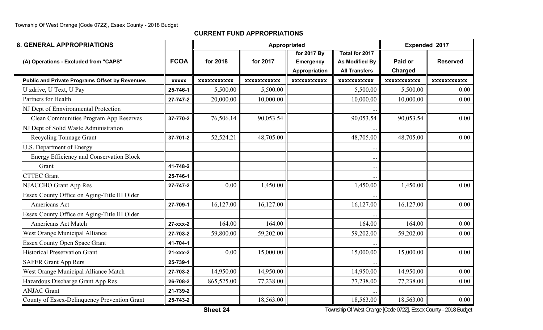**CURRENT FUND APPROPRIATIONS**

| <b>8. GENERAL APPROPRIATIONS</b>                      |                |                    | Appropriated       |                                   | Expended 2017                                 |                    |                    |
|-------------------------------------------------------|----------------|--------------------|--------------------|-----------------------------------|-----------------------------------------------|--------------------|--------------------|
|                                                       | <b>FCOA</b>    | for 2018           | for 2017           | for 2017 By                       | Total for 2017                                | Paid or            | <b>Reserved</b>    |
| (A) Operations - Excluded from "CAPS"                 |                |                    |                    | <b>Emergency</b><br>Appropriation | <b>As Modified By</b><br><b>All Transfers</b> | <b>Charged</b>     |                    |
| <b>Public and Private Programs Offset by Revenues</b> | <b>XXXXX</b>   | <b>XXXXXXXXXXX</b> | <b>XXXXXXXXXXX</b> | <b>XXXXXXXXXXX</b>                | <b>XXXXXXXXXXX</b>                            | <b>XXXXXXXXXXX</b> | <b>XXXXXXXXXXX</b> |
| U zdrive, U Text, U Pay                               | 25-746-1       | 5,500.00           | 5,500.00           |                                   | 5,500.00                                      | 5,500.00           | 0.00               |
| Partners for Health                                   | 27-747-2       | 20,000.00          | 10,000.00          |                                   | 10,000.00                                     | 10,000.00          | 0.00               |
| NJ Dept of Ennvironmental Protection                  |                |                    |                    |                                   |                                               |                    |                    |
| Clean Communities Program App Reserves                | 37-770-2       | 76,506.14          | 90,053.54          |                                   | 90,053.54                                     | 90,053.54          | 0.00               |
| NJ Dept of Solid Waste Administration                 |                |                    |                    |                                   |                                               |                    |                    |
| Recycling Tonnage Grant                               | 37-701-2       | 52,524.21          | 48,705.00          |                                   | 48,705.00                                     | 48,705.00          | 0.00               |
| U.S. Department of Energy                             |                |                    |                    |                                   |                                               |                    |                    |
| Energy Efficiency and Conservation Block              |                |                    |                    |                                   | $\ddots$                                      |                    |                    |
| Grant                                                 | 41-748-2       |                    |                    |                                   | $\cdots$                                      |                    |                    |
| <b>CTTEC Grant</b>                                    | 25-746-1       |                    |                    |                                   |                                               |                    |                    |
| NJACCHO Grant App Res                                 | 27-747-2       | 0.00               | 1,450.00           |                                   | 1,450.00                                      | 1,450.00           | 0.00               |
| Essex County Office on Aging-Title III Older          |                |                    |                    |                                   |                                               |                    |                    |
| Americans Act                                         | 27-709-1       | 16,127.00          | 16,127.00          |                                   | 16,127.00                                     | 16,127.00          | 0.00               |
| Essex County Office on Aging-Title III Older          |                |                    |                    |                                   |                                               |                    |                    |
| Americans Act Match                                   | $27 - XXX - 2$ | 164.00             | 164.00             |                                   | 164.00                                        | 164.00             | 0.00               |
| West Orange Municipal Alliance                        | 27-703-2       | 59,800.00          | 59,202.00          |                                   | 59,202.00                                     | 59,202.00          | 0.00               |
| <b>Essex County Open Space Grant</b>                  | 41-704-1       |                    |                    |                                   |                                               |                    |                    |
| <b>Historical Preservation Grant</b>                  | $21 - XXX - 2$ | 0.00               | 15,000.00          |                                   | 15,000.00                                     | 15,000.00          | 0.00               |
| <b>SAFER Grant App Rers</b>                           | 25-739-1       |                    |                    |                                   |                                               |                    |                    |
| West Orange Municipal Alliance Match                  | 27-703-2       | 14,950.00          | 14,950.00          |                                   | 14,950.00                                     | 14,950.00          | 0.00               |
| Hazardous Discharge Grant App Res                     | 26-708-2       | 865,525.00         | 77,238.00          |                                   | 77,238.00                                     | 77,238.00          | 0.00               |
| <b>ANJAC Grant</b>                                    | 21-739-2       |                    |                    |                                   |                                               |                    |                    |
| County of Essex-Delinquency Prevention Grant          | 25-743-2       |                    | 18,563.00          |                                   | 18,563.00                                     | 18,563.00          | 0.00               |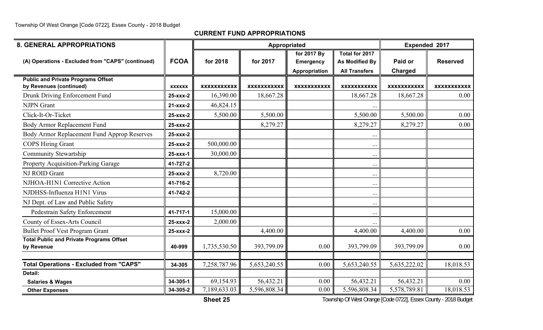**CURRENT FUND APPROPRIATIONS**

| <b>8. GENERAL APPROPRIATIONS</b>                                     |                |                    | Appropriated       |                                                  |                                                          | Expended 2017      |                    |
|----------------------------------------------------------------------|----------------|--------------------|--------------------|--------------------------------------------------|----------------------------------------------------------|--------------------|--------------------|
| (A) Operations - Excluded from "CAPS" (continued)                    | <b>FCOA</b>    | for 2018           | for 2017           | for 2017 By<br><b>Emergency</b><br>Appropriation | Total for 2017<br>As Modified By<br><b>All Transfers</b> | Paid or<br>Charged | <b>Reserved</b>    |
| <b>Public and Private Programs Offset</b><br>by Revenues (continued) | <b>XXXXXX</b>  | <b>XXXXXXXXXXX</b> | <b>XXXXXXXXXXX</b> | <b>XXXXXXXXXXX</b>                               | <b>XXXXXXXXXXX</b>                                       | <b>XXXXXXXXXXX</b> | <b>XXXXXXXXXXX</b> |
| Drunk Driving Enforcement Fund                                       | 25-xxx-2       | 16,390.00          | 18,667.28          |                                                  | 18,667.28                                                | 18,667.28          | $0.00\,$           |
| <b>NJPN</b> Grant                                                    | $21 - XXX - 2$ | 46,824.15          |                    |                                                  |                                                          |                    |                    |
| Click-It-Or-Ticket                                                   | 25-xxx-2       | 5,500.00           | 5,500.00           |                                                  | 5,500.00                                                 | 5,500.00           | 0.00               |
| Body Armor Replacement Fund                                          | 25-xxx-2       |                    | 8,279.27           |                                                  | 8,279.27                                                 | 8,279.27           | 0.00               |
| Body Armor Replacement Fund Approp Reserves                          | 25-xxx-2       |                    |                    |                                                  | $\ddot{\phantom{a}}$                                     |                    |                    |
| <b>COPS Hiring Grant</b>                                             | 25-xxx-2       | 500,000.00         |                    |                                                  | $\cdots$                                                 |                    |                    |
| <b>Community Stewartship</b>                                         | 25-xxx-1       | 30,000.00          |                    |                                                  | $\cdots$                                                 |                    |                    |
| <b>Property Acquisition-Parking Garage</b>                           | 41-727-2       |                    |                    |                                                  | $\cdots$                                                 |                    |                    |
| NJ ROID Grant                                                        | 25-xxx-2       | 8,720.00           |                    |                                                  | $\ddotsc$                                                |                    |                    |
| NJHOA-H1N1 Corrective Action                                         | 41-716-2       |                    |                    |                                                  | $\cdots$                                                 |                    |                    |
| NJDHSS-Influenza H1N1 Virus                                          | 41-742-2       |                    |                    |                                                  | $\ddotsc$                                                |                    |                    |
| NJ Dept. of Law and Public Safety                                    |                |                    |                    |                                                  | $\cdots$                                                 |                    |                    |
| Pedestrain Safety Enforcement                                        | 41-717-1       | 15,000.00          |                    |                                                  | $\cdots$                                                 |                    |                    |
| County of Essex-Arts Council                                         | 25-xxx-2       | 2,000.00           |                    |                                                  | $\ddotsc$                                                |                    |                    |
| <b>Bullet Proof Vest Program Grant</b>                               | 25-xxx-2       |                    | 4,400.00           |                                                  | 4,400.00                                                 | 4,400.00           | 0.00               |
| <b>Total Public and Private Programs Offset</b><br>by Revenue        | 40-999         | 1,735,530.50       | 393,799.09         | 0.00                                             | 393,799.09                                               | 393,799.09         | 0.00               |
| <b>Total Operations - Excluded from "CAPS"</b>                       | 34-305         | 7,258,787.96       | 5,653,240.55       | 0.00                                             | 5,653,240.55                                             | 5,635,222.02       | 18,018.53          |
| Detail:                                                              |                |                    |                    |                                                  |                                                          |                    |                    |
| <b>Salaries &amp; Wages</b>                                          | 34-305-1       | 69,154.93          | 56,432.21          | 0.00                                             | 56,432.21                                                | 56,432.21          | 0.00               |
| <b>Other Expenses</b>                                                | 34-305-2       | 7,189,633.03       | 5,596,808.34       | 0.00                                             | 5,596,808.34                                             | 5,578,789.81       | 18,018.53          |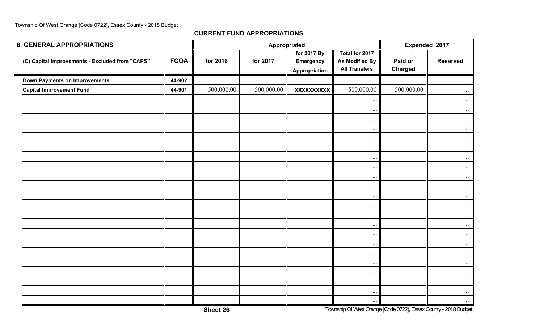| <b>8. GENERAL APPROPRIATIONS</b>                |             |            |            | Appropriated                                     |                                                          |                           | Expended 2017   |
|-------------------------------------------------|-------------|------------|------------|--------------------------------------------------|----------------------------------------------------------|---------------------------|-----------------|
| (C) Capital Improvements - Excluded from "CAPS" | <b>FCOA</b> | for 2018   | for 2017   | for 2017 By<br><b>Emergency</b><br>Appropriation | Total for 2017<br>As Modified By<br><b>All Transfers</b> | Paid or<br><b>Charged</b> | <b>Reserved</b> |
| <b>Down Payments on Improvements</b>            | 44-902      |            |            |                                                  | $\ldots$                                                 |                           | $\cdots$        |
| <b>Capital Improvement Fund</b>                 | 44-901      | 500,000.00 | 500,000.00 | <b>XXXXXXXXXX</b>                                | 500,000.00                                               | 500,000.00                | $\cdots$        |
|                                                 |             |            |            |                                                  | $\cdots$                                                 |                           | $\cdots$        |
|                                                 |             |            |            |                                                  | $\cdots$                                                 |                           | $\cdots$        |
|                                                 |             |            |            |                                                  | $\ldots$                                                 |                           | $\cdots$        |
|                                                 |             |            |            |                                                  | $\ldots$                                                 |                           | $\ldots$        |
|                                                 |             |            |            |                                                  | $\cdots$                                                 |                           | $\cdots$        |
|                                                 |             |            |            |                                                  | $\ldots$                                                 |                           | $\cdots$        |
|                                                 |             |            |            |                                                  | $\cdots$                                                 |                           | $\cdots$        |
|                                                 |             |            |            |                                                  | $\ldots$                                                 |                           | $\ldots$        |
|                                                 |             |            |            |                                                  | $\ldots$                                                 |                           | $\cdots$        |
|                                                 |             |            |            |                                                  | $\ldots$                                                 |                           | $\cdots$        |
|                                                 |             |            |            |                                                  | $\ldots$                                                 |                           | $\cdots$        |
|                                                 |             |            |            |                                                  | $\ldots$                                                 |                           | $\ldots$        |
|                                                 |             |            |            |                                                  | $\ldots$                                                 |                           | $\cdots$        |
|                                                 |             |            |            |                                                  | $\ldots$                                                 |                           | $\ldots$        |
|                                                 |             |            |            |                                                  | $\ldots$                                                 |                           | $\cdots$        |
|                                                 |             |            |            |                                                  | $\ldots$                                                 |                           | $\cdots$        |
|                                                 |             |            |            |                                                  | $\ldots$                                                 |                           | $\cdots$        |
|                                                 |             |            |            |                                                  | $\ldots$                                                 |                           | $\cdots$        |
|                                                 |             |            |            |                                                  | $\ldots$                                                 |                           | $\cdots$        |
|                                                 |             |            |            |                                                  | $\cdots$                                                 |                           | $\cdots$        |
|                                                 |             |            |            |                                                  | $\cdots$                                                 |                           | $\cdots$        |
|                                                 |             |            |            |                                                  | $\cdots$                                                 |                           | $\cdots$        |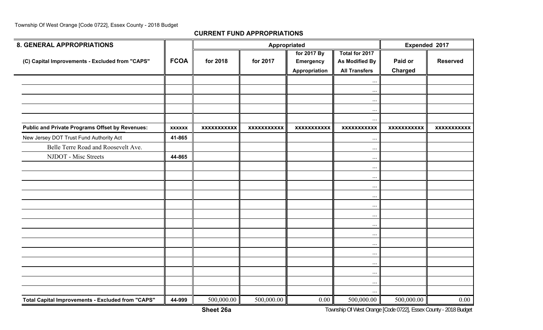| <b>8. GENERAL APPROPRIATIONS</b>                       |               |                    |                    | Appropriated             |                                  | Expended 2017      |                    |  |
|--------------------------------------------------------|---------------|--------------------|--------------------|--------------------------|----------------------------------|--------------------|--------------------|--|
| (C) Capital Improvements - Excluded from "CAPS"        | <b>FCOA</b>   | for 2018           | for 2017           | for 2017 By<br>Emergency | Total for 2017<br>As Modified By | Paid or            | <b>Reserved</b>    |  |
|                                                        |               |                    |                    | Appropriation            | <b>All Transfers</b>             | <b>Charged</b>     |                    |  |
|                                                        |               |                    |                    |                          | $\ldots$                         |                    |                    |  |
|                                                        |               |                    |                    |                          | $\ldots$                         |                    |                    |  |
|                                                        |               |                    |                    |                          | $\cdots$                         |                    |                    |  |
|                                                        |               |                    |                    |                          | $\cdots$                         |                    |                    |  |
| <b>Public and Private Programs Offset by Revenues:</b> | <b>XXXXXX</b> | <b>XXXXXXXXXXX</b> | <b>XXXXXXXXXXX</b> | <b>XXXXXXXXXXX</b>       | $\ldots$<br><b>XXXXXXXXXXX</b>   | <b>XXXXXXXXXXX</b> | <b>XXXXXXXXXXX</b> |  |
| New Jersey DOT Trust Fund Authority Act                | 41-865        |                    |                    |                          |                                  |                    |                    |  |
| Belle Terre Road and Roosevelt Ave.                    |               |                    |                    |                          | $\ldots$                         |                    |                    |  |
| NJDOT - Misc Streets                                   | 44-865        |                    |                    |                          | $\cdots$                         |                    |                    |  |
|                                                        |               |                    |                    |                          | $\ldots$<br>$\cdots$             |                    |                    |  |
|                                                        |               |                    |                    |                          | $\cdots$                         |                    |                    |  |
|                                                        |               |                    |                    |                          | $\cdots$                         |                    |                    |  |
|                                                        |               |                    |                    |                          | $\ldots$                         |                    |                    |  |
|                                                        |               |                    |                    |                          | $\cdots$                         |                    |                    |  |
|                                                        |               |                    |                    |                          | $\ldots$                         |                    |                    |  |
|                                                        |               |                    |                    |                          | $\cdots$                         |                    |                    |  |
|                                                        |               |                    |                    |                          | $\cdots$                         |                    |                    |  |
|                                                        |               |                    |                    |                          | $\cdots$                         |                    |                    |  |
|                                                        |               |                    |                    |                          | $\cdots$                         |                    |                    |  |
|                                                        |               |                    |                    |                          | $\ldots$                         |                    |                    |  |
|                                                        |               |                    |                    |                          | $\cdots$                         |                    |                    |  |
|                                                        |               |                    |                    |                          | $\ldots$                         |                    |                    |  |
|                                                        |               |                    |                    |                          | $\cdots$                         |                    |                    |  |
| Total Capital Improvements - Excluded from "CAPS"      | 44-999        | 500,000.00         | 500,000.00         | 0.00                     | 500,000.00                       | 500,000.00         | $0.00\,$           |  |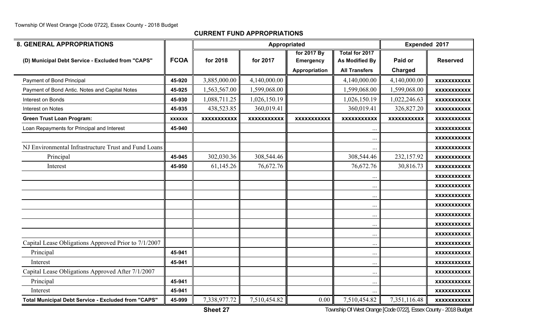| <b>8. GENERAL APPROPRIATIONS</b>                           |               |                    | Appropriated       |                    |                       | Expended 2017      |                    |
|------------------------------------------------------------|---------------|--------------------|--------------------|--------------------|-----------------------|--------------------|--------------------|
|                                                            |               |                    |                    | for 2017 By        | <b>Total for 2017</b> |                    |                    |
| (D) Municipal Debt Service - Excluded from "CAPS"          | <b>FCOA</b>   | for 2018           | for 2017           | <b>Emergency</b>   | <b>As Modified By</b> | Paid or            | <b>Reserved</b>    |
|                                                            |               |                    |                    | Appropriation      | <b>All Transfers</b>  | Charged            |                    |
| Payment of Bond Principal                                  | 45-920        | 3,885,000.00       | 4,140,000.00       |                    | 4,140,000.00          | 4,140,000.00       | <b>XXXXXXXXXXX</b> |
| Payment of Bond Antic. Notes and Capital Notes             | 45-925        | 1,563,567.00       | 1,599,068.00       |                    | 1,599,068.00          | 1,599,068.00       | <b>XXXXXXXXXXX</b> |
| Interest on Bonds                                          | 45-930        | 1,088,711.25       | 1,026,150.19       |                    | 1,026,150.19          | 1,022,246.63       | <b>XXXXXXXXXXX</b> |
| Interest on Notes                                          | 45-935        | 438,523.85         | 360,019.41         |                    | 360,019.41            | 326,827.20         | <b>XXXXXXXXXXX</b> |
| <b>Green Trust Loan Program:</b>                           | <b>XXXXXX</b> | <b>XXXXXXXXXXX</b> | <b>XXXXXXXXXXX</b> | <b>XXXXXXXXXXX</b> | <b>XXXXXXXXXXX</b>    | <b>XXXXXXXXXXX</b> | <b>XXXXXXXXXXX</b> |
| Loan Repayments for Principal and Interest                 | 45-940        |                    |                    |                    | $\cdot$ .             |                    | <b>XXXXXXXXXXX</b> |
|                                                            |               |                    |                    |                    | $\ddotsc$             |                    | <b>XXXXXXXXXXX</b> |
| NJ Environmental Infrastructure Trust and Fund Loans       |               |                    |                    |                    |                       |                    | <b>XXXXXXXXXXX</b> |
| Principal                                                  | 45-945        | 302,030.36         | 308,544.46         |                    | 308,544.46            | 232,157.92         | <b>XXXXXXXXXXX</b> |
| Interest                                                   | 45-950        | 61,145.26          | 76,672.76          |                    | 76,672.76             | 30,816.73          | <b>XXXXXXXXXXX</b> |
|                                                            |               |                    |                    |                    |                       |                    | <b>XXXXXXXXXXX</b> |
|                                                            |               |                    |                    |                    | $\cdots$              |                    | <b>XXXXXXXXXXX</b> |
|                                                            |               |                    |                    |                    | $\ddotsc$             |                    | <b>XXXXXXXXXXX</b> |
|                                                            |               |                    |                    |                    | $\ddot{\phantom{0}}$  |                    | <b>XXXXXXXXXXX</b> |
|                                                            |               |                    |                    |                    | $\cdots$              |                    | <b>XXXXXXXXXXX</b> |
|                                                            |               |                    |                    |                    | $\ddotsc$             |                    | <b>XXXXXXXXXXX</b> |
|                                                            |               |                    |                    |                    | $\ddotsc$             |                    | <b>XXXXXXXXXXX</b> |
| Capital Lease Obligations Approved Prior to 7/1/2007       |               |                    |                    |                    | $\cdots$              |                    | <b>XXXXXXXXXXX</b> |
| Principal                                                  | 45-941        |                    |                    |                    | $\ddotsc$             |                    | <b>XXXXXXXXXXX</b> |
| Interest                                                   | 45-941        |                    |                    |                    | $\cdots$              |                    | <b>XXXXXXXXXXX</b> |
| Capital Lease Obligations Approved After 7/1/2007          |               |                    |                    |                    | $\ddotsc$             |                    | <b>XXXXXXXXXXX</b> |
| Principal                                                  | 45-941        |                    |                    |                    | $\cdots$              |                    | <b>XXXXXXXXXXX</b> |
| Interest                                                   | 45-941        |                    |                    |                    |                       |                    | <b>XXXXXXXXXXX</b> |
| <b>Total Municipal Debt Service - Excluded from "CAPS"</b> | 45-999        | 7,338,977.72       | 7,510,454.82       | 0.00               | 7,510,454.82          | 7,351,116.48       | <b>XXXXXXXXXXX</b> |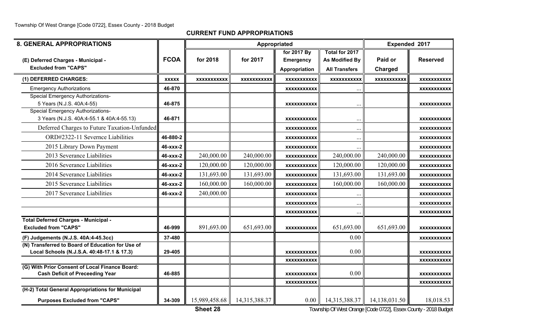**CURRENT FUND APPROPRIATIONS**

| <b>8. GENERAL APPROPRIATIONS</b>                                                               |              |                    |                    | Appropriated       |                      | Expended 2017      |                    |
|------------------------------------------------------------------------------------------------|--------------|--------------------|--------------------|--------------------|----------------------|--------------------|--------------------|
|                                                                                                |              |                    |                    | for 2017 By        | Total for 2017       |                    |                    |
| (E) Deferred Charges - Municipal -                                                             | <b>FCOA</b>  | for 2018           | for 2017           | <b>Emergency</b>   | As Modified By       | Paid or            | <b>Reserved</b>    |
| <b>Excluded from "CAPS"</b>                                                                    |              |                    |                    | Appropriation      | <b>All Transfers</b> | Charged            |                    |
| (1) DEFERRED CHARGES:                                                                          | <b>XXXXX</b> | <b>XXXXXXXXXXX</b> | <b>XXXXXXXXXXX</b> | <b>XXXXXXXXXXX</b> | <b>XXXXXXXXXXX</b>   | <b>XXXXXXXXXXX</b> | <b>XXXXXXXXXXX</b> |
| <b>Emergency Authorizations</b>                                                                | 46-870       |                    |                    | <b>XXXXXXXXXXX</b> | $\ddotsc$            |                    | <b>XXXXXXXXXXX</b> |
| <b>Special Emergency Authorizations-</b>                                                       |              |                    |                    |                    |                      |                    |                    |
| 5 Years (N.J.S. 40A:4-55)                                                                      | 46-875       |                    |                    | <b>XXXXXXXXXXX</b> |                      |                    | <b>XXXXXXXXXXX</b> |
| <b>Special Emergency Authorizations-</b><br>3 Years (N.J.S. 40A:4-55.1 & 40A:4-55.13)          | 46-871       |                    |                    | <b>XXXXXXXXXXX</b> | $\ddotsc$            |                    | <b>XXXXXXXXXXX</b> |
| Deferred Charges to Future Taxation-Unfunded                                                   |              |                    |                    | <b>XXXXXXXXXXX</b> | $\cdots$             |                    | <b>XXXXXXXXXXX</b> |
| ORD#2322-11 Severnce Liabilities                                                               | 46-880-2     |                    |                    | <b>XXXXXXXXXXX</b> | $\ddotsc$            |                    | <b>XXXXXXXXXXX</b> |
| 2015 Library Down Payment                                                                      | 46-xxx-2     |                    |                    | <b>XXXXXXXXXXX</b> | $\cdots$             |                    | XXXXXXXXXXX        |
| 2013 Severance Liabilities                                                                     | 46-xxx-2     | 240,000.00         | 240,000.00         | <b>XXXXXXXXXXX</b> | 240,000.00           | 240,000.00         | <b>XXXXXXXXXXX</b> |
| 2016 Severance Liabilities                                                                     | 46-xxx-2     | 120,000.00         | 120,000.00         | <b>XXXXXXXXXXX</b> | 120,000.00           | 120,000.00         | <b>XXXXXXXXXXX</b> |
| 2014 Severance Liabilities                                                                     | 46-xxx-2     | 131,693.00         | 131,693.00         | <b>XXXXXXXXXXX</b> | 131,693.00           | 131,693.00         | <b>XXXXXXXXXXX</b> |
| 2015 Severance Liabilities                                                                     | 46-xxx-2     | 160,000.00         | 160,000.00         | <b>XXXXXXXXXXX</b> | 160,000.00           | 160,000.00         | <b>XXXXXXXXXXX</b> |
| 2017 Severance Liabilities                                                                     | 46-xxx-2     | 240,000.00         |                    | <b>XXXXXXXXXXX</b> | $\ddotsc$            |                    | <b>XXXXXXXXXXX</b> |
|                                                                                                |              |                    |                    | <b>XXXXXXXXXXX</b> | $\ddotsc$            |                    | XXXXXXXXXXX        |
|                                                                                                |              |                    |                    | <b>XXXXXXXXXXX</b> | $\ddotsc$            |                    | XXXXXXXXXXX        |
| <b>Total Deferred Charges - Municipal -</b>                                                    |              |                    |                    |                    |                      |                    |                    |
| <b>Excluded from "CAPS"</b>                                                                    | 46-999       | 891,693.00         | 651,693.00         | <b>XXXXXXXXXXX</b> | 651,693.00           | 651,693.00         | <b>XXXXXXXXXXX</b> |
| (F) Judgements (N.J.S. 40A:4-45.3cc)                                                           | 37-480       |                    |                    |                    | 0.00                 |                    | <b>XXXXXXXXXXX</b> |
| (N) Transferred to Board of Education for Use of<br>Local Schools (N.J.S.A. 40:48-17.1 & 17.3) | 29-405       |                    |                    | <b>XXXXXXXXXXX</b> | 0.00                 |                    | <b>XXXXXXXXXXX</b> |
|                                                                                                |              |                    |                    | <b>XXXXXXXXXXX</b> |                      |                    | <b>XXXXXXXXXXX</b> |
| (G) With Prior Consent of Local Finance Board:<br><b>Cash Deficit of Preceeding Year</b>       | 46-885       |                    |                    | <b>XXXXXXXXXXX</b> | 0.00                 |                    | <b>XXXXXXXXXXX</b> |
|                                                                                                |              |                    |                    | <b>XXXXXXXXXXX</b> |                      |                    | XXXXXXXXXXX        |
| (H-2) Total General Appropriations for Municipal                                               |              |                    |                    |                    |                      |                    |                    |
| <b>Purposes Excluded from "CAPS"</b>                                                           | 34-309       | 15,989,458.68      | 14,315,388.37      | 0.00               | 14,315,388.37        | 14,138,031.50      | 18,018.53          |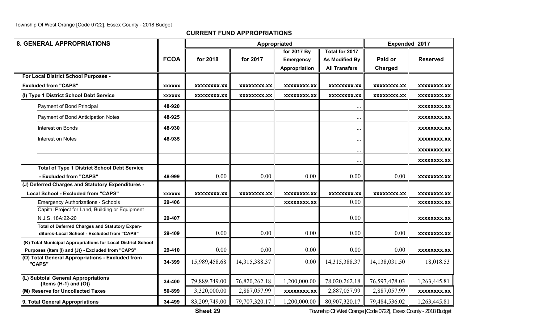**CURRENT FUND APPROPRIATIONS**

| <b>8. GENERAL APPROPRIATIONS</b>                                                              |               |               |                    | Appropriated       |                      |                    | Expended 2017      |
|-----------------------------------------------------------------------------------------------|---------------|---------------|--------------------|--------------------|----------------------|--------------------|--------------------|
|                                                                                               |               |               |                    | for 2017 By        | Total for 2017       |                    |                    |
|                                                                                               | <b>FCOA</b>   | for 2018      | for 2017           | <b>Emergency</b>   | As Modified By       | Paid or            | <b>Reserved</b>    |
|                                                                                               |               |               |                    | Appropriation      | <b>All Transfers</b> | Charged            |                    |
| For Local District School Purposes -                                                          |               |               |                    |                    |                      |                    |                    |
| <b>Excluded from "CAPS"</b>                                                                   | <b>XXXXXX</b> | XXXXXXXX.XX   | <b>XXXXXXXX.XX</b> | XXXXXXXX.XX        | <b>XXXXXXXX.XX</b>   | <b>XXXXXXXX.XX</b> | XXXXXXXX.XX        |
| (I) Type 1 District School Debt Service                                                       | <b>XXXXXX</b> | XXXXXXXX.XX   | XXXXXXXX.XX        | XXXXXXXX.XX        | XXXXXXXX.XX          | XXXXXXXX.XX        | XXXXXXXX.XX        |
| Payment of Bond Principal                                                                     | 48-920        |               |                    |                    | $\ddotsc$            |                    | XXXXXXXX.XX        |
| Payment of Bond Anticipation Notes                                                            | 48-925        |               |                    |                    | $\ddotsc$            |                    | XXXXXXXX.XX        |
| Interest on Bonds                                                                             | 48-930        |               |                    |                    | $\ddotsc$            |                    | XXXXXXXX.XX        |
| Interest on Notes                                                                             | 48-935        |               |                    |                    | $\ddotsc$            |                    | XXXXXXXX.XX        |
|                                                                                               |               |               |                    |                    | $\ddotsc$            |                    | XXXXXXXX.XX        |
|                                                                                               |               |               |                    |                    | $\ddotsc$            |                    | XXXXXXXX.XX        |
| <b>Total of Type 1 District School Debt Service</b>                                           |               |               |                    |                    |                      |                    |                    |
| - Excluded from "CAPS"                                                                        | 48-999        | 0.00          | 0.00               | 0.00               | 0.00                 | 0.00               | XXXXXXXX.XX        |
| (J) Deferred Charges and Statutory Expenditures -                                             |               |               |                    |                    |                      |                    |                    |
| <b>Local School - Excluded from "CAPS"</b>                                                    | <b>XXXXXX</b> | XXXXXXXX.XX   | <b>XXXXXXXX.XX</b> | XXXXXXXX.XX        | <b>XXXXXXXX.XX</b>   | XXXXXXXX.XX        | XXXXXXXX.XX        |
| <b>Emergency Authorizations - Schools</b>                                                     | 29-406        |               |                    | XXXXXXXX.XX        | 0.00                 |                    | XXXXXXXX.XX        |
| Capital Project for Land, Building or Equipment                                               |               |               |                    |                    |                      |                    |                    |
| N.J.S. 18A:22-20                                                                              | 29-407        |               |                    |                    | 0.00                 |                    | XXXXXXXX.XX        |
| Total of Deferred Charges and Statutory Expen-<br>ditures-Local School - Excluded from "CAPS" | 29-409        | 0.00          | 0.00               | 0.00               | 0.00                 | 0.00               | <b>XXXXXXXX.XX</b> |
| (K) Total Municipal Appropriations for Local District School                                  |               |               |                    |                    |                      |                    |                    |
| Purposes {Item (I) and (J)} - Excluded from "CAPS"                                            | 29-410        | 0.00          | 0.00               | 0.00               | 0.00                 | 0.00               | XXXXXXXX.XX        |
| (O) Total General Appropriations - Excluded from<br>"CAPS"                                    | 34-399        | 15,989,458.68 | 14,315,388.37      | 0.00               | 14,315,388.37        | 14,138,031.50      | 18,018.53          |
|                                                                                               |               |               |                    |                    |                      |                    |                    |
| (L) Subtotal General Appropriations<br>${Items (H-1) and (O)}$                                | 34-400        | 79,889,749.00 | 76,820,262.18      | 1,200,000.00       | 78,020,262.18        | 76,597,478.03      | 1,263,445.81       |
| (M) Reserve for Uncollected Taxes                                                             | 50-899        | 3,320,000.00  | 2,887,057.99       | <b>XXXXXXXX.XX</b> | 2,887,057.99         | 2,887,057.99       | XXXXXXXX.XX        |
| 9. Total General Appropriations                                                               | 34-499        | 83,209,749.00 | 79,707,320.17      | 1,200,000.00       | 80,907,320.17        | 79,484,536.02      | 1,263,445.81       |

**Sheet 29**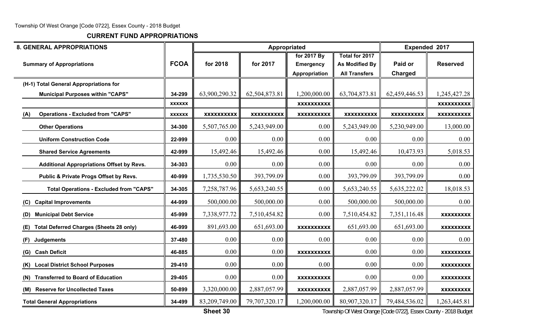**CURRENT FUND APPROPRIATIONS**

| <b>8. GENERAL APPROPRIATIONS</b>                      |               |                   |                   | Appropriated                                            |                                                          | Expended 2017             |                   |
|-------------------------------------------------------|---------------|-------------------|-------------------|---------------------------------------------------------|----------------------------------------------------------|---------------------------|-------------------|
| <b>Summary of Appropriations</b>                      | <b>FCOA</b>   | for 2018          | for 2017          | for 2017 By<br><b>Emergency</b><br><b>Appropriation</b> | Total for 2017<br>As Modified By<br><b>All Transfers</b> | Paid or<br><b>Charged</b> | <b>Reserved</b>   |
| (H-1) Total General Appropriations for                |               |                   |                   |                                                         |                                                          |                           |                   |
| <b>Municipal Purposes within "CAPS"</b>               | 34-299        | 63,900,290.32     | 62,504,873.81     | 1,200,000.00                                            | 63,704,873.81                                            | 62,459,446.53             | 1,245,427.28      |
|                                                       | <b>XXXXXX</b> |                   |                   | <b>XXXXXXXXXX</b>                                       |                                                          |                           | <b>XXXXXXXXXX</b> |
| <b>Operations - Excluded from "CAPS"</b><br>(A)       | <b>XXXXXX</b> | <b>XXXXXXXXXX</b> | <b>XXXXXXXXXX</b> | <b>XXXXXXXXXX</b>                                       | <b>XXXXXXXXXX</b>                                        | <b>XXXXXXXXXX</b>         | <b>XXXXXXXXXX</b> |
| <b>Other Operations</b>                               | 34-300        | 5,507,765.00      | 5,243,949.00      | 0.00                                                    | 5,243,949.00                                             | 5,230,949.00              | 13,000.00         |
| <b>Uniform Construction Code</b>                      | 22-999        | 0.00              | 0.00              | 0.00                                                    | 0.00                                                     | 0.00                      | 0.00              |
| <b>Shared Service Agreements</b>                      | 42-999        | 15,492.46         | 15,492.46         | 0.00                                                    | 15,492.46                                                | 10,473.93                 | 5,018.53          |
| <b>Additional Appropriations Offset by Revs.</b>      | 34-303        | 0.00              | 0.00              | 0.00                                                    | 0.00                                                     | 0.00                      | 0.00              |
| Public & Private Progs Offset by Revs.                | 40-999        | 1,735,530.50      | 393,799.09        | 0.00                                                    | 393,799.09                                               | 393,799.09                | 0.00              |
| <b>Total Operations - Excluded from "CAPS"</b>        | 34-305        | 7,258,787.96      | 5,653,240.55      | 0.00                                                    | 5,653,240.55                                             | 5,635,222.02              | 18,018.53         |
| <b>Capital Improvements</b><br>(C)                    | 44-999        | 500,000.00        | 500,000.00        | 0.00                                                    | 500,000.00                                               | 500,000.00                | 0.00              |
| <b>Municipal Debt Service</b><br>(D)                  | 45-999        | 7,338,977.72      | 7,510,454.82      | 0.00                                                    | 7,510,454.82                                             | 7,351,116.48              | <b>XXXXXXXXX</b>  |
| <b>Total Deferred Charges (Sheets 28 only)</b><br>(E) | 46-999        | 891,693.00        | 651,693.00        | <b>XXXXXXXXXX</b>                                       | 651,693.00                                               | 651,693.00                | <b>XXXXXXXXX</b>  |
| <b>Judgements</b><br>(F)                              | 37-480        | 0.00              | 0.00              | 0.00                                                    | 0.00                                                     | 0.00                      | 0.00              |
| <b>Cash Deficit</b><br>(G)                            | 46-885        | 0.00              | 0.00              | <b>XXXXXXXXXX</b>                                       | 0.00                                                     | 0.00                      | <b>XXXXXXXXX</b>  |
| <b>Local District School Purposes</b><br>(K)          | 29-410        | 0.00              | 0.00              | 0.00                                                    | 0.00                                                     | 0.00                      | <b>XXXXXXXXX</b>  |
| <b>Transferred to Board of Education</b><br>(N)       | 29-405        | 0.00              | 0.00              | <b>XXXXXXXXXX</b>                                       | 0.00                                                     | 0.00                      | <b>XXXXXXXXX</b>  |
| (M) Reserve for Uncollected Taxes                     | 50-899        | 3,320,000.00      | 2,887,057.99      | <b>XXXXXXXXXX</b>                                       | 2,887,057.99                                             | 2,887,057.99              | <b>XXXXXXXXX</b>  |
| <b>Total General Appropriations</b>                   | 34-499        | 83,209,749.00     | 79,707,320.17     | 1,200,000.00                                            | 80,907,320.17                                            | 79,484,536.02             | 1,263,445.81      |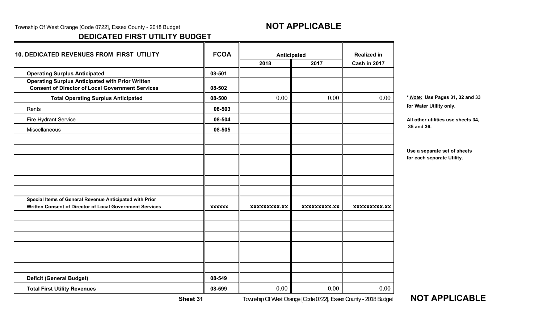Township Of West Orange [Code 0722], Essex County - 2018 Budget **NOT APPLICABLE** 

# **DEDICATED FIRST UTILITY BUDGET**

| <b>10. DEDICATED REVENUES FROM FIRST UTILITY</b>                                                                    | <b>FCOA</b>   | Anticipated         |              | <b>Realized in</b>  |                                                            |
|---------------------------------------------------------------------------------------------------------------------|---------------|---------------------|--------------|---------------------|------------------------------------------------------------|
|                                                                                                                     |               | 2018                | 2017         | Cash in 2017        |                                                            |
| <b>Operating Surplus Anticipated</b>                                                                                | 08-501        |                     |              |                     |                                                            |
| <b>Operating Surplus Anticipated with Prior Written</b><br><b>Consent of Director of Local Government Services</b>  | 08-502        |                     |              |                     |                                                            |
| <b>Total Operating Surplus Anticipated</b>                                                                          | 08-500        | 0.00                | 0.00         | 0.00                | * Note: Use Pages 31, 32 and 33                            |
| Rents                                                                                                               | 08-503        |                     |              |                     | for Water Utility only.                                    |
| Fire Hydrant Service                                                                                                | 08-504        |                     |              |                     | All other utilities use sheets 34,                         |
| Miscellaneous                                                                                                       | 08-505        |                     |              |                     | 35 and 36.                                                 |
|                                                                                                                     |               |                     |              |                     | Use a separate set of sheets<br>for each separate Utility. |
| Special Items of General Revenue Anticipated with Prior<br>Written Consent of Director of Local Government Services | <b>XXXXXX</b> | <b>XXXXXXXXX.XX</b> | XXXXXXXXX.XX | <b>XXXXXXXXX.XX</b> |                                                            |
|                                                                                                                     |               |                     |              |                     |                                                            |
|                                                                                                                     |               |                     |              |                     |                                                            |
|                                                                                                                     |               |                     |              |                     |                                                            |
| <b>Deficit (General Budget)</b>                                                                                     | 08-549        |                     |              |                     |                                                            |
| <b>Total First Utility Revenues</b>                                                                                 | 08-599        | 0.00                | $0.00\,$     | 0.00                |                                                            |

**NOT APPLICABLE** 

**Sheet 31**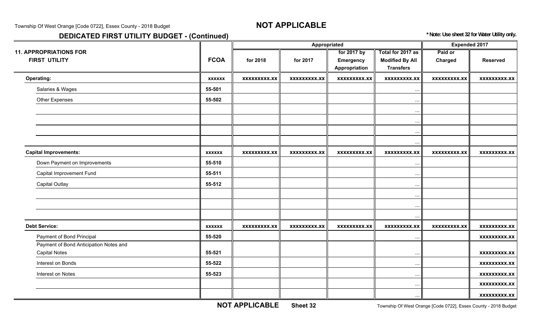Township Of West Orange [Code 0722], Essex County - 2018 Budget **NOT APPLICABLE** 

# **DEDICATED FIRST UTILITY BUDGET - (Continued)** *DEDICATED FIRST UTILITY BUDGET - (Continued)*

|                                        |               |                     |                     | Appropriated        |                        | <b>Expended 2017</b> |                     |
|----------------------------------------|---------------|---------------------|---------------------|---------------------|------------------------|----------------------|---------------------|
| <b>11. APPROPRIATIONS FOR</b>          |               |                     |                     | for 2017 by         | Total for 2017 as      | Paid or              |                     |
| <b>FIRST UTILITY</b>                   | <b>FCOA</b>   | for 2018            | for 2017            | Emergency           | <b>Modified By All</b> | Charged              | <b>Reserved</b>     |
|                                        |               |                     |                     | Appropriation       | <b>Transfers</b>       |                      |                     |
| <b>Operating:</b>                      | <b>XXXXXX</b> | <b>XXXXXXXXX.XX</b> | <b>XXXXXXXXX.XX</b> | <b>XXXXXXXXX.XX</b> | <b>XXXXXXXXX.XX</b>    | <b>XXXXXXXXX.XX</b>  | <b>XXXXXXXXX.XX</b> |
| Salaries & Wages                       | 55-501        |                     |                     |                     | $\cdots$               |                      |                     |
| Other Expenses                         | 55-502        |                     |                     |                     | $\cdots$               |                      |                     |
|                                        |               |                     |                     |                     | $\cdots$               |                      |                     |
|                                        |               |                     |                     |                     | $\cdots$               |                      |                     |
|                                        |               |                     |                     |                     | $\ddots$               |                      |                     |
|                                        |               |                     |                     |                     | $\cdots$               |                      |                     |
| <b>Capital Improvements:</b>           | <b>XXXXXX</b> | <b>XXXXXXXXX.XX</b> | <b>XXXXXXXXX.XX</b> | <b>XXXXXXXXX.XX</b> | <b>XXXXXXXXX.XX</b>    | <b>XXXXXXXXX.XX</b>  | <b>XXXXXXXXX.XX</b> |
| Down Payment on Improvements           | 55-510        |                     |                     |                     | $\ddots$               |                      |                     |
| Capital Improvement Fund               | 55-511        |                     |                     |                     | $\cdots$               |                      |                     |
| <b>Capital Outlay</b>                  | 55-512        |                     |                     |                     | $\cdots$               |                      |                     |
|                                        |               |                     |                     |                     | $\cdots$               |                      |                     |
|                                        |               |                     |                     |                     | $\ddots$               |                      |                     |
|                                        |               |                     |                     |                     | $\ddots$               |                      |                     |
| <b>Debt Service:</b>                   | <b>XXXXXX</b> | <b>XXXXXXXXX.XX</b> | <b>XXXXXXXXX.XX</b> | <b>XXXXXXXXX.XX</b> | <b>XXXXXXXXX.XX</b>    | <b>XXXXXXXXX.XX</b>  | <b>XXXXXXXXX.XX</b> |
| Payment of Bond Principal              | 55-520        |                     |                     |                     | $\ddots$               |                      | <b>XXXXXXXXX.XX</b> |
| Payment of Bond Anticipation Notes and |               |                     |                     |                     |                        |                      |                     |
| <b>Capital Notes</b>                   | 55-521        |                     |                     |                     | $\ddots$               |                      | <b>XXXXXXXXX.XX</b> |
| Interest on Bonds                      | 55-522        |                     |                     |                     | $\cdots$               |                      | <b>XXXXXXXXX.XX</b> |
| Interest on Notes                      | 55-523        |                     |                     |                     | $\cdots$               |                      | <b>XXXXXXXXX.XX</b> |
|                                        |               |                     |                     |                     | $\cdots$               |                      | <b>XXXXXXXXX.XX</b> |
|                                        |               |                     |                     |                     | $\cdots$               |                      | <b>XXXXXXXXX.XX</b> |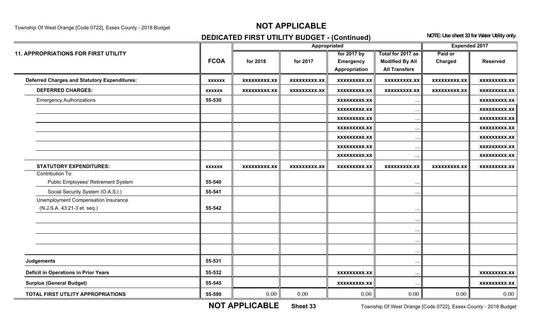# Township Of West Orange [Code 0722], Essex County - 2018 Budget **NOT APPLICABLE**

# **DEDICATED FIRST UTILITY BUDGET - (Continued)** NOTE: Use sheet 33 for Water Utility only.

|                                                     |               |                     |                     | Appropriated        |                        | Expended 2017       |                     |
|-----------------------------------------------------|---------------|---------------------|---------------------|---------------------|------------------------|---------------------|---------------------|
| <b>11. APPROPRIATIONS FOR FIRST UTILITY</b>         |               |                     |                     | for 2017 by         | Total for 2017 as      | Paid or             |                     |
|                                                     | <b>FCOA</b>   | for 2018            | for 2017            | <b>Emergency</b>    | <b>Modified By All</b> | Charged             | <b>Reserved</b>     |
|                                                     |               |                     |                     | Appropriation       | <b>All Transfers</b>   |                     |                     |
| <b>Deferred Charges and Statutory Expenditures:</b> | <b>XXXXXX</b> | XXXXXXXXX.XX        | <b>XXXXXXXXX.XX</b> | <b>XXXXXXXXX.XX</b> | <b>XXXXXXXXX.XX</b>    | <b>XXXXXXXXX.XX</b> | <b>XXXXXXXXX.XX</b> |
| <b>DEFERRED CHARGES:</b>                            | <b>XXXXXX</b> | <b>XXXXXXXXX.XX</b> | <b>XXXXXXXXX.XX</b> | <b>XXXXXXXXX.XX</b> | <b>XXXXXXXXX.XX</b>    | <b>XXXXXXXXX.XX</b> | <b>XXXXXXXXX.XX</b> |
| <b>Emergency Authorizations</b>                     | 55-530        |                     |                     | <b>XXXXXXXXX.XX</b> | $\cdots$               |                     | <b>XXXXXXXXX.XX</b> |
|                                                     |               |                     |                     | <b>XXXXXXXXX.XX</b> | $\ddots$               |                     | <b>XXXXXXXXX.XX</b> |
|                                                     |               |                     |                     | <b>XXXXXXXXX.XX</b> | $\cdots$               |                     | <b>XXXXXXXXX.XX</b> |
|                                                     |               |                     |                     | <b>XXXXXXXXX.XX</b> | $\cdots$               |                     | <b>XXXXXXXXX.XX</b> |
|                                                     |               |                     |                     | <b>XXXXXXXXX.XX</b> | $\cdots$               |                     | <b>XXXXXXXXX.XX</b> |
|                                                     |               |                     |                     | <b>XXXXXXXXX.XX</b> | $\ddots$               |                     | <b>XXXXXXXXX.XX</b> |
|                                                     |               |                     |                     | <b>XXXXXXXXX.XX</b> | $\cdots$               |                     | <b>XXXXXXXXX.XX</b> |
| <b>STATUTORY EXPENDITURES:</b>                      | <b>XXXXXX</b> | <b>XXXXXXXXX.XX</b> | <b>XXXXXXXXX.XX</b> | <b>XXXXXXXXX.XX</b> | <b>XXXXXXXXX.XX</b>    | <b>XXXXXXXXX.XX</b> | <b>XXXXXXXXX.XX</b> |
| Contribution To:                                    |               |                     |                     |                     |                        |                     |                     |
| Public Employees' Retirement System                 | 55-540        |                     |                     |                     | $\ddotsc$              |                     |                     |
| Social Security System (O.A.S.I.)                   | 55-541        |                     |                     |                     | $\ddotsc$              |                     |                     |
| Unemployment Compensation Insurance                 |               |                     |                     |                     |                        |                     |                     |
| (N.J.S.A. 43:21-3 et. seq.)                         | 55-542        |                     |                     |                     | $\cdots$               |                     |                     |
|                                                     |               |                     |                     |                     | $\ddots$               |                     |                     |
|                                                     |               |                     |                     |                     | $\cdots$               |                     |                     |
|                                                     |               |                     |                     |                     | $\ddots$               |                     |                     |
|                                                     |               |                     |                     |                     | $\ddotsc$              |                     |                     |
| Judgements                                          | 55-531        |                     |                     |                     | $\cdots$               |                     |                     |
| <b>Deficit in Operations in Prior Years</b>         | 55-532        |                     |                     | <b>XXXXXXXXX.XX</b> | $\cdots$               |                     | <b>XXXXXXXXX.XX</b> |
| <b>Surplus (General Budget)</b>                     | 55-545        |                     |                     | <b>XXXXXXXXX.XX</b> | $\ddots$               |                     | <b>XXXXXXXXX.XX</b> |
| TOTAL FIRST UTILITY APPROPRIATIONS                  | 55-599        | 0.00                | 0.00                | 0.00                | 0.00                   | 0.00                | 0.00                |

**NOT APPLICABLE**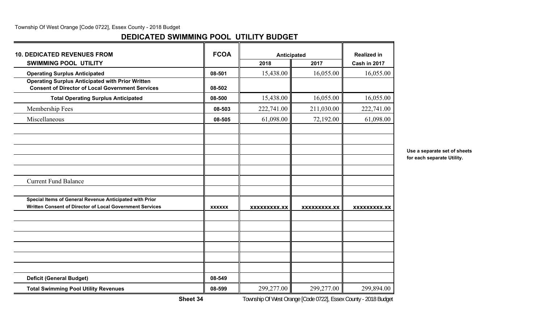## **DEDICATED SWIMMING POOL UTILITY BUDGET**

| <b>10. DEDICATED REVENUES FROM</b>                                                                                  | <b>FCOA</b>   | <b>Anticipated</b>  |                     | <b>Realized in</b>  |
|---------------------------------------------------------------------------------------------------------------------|---------------|---------------------|---------------------|---------------------|
| <b>SWIMMING POOL UTILITY</b>                                                                                        |               | 2018                | 2017                | Cash in 2017        |
| <b>Operating Surplus Anticipated</b>                                                                                | 08-501        | 15,438.00           | 16,055.00           | 16,055.00           |
| <b>Operating Surplus Anticipated with Prior Written</b><br><b>Consent of Director of Local Government Services</b>  | 08-502        |                     |                     |                     |
| <b>Total Operating Surplus Anticipated</b>                                                                          | 08-500        | 15,438.00           | 16,055.00           | 16,055.00           |
| Membership Fees                                                                                                     | 08-503        | 222,741.00          | 211,030.00          | 222,741.00          |
| Miscellaneous                                                                                                       | 08-505        | 61,098.00           | 72,192.00           | 61,098.00           |
|                                                                                                                     |               |                     |                     |                     |
| <b>Current Fund Balance</b>                                                                                         |               |                     |                     |                     |
| Special Items of General Revenue Anticipated with Prior<br>Written Consent of Director of Local Government Services | <b>XXXXXX</b> | <b>XXXXXXXXX.XX</b> | <b>XXXXXXXXX.XX</b> | <b>XXXXXXXXX.XX</b> |
|                                                                                                                     |               |                     |                     |                     |
| <b>Deficit (General Budget)</b>                                                                                     | 08-549        |                     |                     |                     |
| <b>Total Swimming Pool Utility Revenues</b>                                                                         | 08-599        | 299,277.00          | 299,277.00          | 299,894.00          |

**Use a separate set of sheets for each separate Utility.**

**Sheet 34**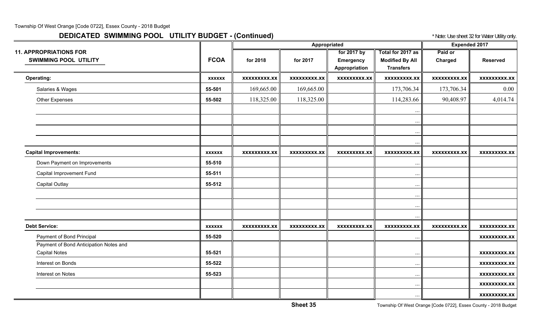# **DEDICATED SWIMMING POOL UTILITY BUDGET - (Continued) The State of August 22 for Water Utility only.** And the State of Water Utility only.

|                                                               |               |                     | Appropriated        |                                                  |                                                                 | <b>Expended 2017</b>      |                     |
|---------------------------------------------------------------|---------------|---------------------|---------------------|--------------------------------------------------|-----------------------------------------------------------------|---------------------------|---------------------|
| <b>11. APPROPRIATIONS FOR</b><br><b>SWIMMING POOL UTILITY</b> | <b>FCOA</b>   | for 2018            | for 2017            | for 2017 by<br><b>Emergency</b><br>Appropriation | Total for 2017 as<br><b>Modified By All</b><br><b>Transfers</b> | Paid or<br><b>Charged</b> | <b>Reserved</b>     |
| <b>Operating:</b>                                             | <b>XXXXXX</b> | <b>XXXXXXXXX.XX</b> | <b>XXXXXXXXX.XX</b> | <b>XXXXXXXXX.XX</b>                              | <b>XXXXXXXXX.XX</b>                                             | <b>XXXXXXXXX.XX</b>       | <b>XXXXXXXXX.XX</b> |
| Salaries & Wages                                              | 55-501        | 169,665.00          | 169,665.00          |                                                  | 173,706.34                                                      | 173,706.34                | $0.00\,$            |
| <b>Other Expenses</b>                                         | 55-502        | 118,325.00          | 118,325.00          |                                                  | 114,283.66                                                      | 90,408.97                 | 4,014.74            |
|                                                               |               |                     |                     |                                                  | $\cdots$<br>$\cdots$<br>$\cdots$                                |                           |                     |
| <b>Capital Improvements:</b>                                  | <b>XXXXXX</b> | XXXXXXXXX.XX        | XXXXXXXXX.XX        | <b>XXXXXXXXX.XX</b>                              | XXXXXXXXX.XX                                                    | <b>XXXXXXXXX.XX</b>       | <b>XXXXXXXXX.XX</b> |
| Down Payment on Improvements                                  | 55-510        |                     |                     |                                                  | $\ddotsc$                                                       |                           |                     |
| Capital Improvement Fund                                      | 55-511        |                     |                     |                                                  | $\cdots$                                                        |                           |                     |
| <b>Capital Outlay</b>                                         | 55-512        |                     |                     |                                                  | $\cdots$                                                        |                           |                     |
|                                                               |               |                     |                     |                                                  | $\cdots$                                                        |                           |                     |
|                                                               |               |                     |                     |                                                  | $\ddots$<br>$\cdots$                                            |                           |                     |
| <b>Debt Service:</b>                                          | <b>XXXXXX</b> | <b>XXXXXXXXX.XX</b> | <b>XXXXXXXXX.XX</b> | <b>XXXXXXXXX.XX</b>                              | <b>XXXXXXXXX.XX</b>                                             | <b>XXXXXXXXX.XX</b>       | <b>XXXXXXXXX.XX</b> |
| Payment of Bond Principal                                     | 55-520        |                     |                     |                                                  | $\cdots$                                                        |                           | <b>XXXXXXXXX.XX</b> |
| Payment of Bond Anticipation Notes and                        |               |                     |                     |                                                  |                                                                 |                           |                     |
| <b>Capital Notes</b>                                          | 55-521        |                     |                     |                                                  | $\cdots$                                                        |                           | <b>XXXXXXXXX.XX</b> |
| Interest on Bonds                                             | 55-522        |                     |                     |                                                  | $\cdots$                                                        |                           | <b>XXXXXXXXX.XX</b> |
| Interest on Notes                                             | 55-523        |                     |                     |                                                  | $\cdots$                                                        |                           | <b>XXXXXXXXX.XX</b> |
|                                                               |               |                     |                     |                                                  | $\cdots$                                                        |                           | <b>XXXXXXXXX.XX</b> |
|                                                               |               |                     |                     |                                                  | $\cdots$                                                        |                           | <b>XXXXXXXXX.XX</b> |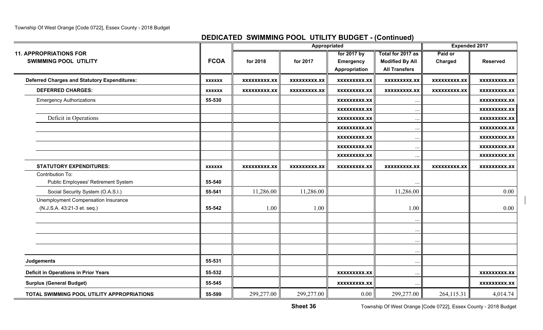## **DEDICATED SWIMMING POOL UTILITY BUDGET - (Continued)**

|                                                     |               |                     | Appropriated        |                     |                        | <b>Expended 2017</b> |                     |
|-----------------------------------------------------|---------------|---------------------|---------------------|---------------------|------------------------|----------------------|---------------------|
| <b>11. APPROPRIATIONS FOR</b>                       |               |                     |                     | for 2017 by         | Total for 2017 as      | Paid or              |                     |
| <b>SWIMMING POOL UTILITY</b>                        | <b>FCOA</b>   | for 2018            | for 2017            | <b>Emergency</b>    | <b>Modified By All</b> | Charged              | <b>Reserved</b>     |
|                                                     |               |                     |                     | Appropriation       | <b>All Transfers</b>   |                      |                     |
| <b>Deferred Charges and Statutory Expenditures:</b> | <b>XXXXXX</b> | <b>XXXXXXXXX.XX</b> | <b>XXXXXXXXX.XX</b> | <b>XXXXXXXXX.XX</b> | <b>XXXXXXXXX.XX</b>    | <b>XXXXXXXXX.XX</b>  | <b>XXXXXXXXX.XX</b> |
| <b>DEFERRED CHARGES:</b>                            | <b>XXXXXX</b> | <b>XXXXXXXXX.XX</b> | XXXXXXXXX.XX        | <b>XXXXXXXXX.XX</b> | <b>XXXXXXXXX.XX</b>    | <b>XXXXXXXXX.XX</b>  | XXXXXXXXX.XX        |
| <b>Emergency Authorizations</b>                     | 55-530        |                     |                     | <b>XXXXXXXXX.XX</b> | $\ddots$               |                      | <b>XXXXXXXXX.XX</b> |
|                                                     |               |                     |                     | <b>XXXXXXXXX.XX</b> | $\cdot\cdot$           |                      | <b>XXXXXXXXX.XX</b> |
| Deficit in Operations                               |               |                     |                     | <b>XXXXXXXXX.XX</b> | $\cdot$ .              |                      | <b>XXXXXXXXX.XX</b> |
|                                                     |               |                     |                     | <b>XXXXXXXXX.XX</b> | $\ddots$               |                      | <b>XXXXXXXXX.XX</b> |
|                                                     |               |                     |                     | XXXXXXXXX.XX        | $\ddots$               |                      | <b>XXXXXXXXX.XX</b> |
|                                                     |               |                     |                     | <b>XXXXXXXXX.XX</b> | $\cdot \cdot$          |                      | <b>XXXXXXXXX.XX</b> |
|                                                     |               |                     |                     | <b>XXXXXXXXX.XX</b> | $\cdots$               |                      | <b>XXXXXXXXX.XX</b> |
| <b>STATUTORY EXPENDITURES:</b>                      | <b>XXXXXX</b> | <b>XXXXXXXXX.XX</b> | XXXXXXXXX.XX        | <b>XXXXXXXXX.XX</b> | XXXXXXXXX.XX           | <b>XXXXXXXXX.XX</b>  | XXXXXXXXX.XX        |
| Contribution To:                                    |               |                     |                     |                     |                        |                      |                     |
| Public Employees' Retirement System                 | 55-540        |                     |                     |                     |                        |                      |                     |
| Social Security System (O.A.S.I.)                   | 55-541        | 11,286.00           | 11,286.00           |                     | 11,286.00              |                      | 0.00                |
| Unemployment Compensation Insurance                 |               |                     |                     |                     |                        |                      |                     |
| (N.J.S.A. 43:21-3 et. seq.)                         | 55-542        | 1.00                | 1.00                |                     | 1.00                   |                      | 0.00                |
|                                                     |               |                     |                     |                     | $\cdot$ .              |                      |                     |
|                                                     |               |                     |                     |                     | $\cdot$ .              |                      |                     |
|                                                     |               |                     |                     |                     |                        |                      |                     |
|                                                     |               |                     |                     |                     | $\cdot \cdot$          |                      |                     |
| Judgements                                          | 55-531        |                     |                     |                     | $\cdot \cdot$          |                      |                     |
|                                                     |               |                     |                     |                     | $\cdot \cdot$          |                      |                     |
| <b>Deficit in Operations in Prior Years</b>         | 55-532        |                     |                     | <b>XXXXXXXXX.XX</b> | $\cdot$ .              |                      | <b>XXXXXXXXX.XX</b> |
| <b>Surplus (General Budget)</b>                     | 55-545        |                     |                     | <b>XXXXXXXXX.XX</b> | $\ddotsc$              |                      | XXXXXXXXX.XX        |
| TOTAL SWIMMING POOL UTILITY APPROPRIATIONS          | 55-599        | 299,277.00          | 299,277.00          | $0.00\,$            | 299,277.00             | 264,115.31           | 4,014.74            |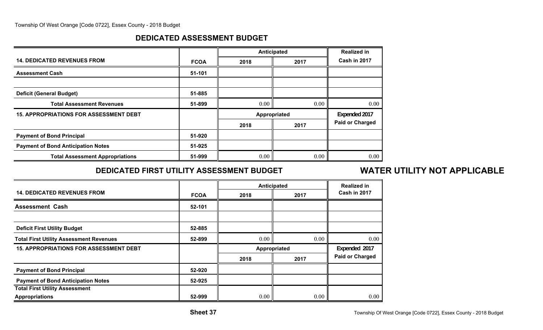## **DEDICATED ASSESSMENT BUDGET**

|                                               |             |      | Anticipated  | <b>Realized in</b>     |
|-----------------------------------------------|-------------|------|--------------|------------------------|
| <b>14. DEDICATED REVENUES FROM</b>            | <b>FCOA</b> | 2018 | 2017         | Cash in 2017           |
| <b>Assessment Cash</b>                        | 51-101      |      |              |                        |
|                                               |             |      |              |                        |
| <b>Deficit (General Budget)</b>               | 51-885      |      |              |                        |
| <b>Total Assessment Revenues</b>              | 51-899      | 0.00 | 0.00         | 0.00                   |
| <b>15. APPROPRIATIONS FOR ASSESSMENT DEBT</b> |             |      | Appropriated | Expended 2017          |
|                                               |             | 2018 | 2017         | <b>Paid or Charged</b> |
| <b>Payment of Bond Principal</b>              | 51-920      |      |              |                        |
| <b>Payment of Bond Anticipation Notes</b>     | 51-925      |      |              |                        |
| <b>Total Assessment Appropriations</b>        | 51-999      | 0.00 | 0.00         | 0.00                   |

# **DEDICATED FIRST UTILITY ASSESSMENT BUDGET**

# **WATER UTILITY NOT APPLICABLE**

|                                                |             | Anticipated  |               | <b>Realized in</b>     |
|------------------------------------------------|-------------|--------------|---------------|------------------------|
| <b>14. DEDICATED REVENUES FROM</b>             | <b>FCOA</b> | 2018         | 2017          | Cash in 2017           |
| <b>Assessment Cash</b>                         | 52-101      |              |               |                        |
|                                                |             |              |               |                        |
| <b>Deficit First Utility Budget</b>            | 52-885      |              |               |                        |
| <b>Total First Utility Assessment Revenues</b> | 52-899      | 0.00         | 0.00          | 0.00                   |
| <b>15. APPROPRIATIONS FOR ASSESSMENT DEBT</b>  |             | Appropriated | Expended 2017 |                        |
|                                                |             | 2018         | 2017          | <b>Paid or Charged</b> |
| <b>Payment of Bond Principal</b>               | 52-920      |              |               |                        |
| <b>Payment of Bond Anticipation Notes</b>      | 52-925      |              |               |                        |
| <b>Total First Utility Assessment</b>          |             |              |               |                        |
| <b>Appropriations</b>                          | 52-999      | 0.00         | 0.00          | 0.00                   |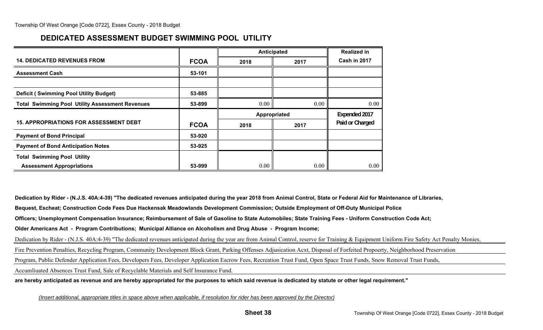## **DEDICATED ASSESSMENT BUDGET SWIMMING POOL UTILITY**

|                                                        |             | Anticipated  |      | <b>Realized in</b> |
|--------------------------------------------------------|-------------|--------------|------|--------------------|
| <b>14. DEDICATED REVENUES FROM</b>                     | <b>FCOA</b> | 2018         | 2017 | Cash in 2017       |
| <b>Assessment Cash</b>                                 | 53-101      |              |      |                    |
|                                                        |             |              |      |                    |
| <b>Deficit (Swimming Pool Utility Budget)</b>          | 53-885      |              |      |                    |
| <b>Total Swimming Pool Utility Assessment Revenues</b> | 53-899      | 0.00         | 0.00 | 0.00               |
|                                                        |             |              |      |                    |
|                                                        |             | Appropriated |      | Expended 2017      |
| <b>15. APPROPRIATIONS FOR ASSESSMENT DEBT</b>          | <b>FCOA</b> | 2018         | 2017 | Paid or Charged    |
| <b>Payment of Bond Principal</b>                       | 53-920      |              |      |                    |
| <b>Payment of Bond Anticipation Notes</b>              | 53-925      |              |      |                    |
| <b>Total Swimming Pool Utility</b>                     |             |              |      |                    |

**Dedication by Rider - (N.J.S. 40A:4-39) "The dedicated revenues anticipated during the year 2018 from Animal Control, State or Federal Aid for Maintenance of Libraries,**

**Bequest, Escheat; Construction Code Fees Due Hackensak Meadowlands Development Commission; Outside Employment of Off-Duty Municipal Police**

**Officers; Unemployment Compensation Insurance; Reimbursement of Sale of Gasoline to State Automobiles; State Training Fees - Uniform Construction Code Act;**

**Older Americans Act - Program Contributions; Municipal Alliance on Alcoholism and Drug Abuse - Program Income;**

Dedication by Rider - (N.J.S. 40A:4-39) "The dedicated revenues anticipated during the year are from Animal Control, reserve for Training & Equipment Uniform Fire Safety Act Penalty Monies,

Fire Prevention Penalties, Recycling Program, Community Development Block Grant, Parking Offenses Adjusication Acxt, Disposal of Forfeited Propoerty, Neighborhood Preservation

Program, Public Defender Application Fees, Developers Fees, Developer Application Escrow Fees, Recreation Trust Fund, Open Space Trust Funds, Snow Removal Trust Funds,

Accumliuated Absences Trust Fund, Sale of Recyclable Materials and Self Insurance Fund.

**are hereby anticipated as revenue and are hereby appropriated for the purposes to which said revenue is dedicated by statute or other legal requirement."**

*(Insert additional, appropriate titles in space above when applicable, if resolution for rider has been approved by the Director)*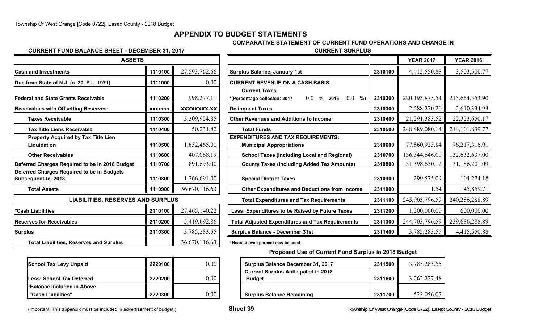### **APPENDIX TO BUDGET STATEMENTS**

**COMPARATIVE STATEMENT OF CURRENT FUND OPERATIONS AND CHANGE IN**

#### **CURRENT FUND BALANCE SHEET - DECEMBER 31, 2017 CURRENT SURPLUS**

| <b>ASSETS</b>                                                    |                |               |                                                                        |         | <b>YEAR 2017</b> | <b>YEAR 2016</b>  |
|------------------------------------------------------------------|----------------|---------------|------------------------------------------------------------------------|---------|------------------|-------------------|
| <b>Cash and Investments</b>                                      | 1110100        | 27,593,762.66 | <b>Surplus Balance, January 1st</b>                                    | 2310100 | 4,415,550.88     | 3,503,500.77      |
| Due from State of N.J. (c. 20, P.L. 1971)                        | 1111000        | 0.00          | <b>CURRENT REVENUE ON A CASH BASIS</b>                                 |         |                  |                   |
|                                                                  |                |               | <b>Current Taxes</b>                                                   |         |                  |                   |
| <b>Federal and State Grants Receivable</b>                       | 1110200        | 998,277.11    | $0.0\,$<br>$0.0 \gamma_0$ , 2016<br>%)<br>*(Percentage collected: 2017 | 2310200 | 220, 193, 875.54 | 215,664,353.90    |
| <b>Receivables with Offsetting Reserves:</b>                     | <b>XXXXXXX</b> | XXXXXXXX.XX   | <b>Delinquent Taxes</b>                                                | 2310300 | 2,588,270.20     | 2,610,334.93      |
| <b>Taxes Receivable</b>                                          | 1110300        | 3,309,924.85  | <b>Other Revenues and Additions to Income</b>                          | 2310400 | 21, 291, 383.52  | 22,323,650.17     |
| <b>Tax Title Liens Receivable</b>                                | 1110400        | 50,234.82     | <b>Total Funds</b>                                                     | 2310500 | 248,489,080.14   | 244, 101, 839. 77 |
| Property Acquired by Tax Title Lien                              |                |               | <b>EXPENDITURES AND TAX REQUIREMENTS:</b>                              |         |                  |                   |
| Liquidation                                                      | 1110500        | 1,652,465.00  | <b>Municipal Appropriations</b>                                        | 2310600 | 77,860,923.84    | 76,217,316.91     |
| <b>Other Receivables</b>                                         | 1110600        | 407,068.19    | <b>School Taxes (Including Local and Regional)</b>                     | 2310700 | 136, 344, 646.00 | 132,632,637.00    |
| Deferred Charges Required to be in 2018 Budget                   | 1110700        | 891,693.00    | <b>County Taxes (Including Added Tax Amounts)</b>                      | 2310800 | 31,398,650.12    | 31,186,201.09     |
| Deferred Charges Required to be in Budgets<br>Subsequent to 2018 | 1110800        | 1,766,691.00  | <b>Special District Taxes</b>                                          | 2310900 | 299,575.09       | 104,274.18        |
| <b>Total Assets</b>                                              | 1110900        | 36,670,116.63 | <b>Other Expenditures and Deductions from Income</b>                   | 2311000 | 1.54             | 145,859.71        |
| <b>LIABILITIES, RESERVES AND SURPLUS</b>                         |                |               | <b>Total Expenditures and Tax Requirements</b>                         | 2311100 | 245,903,796.59   | 240,286,288.89    |
| *Cash Liabilities                                                | 2110100        | 27,465,140.22 | Less: Expenditures to be Raised by Future Taxes                        | 2311200 | 1,200,000.00     | 600,000.00        |
| <b>Reserves for Receivables</b>                                  | 2110200        | 5,419,692.86  | <b>Total Adjusted Expenditures and Tax Requirements</b>                | 2311300 | 244,703,796.59   | 239,686,288.89    |
| <b>Surplus</b>                                                   | 2110300        | 3,785,283.55  | <b>Surplus Balance - December 31st</b>                                 | 2311400 | 3,785,283.55     | 4,415,550.88      |
| <b>Total Liabilities, Reserves and Surplus</b>                   |                | 36,670,116.63 | * Nearest even percent may be used                                     |         |                  |                   |

| <b>ASSETS</b>                                             |                |               |                                                                                           |         | <b>YEAR 2017</b> | <b>YEAR 2016</b>  |
|-----------------------------------------------------------|----------------|---------------|-------------------------------------------------------------------------------------------|---------|------------------|-------------------|
| and Investments                                           | 1110100        | 27,593,762.66 | <b>Surplus Balance, January 1st</b>                                                       | 2310100 | 4,415,550.88     | 3,503,500.77      |
| rom State of N.J. (c. 20, P.L. 1971)                      | 1111000        | 0.00          | <b>CURRENT REVENUE ON A CASH BASIS</b>                                                    |         |                  |                   |
| al and State Grants Receivable <sup>.</sup>               | 1110200        | 998,277.11    | <b>Current Taxes</b><br>$0.0\,$<br>$0.0 \t%$ , 2016<br>%)<br>*(Percentage collected: 2017 | 2310200 | 220, 193, 875.54 | 215,664,353.90    |
| vables with Offsetting Reserves:                          | <b>XXXXXXX</b> | XXXXXXXX.XX   | <b>Delinquent Taxes</b>                                                                   | 2310300 | 2,588,270.20     | 2,610,334.93      |
| <b>Taxes Receivable</b>                                   | 1110300        | 3,309,924.85  | <b>Other Revenues and Additions to Income</b>                                             | 2310400 | 21, 291, 383.52  | 22,323,650.17     |
| <b>Tax Title Liens Receivable</b>                         | 1110400        | 50,234.82     | <b>Total Funds</b>                                                                        | 2310500 | 248,489,080.14   | 244, 101, 839. 77 |
| <b>Property Acquired by Tax Title Lien</b><br>Liquidation | 1110500        | 1,652,465.00  | <b>EXPENDITURES AND TAX REQUIREMENTS:</b><br><b>Municipal Appropriations</b>              | 2310600 | 77,860,923.84    | 76,217,316.91     |
| Other Receivables                                         | 1110600        | 407,068.19    | <b>School Taxes (Including Local and Regional)</b>                                        | 2310700 | 136,344,646.00   | 132,632,637.00    |
| red Charges Required to be in 2018 Budget                 | 1110700        | 891,693.00    | <b>County Taxes (Including Added Tax Amounts)</b>                                         | 2310800 | 31,398,650.12    | 31,186,201.09     |
| red Charges Required to be in Budgets<br>equent to 2018   | 1110800        | 1,766,691.00  | <b>Special District Taxes</b>                                                             | 2310900 | 299,575.09       | 104,274.18        |
| <b>Total Assets</b>                                       | 1110900        | 36,670,116.63 | <b>Other Expenditures and Deductions from Income</b>                                      | 2311000 | 1.54             | 145,859.71        |
| <b>LIABILITIES, RESERVES AND SURPLUS</b>                  |                |               | <b>Total Expenditures and Tax Requirements</b>                                            | 2311100 | 245,903,796.59   | 240,286,288.89    |
| Liabilities                                               | 2110100        | 27,465,140.22 | Less: Expenditures to be Raised by Future Taxes                                           | 2311200 | 1,200,000.00     | 600,000.00        |
| ves for Receivables                                       | 2110200        | 5,419,692.86  | <b>Total Adjusted Expenditures and Tax Requirements</b>                                   | 2311300 | 244,703,796.59   | 239,686,288.89    |
| us                                                        | 2110300        | 3,785,283.55  | <b>Surplus Balance - December 31st</b>                                                    | 2311400 | 3,785,283.55     | 4,415,550.88      |
|                                                           |                |               |                                                                                           |         |                  |                   |

#### **Proposed Use of Current Fund Surplus in 2018 Budget**

| <b>School Tax Levy Unpaid</b>            | 2220100 | $0.00\,$ | <b>Surplus Balance December 31, 2017</b>                    | 2311500 | 3,785,283.55 |
|------------------------------------------|---------|----------|-------------------------------------------------------------|---------|--------------|
| <b>Less: School Tax Deferred</b>         | 2220200 | $0.00\,$ | <b>Current Surplus Anticipated in 2018</b><br><b>Budget</b> | 2311600 | 3,262,227.48 |
| <b>Exagger 1.5 The Included in Above</b> |         |          |                                                             |         |              |
| "Cash Liabilities"                       | 2220300 | 0.00     | <b>Surplus Balance Remaining</b>                            | 2311700 | 523,056.07   |

|  |  |  |  | Important: This appendix must be included in advertisement of budget.) |  |
|--|--|--|--|------------------------------------------------------------------------|--|
|  |  |  |  |                                                                        |  |
|  |  |  |  |                                                                        |  |
|  |  |  |  |                                                                        |  |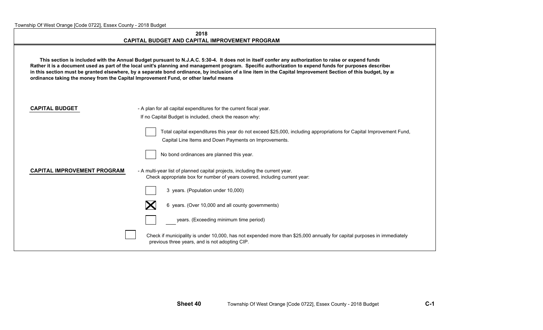|  |  | Township Of West Orange [Code 0722], Essex County - 2018 Budget |
|--|--|-----------------------------------------------------------------|
|  |  |                                                                 |

#### **2018CAPITAL BUDGET AND CAPITAL IMPROVEMENT PROGRAM**

 **This section is included with the Annual Budget pursuant to N.J.A.C. 5:30-4. It does not in itself confer any authorization to raise or expend funds Rather it is a document used as part of the local unit's planning and management program. Specific authorization to expend funds for purposes described in this section must be granted elsewhere, by a separate bond ordinance, by inclusion of a line item in the Capital Improvement Section of this budget, by an ordinance taking the money from the Capital Improvement Fund, or other lawful means**

| <b>CAPITAL BUDGET</b> |  |
|-----------------------|--|
|-----------------------|--|

- A plan for all capital expenditures for the current fiscal year. If no Capital Budget is included, check the reason why:

> Total capital expenditures this year do not exceed \$25,000, including appropriations for Capital Improvement Fund, Capital Line Items and Down Payments on Improvements.

| No bond ordinances are planned this year. |
|-------------------------------------------|
|                                           |

| <b>CAPITAL IMPROVEMENT PROGRAM</b> | - A multi-year list of planned capital projects, including the current year. |
|------------------------------------|------------------------------------------------------------------------------|
|                                    | Check appropriate box for number of years covered, including current year:   |

3 years. (Population under 10,000)



years. (Exceeding minimum time period)

Check if municipality is under 10,000, has not expended more than \$25,000 annually for capital purposes in immediately previous three years, and is not adopting CIP.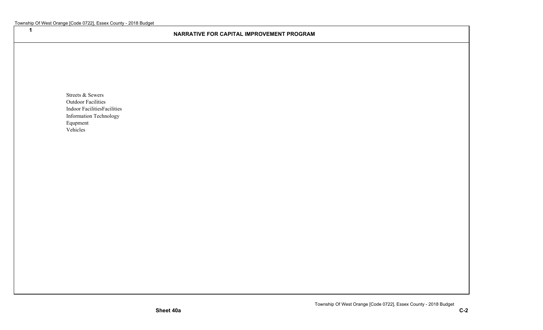**1**

#### **NARRATIVE FOR CAPITAL IMPROVEMENT PROGRAM**

Streets & Sewers Outdoor Facilities Indoor FacilitiesFacilities Information Technology Equpment Vehicles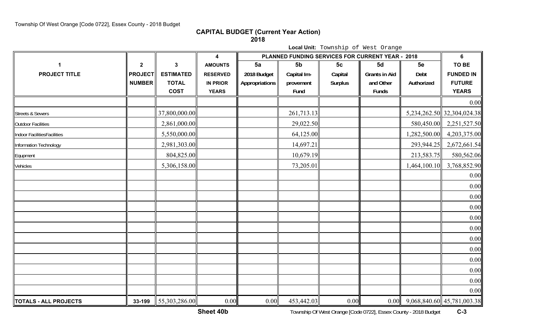**CAPITAL BUDGET (Current Year Action)**

**2018**

**Local Unit:** Township of West Orange

|                             |                |                  | $\boldsymbol{4}$ | PLANNED FUNDING SERVICES FOR CURRENT YEAR - 2018 | 6              |                |                      |              |                                   |
|-----------------------------|----------------|------------------|------------------|--------------------------------------------------|----------------|----------------|----------------------|--------------|-----------------------------------|
|                             | $\mathbf{2}$   | $\mathbf{3}$     | <b>AMOUNTS</b>   | 5a                                               | 5 <sub>b</sub> | 5c             | 5d                   | 5e           | TO BE                             |
| <b>PROJECT TITLE</b>        | <b>PROJECT</b> | <b>ESTIMATED</b> | <b>RESERVED</b>  | 2018 Budget                                      | Capital Im-    | Capital        | <b>Grants in Aid</b> | Debt         | <b>FUNDED IN</b>                  |
|                             | <b>NUMBER</b>  | <b>TOTAL</b>     | <b>IN PRIOR</b>  | Appropriations                                   | provement      | <b>Surplus</b> | and Other            | Authorized   | <b>FUTURE</b>                     |
|                             |                | <b>COST</b>      | <b>YEARS</b>     |                                                  | Fund           |                | Funds                |              | <b>YEARS</b>                      |
|                             |                |                  |                  |                                                  |                |                |                      |              | 0.00                              |
| <b>Streets &amp; Sewers</b> |                | 37,800,000.00    |                  |                                                  | 261,713.13     |                |                      |              | 5,234,262.50 32,304,024.38        |
| Outdoor Facilities          |                | 2,861,000.00     |                  |                                                  | 29,022.50      |                |                      | 580,450.00   | 2,251,527.50                      |
| Indoor FacilitiesFacilities |                | 5,550,000.00     |                  |                                                  | 64,125.00      |                |                      | 1,282,500.00 | 4,203,375.00                      |
| Information Technology      |                | 2,981,303.00     |                  |                                                  | 14,697.21      |                |                      | 293,944.25   | 2,672,661.54                      |
| Equpment                    |                | 804,825.00       |                  |                                                  | 10,679.19      |                |                      | 213,583.75   | 580,562.06                        |
| Vehicles                    |                | 5,306,158.00     |                  |                                                  | 73,205.01      |                |                      | 1,464,100.10 | 3,768,852.90                      |
|                             |                |                  |                  |                                                  |                |                |                      |              | 0.00                              |
|                             |                |                  |                  |                                                  |                |                |                      |              | 0.00                              |
|                             |                |                  |                  |                                                  |                |                |                      |              | 0.00                              |
|                             |                |                  |                  |                                                  |                |                |                      |              | 0.00                              |
|                             |                |                  |                  |                                                  |                |                |                      |              | 0.00                              |
|                             |                |                  |                  |                                                  |                |                |                      |              | 0.00                              |
|                             |                |                  |                  |                                                  |                |                |                      |              | 0.00                              |
|                             |                |                  |                  |                                                  |                |                |                      |              | 0.00                              |
|                             |                |                  |                  |                                                  |                |                |                      |              | 0.00                              |
|                             |                |                  |                  |                                                  |                |                |                      |              | 0.00                              |
|                             |                |                  |                  |                                                  |                |                |                      |              | 0.00                              |
|                             |                |                  |                  |                                                  |                |                |                      |              | 0.00                              |
| TOTALS - ALL PROJECTS       | 33-199         | 55,303,286.00    | 0.00             | 0.00                                             | 453,442.03     | 0.00           |                      |              | $0.00$ 9,068,840.60 45,781,003.38 |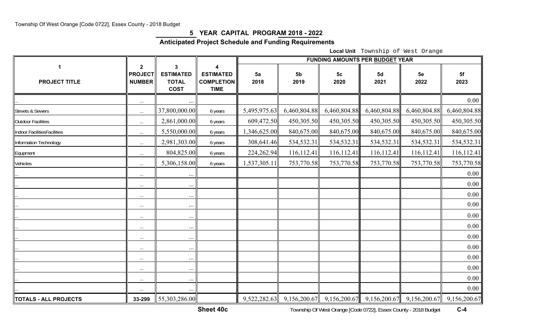## **5 YEAR CAPITAL PROGRAM 2018 - 2022**

## **Anticipated Project Schedule and Funding Requirements**

**Local Unit** Township of West Orange

|                             |                                          |                                                      |                                                           | <b>FUNDING AMOUNTS PER BUDGET YEAR</b> |                        |                                                             |              |              |                               |  |  |
|-----------------------------|------------------------------------------|------------------------------------------------------|-----------------------------------------------------------|----------------------------------------|------------------------|-------------------------------------------------------------|--------------|--------------|-------------------------------|--|--|
| <b>PROJECT TITLE</b>        | $\mathbf{2}$<br><b>PROJECT</b><br>NUMBER | 3<br><b>ESTIMATED</b><br><b>TOTAL</b><br><b>COST</b> | 4<br><b>ESTIMATED</b><br><b>COMPLETION</b><br><b>TIME</b> | 5a<br>2018                             | 5 <sub>b</sub><br>2019 | 5 <sub>c</sub><br>2020                                      | 5d<br>2021   | 5e<br>2022   | 5f<br>2023                    |  |  |
|                             | $\cdots$                                 |                                                      |                                                           |                                        |                        |                                                             |              |              | 0.00                          |  |  |
| <b>Streets &amp; Sewers</b> | $\ldots$                                 | 37,800,000.00                                        | 6 years                                                   | 5,495,975.63                           | 6,460,804.88           | 6,460,804.88                                                | 6,460,804.88 | 6,460,804.88 | 6,460,804.88                  |  |  |
| Outdoor Facilities          | $\ldots$                                 | 2,861,000.00                                         | 6 years                                                   | 609,472.50                             | 450,305.50             | 450,305.50                                                  | 450,305.50   | 450,305.50   | 450,305.50                    |  |  |
| Indoor FacilitiesFacilities | $\ldots$                                 | 5,550,000.00                                         | 6 years                                                   | 1,346,625.00                           | 840,675.00             | 840,675.00                                                  | 840,675.00   | 840,675.00   | 840,675.00                    |  |  |
| Information Technology      | $\ldots$                                 | 2,981,303.00                                         | 6 years                                                   | 308,641.46                             | 534,532.31             | 534,532.31                                                  | 534,532.31   | 534,532.31   | 534,532.31                    |  |  |
| Equpment                    | $\ldots$                                 | 804,825.00                                           | 6 years                                                   | 224,262.94                             | 116,112.41             | 116, 112.41                                                 | 116, 112.41  | 116,112.41   | 116, 112.41                   |  |  |
| Vehicles                    | $\ldots$                                 | 5,306,158.00                                         | 6 years                                                   | 1,537,305.11                           | 753,770.58             | 753,770.58                                                  | 753,770.58   | 753,770.58   | 753,770.58                    |  |  |
|                             | $\cdots$                                 | $\cdots$                                             |                                                           |                                        |                        |                                                             |              |              | 0.00                          |  |  |
|                             | $\ldots$                                 | $\cdots$                                             |                                                           |                                        |                        |                                                             |              |              | 0.00                          |  |  |
|                             | $\ldots$                                 | $\cdots$                                             |                                                           |                                        |                        |                                                             |              |              | 0.00                          |  |  |
|                             | $\ldots$                                 | $\cdots$                                             |                                                           |                                        |                        |                                                             |              |              | 0.00                          |  |  |
|                             | $\ldots$                                 | $\cdots$                                             |                                                           |                                        |                        |                                                             |              |              | 0.00                          |  |  |
|                             | $\cdots$                                 | $\cdots$                                             |                                                           |                                        |                        |                                                             |              |              | 0.00                          |  |  |
|                             | $\ldots$                                 | $\cdots$                                             |                                                           |                                        |                        |                                                             |              |              | 0.00                          |  |  |
|                             | $\ldots$                                 | $\cdots$                                             |                                                           |                                        |                        |                                                             |              |              | 0.00                          |  |  |
|                             | $\cdots$                                 | $\cdots$                                             |                                                           |                                        |                        |                                                             |              |              | 0.00                          |  |  |
|                             | $\ldots$                                 | $\cdots$                                             |                                                           |                                        |                        |                                                             |              |              | 0.00                          |  |  |
|                             | $\cdots$                                 | $\cdots$                                             |                                                           |                                        |                        |                                                             |              |              | 0.00                          |  |  |
|                             | $\ldots$                                 |                                                      |                                                           |                                        |                        |                                                             |              |              | 0.00                          |  |  |
| TOTALS - ALL PROJECTS       | 33-299                                   | 55,303,286.00                                        |                                                           |                                        |                        | $9,522,282.63$ $9,156,200.67$ $9,156,200.67$ $9,156,200.67$ |              |              | $9,156,200.67$ $9,156,200.67$ |  |  |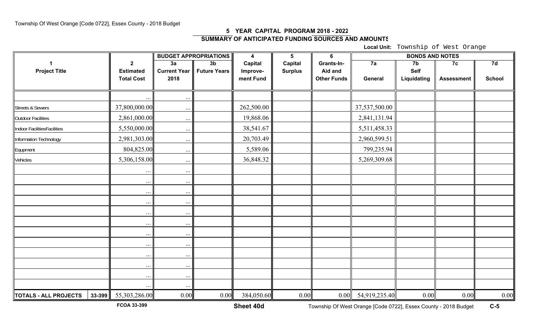## **5 YEAR CAPITAL PROGRAM 2018 - 202 2SUMMARY OF ANTICIPATED FUNDING SOURCES AND AMOUNT S**

**Local Unit:** Township of West Orange

|                                 |                   |                     | <b>BUDGET APPROPRIATIONS</b> | $\boldsymbol{4}$ | $5\phantom{1}$ | $6\phantom{1}$     | <b>BONDS AND NOTES</b> |                |                   |               |
|---------------------------------|-------------------|---------------------|------------------------------|------------------|----------------|--------------------|------------------------|----------------|-------------------|---------------|
|                                 | $\overline{2}$    | 3a                  | 3 <sub>b</sub>               | <b>Capital</b>   | Capital        | Grants-In-         | 7a                     | 7 <sub>b</sub> | 7c                | 7d            |
| <b>Project Title</b>            | <b>Estimated</b>  | <b>Current Year</b> | <b>Future Years</b>          | Improve-         | <b>Surplus</b> | Aid and            |                        | <b>Self</b>    |                   |               |
|                                 | <b>Total Cost</b> | 2018                |                              | ment Fund        |                | <b>Other Funds</b> | General                | Liquidating    | <b>Assessment</b> | <b>School</b> |
|                                 |                   |                     |                              |                  |                |                    |                        |                |                   |               |
|                                 | $\cdots$          | $\cdots$            |                              |                  |                |                    |                        |                |                   |               |
| <b>Streets &amp; Sewers</b>     | 37,800,000.00     | $\cdots$            |                              | 262,500.00       |                |                    | 37,537,500.00          |                |                   |               |
| <b>Outdoor Facilities</b>       | 2,861,000.00      | $\cdots$            |                              | 19,868.06        |                |                    | 2,841,131.94           |                |                   |               |
| Indoor FacilitiesFacilities     | 5,550,000.00      | $\cdots$            |                              | 38,541.67        |                |                    | 5,511,458.33           |                |                   |               |
| Information Technology          | 2,981,303.00      | $\cdots$            |                              | 20,703.49        |                |                    | 2,960,599.51           |                |                   |               |
| Equpment                        | 804,825.00        | $\cdots$            |                              | 5,589.06         |                |                    | 799,235.94             |                |                   |               |
| Vehicles                        | 5,306,158.00      | $\cdots$            |                              | 36,848.32        |                |                    | 5,269,309.68           |                |                   |               |
|                                 | $\cdots$          | $\cdots$            |                              |                  |                |                    |                        |                |                   |               |
|                                 | $\cdots$          | $\ldots$            |                              |                  |                |                    |                        |                |                   |               |
|                                 | $\cdots$          | $\cdots$            |                              |                  |                |                    |                        |                |                   |               |
|                                 | $\cdots$          | $\cdots$            |                              |                  |                |                    |                        |                |                   |               |
|                                 | $\ldots$          | $\cdots$            |                              |                  |                |                    |                        |                |                   |               |
|                                 | $\cdots$          | $\cdots$            |                              |                  |                |                    |                        |                |                   |               |
|                                 | $\cdots$          | $\ldots$            |                              |                  |                |                    |                        |                |                   |               |
|                                 | $\cdots$          | $\cdots$            |                              |                  |                |                    |                        |                |                   |               |
|                                 | $\cdots$          | $\cdots$            |                              |                  |                |                    |                        |                |                   |               |
|                                 | $\cdots$          | $\cdots$            |                              |                  |                |                    |                        |                |                   |               |
|                                 | $\cdots$          | $\cdots$            |                              |                  |                |                    |                        |                |                   |               |
|                                 | $\cdots$          | $\ldots$            |                              |                  |                |                    |                        |                |                   |               |
| TOTALS - ALL PROJECTS<br>33-399 | 55,303,286.00     | 0.00                | 0.00                         | 384,050.60       | 0.00           | 0.00               | 54,919,235.40          | 0.00           | 0.00              | $0.00\,$      |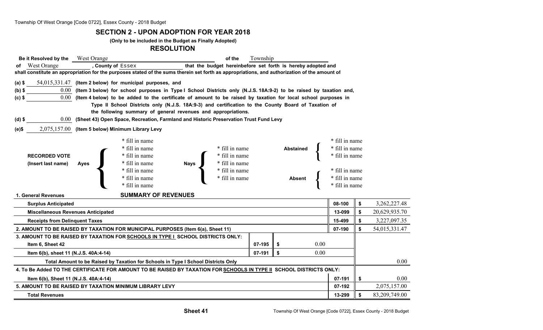#### **SECTION 2 - UPON ADOPTION FOR YEAR 2018**

**(Only to be included in the Budget as Finally Adopted)**

#### **RESOLUTION**

| Be it Resolved by the West Orange                                                                                   |                                                                                                                                               | of the                                                                                                                 | Township |                  |  |                |    |               |  |  |  |  |  |
|---------------------------------------------------------------------------------------------------------------------|-----------------------------------------------------------------------------------------------------------------------------------------------|------------------------------------------------------------------------------------------------------------------------|----------|------------------|--|----------------|----|---------------|--|--|--|--|--|
| <b>West Orange</b>                                                                                                  | , County of Essex                                                                                                                             | that the budget hereinbefore set forth is hereby adopted and                                                           |          |                  |  |                |    |               |  |  |  |  |  |
|                                                                                                                     | shall constitute an appropriation for the purposes stated of the sums therein set forth as appropriations, and authorization of the amount of |                                                                                                                        |          |                  |  |                |    |               |  |  |  |  |  |
| $(a)$ \$                                                                                                            | 54,015,331.47 (Item 2 below) for municipal purposes, and                                                                                      |                                                                                                                        |          |                  |  |                |    |               |  |  |  |  |  |
| $(b)$ \$                                                                                                            |                                                                                                                                               | 0.00 (Item 3 below) for school purposes in Type I School Districts only (N.J.S. 18A:9-2) to be raised by taxation and, |          |                  |  |                |    |               |  |  |  |  |  |
| $(c)$ \$                                                                                                            |                                                                                                                                               | 0.00 (Item 4 below) to be added to the certificate of amount to be raised by taxation for local school purposes in     |          |                  |  |                |    |               |  |  |  |  |  |
|                                                                                                                     | Type II School Districts only (N.J.S. 18A:9-3) and certification to the County Board of Taxation of                                           |                                                                                                                        |          |                  |  |                |    |               |  |  |  |  |  |
|                                                                                                                     | the following summary of general revenues and appropriations.                                                                                 |                                                                                                                        |          |                  |  |                |    |               |  |  |  |  |  |
| $(d)$ \$                                                                                                            | 0.00 (Sheet 43) Open Space, Recreation, Farmland and Historic Preservation Trust Fund Levy                                                    |                                                                                                                        |          |                  |  |                |    |               |  |  |  |  |  |
| (e)\$                                                                                                               | 2,075,157.00 (Item 5 below) Minimum Library Levy                                                                                              |                                                                                                                        |          |                  |  |                |    |               |  |  |  |  |  |
|                                                                                                                     | * fill in name                                                                                                                                |                                                                                                                        |          |                  |  | * fill in name |    |               |  |  |  |  |  |
|                                                                                                                     | * fill in name                                                                                                                                | * fill in name                                                                                                         |          | <b>Abstained</b> |  | * fill in name |    |               |  |  |  |  |  |
| <b>RECORDED VOTE</b>                                                                                                | * fill in name                                                                                                                                | * fill in name                                                                                                         |          |                  |  | * fill in name |    |               |  |  |  |  |  |
| (Insert last name)                                                                                                  | * fill in name<br><b>Ayes</b>                                                                                                                 | Nays<br>* fill in name                                                                                                 |          |                  |  |                |    |               |  |  |  |  |  |
|                                                                                                                     | * fill in name                                                                                                                                | * fill in name                                                                                                         |          |                  |  | * fill in name |    |               |  |  |  |  |  |
|                                                                                                                     | * fill in name                                                                                                                                | * fill in name                                                                                                         |          | <b>Absent</b>    |  | * fill in name |    |               |  |  |  |  |  |
|                                                                                                                     | * fill in name                                                                                                                                |                                                                                                                        |          |                  |  | * fill in name |    |               |  |  |  |  |  |
| 1. General Revenues                                                                                                 | <b>SUMMARY OF REVENUES</b>                                                                                                                    |                                                                                                                        |          |                  |  |                |    |               |  |  |  |  |  |
| <b>Surplus Anticipated</b>                                                                                          |                                                                                                                                               |                                                                                                                        |          |                  |  | 08-100         | \$ | 3,262,227.48  |  |  |  |  |  |
| <b>Miscellaneous Revenues Anticipated</b>                                                                           |                                                                                                                                               |                                                                                                                        |          |                  |  | 13-099         | \$ | 20,629,935.70 |  |  |  |  |  |
| <b>Receipts from Delinguent Taxes</b>                                                                               |                                                                                                                                               |                                                                                                                        |          |                  |  | 15-499         | \$ | 3,227,097.35  |  |  |  |  |  |
|                                                                                                                     | 2. AMOUNT TO BE RAISED BY TAXATION FOR MUNICIPAL PURPOSES (Item 6(a), Sheet 11)                                                               |                                                                                                                        |          |                  |  | 07-190         | \$ | 54,015,331.47 |  |  |  |  |  |
|                                                                                                                     | 3. AMOUNT TO BE RAISED BY TAXATION FOR SCHOOLS IN TYPE I SCHOOL DISTRICTS ONLY:                                                               |                                                                                                                        |          |                  |  |                |    |               |  |  |  |  |  |
| 07-195<br>Item 6, Sheet 42<br>-\$                                                                                   |                                                                                                                                               |                                                                                                                        |          |                  |  |                |    |               |  |  |  |  |  |
| 07-191<br>\$<br>0.00<br>Item 6(b), sheet 11 (N.J.S. 40A:4-14)                                                       |                                                                                                                                               |                                                                                                                        |          |                  |  |                |    |               |  |  |  |  |  |
| Total Amount to be Raised by Taxation for Schools in Type I School Districts Only                                   |                                                                                                                                               |                                                                                                                        |          |                  |  |                |    |               |  |  |  |  |  |
| 4. To Be Added TO THE CERTIFICATE FOR AMOUNT TO BE RAISED BY TAXATION FOR SCHOOLS IN TYPE II SCHOOL DISTRICTS ONLY: |                                                                                                                                               |                                                                                                                        |          |                  |  |                |    |               |  |  |  |  |  |
|                                                                                                                     | 07-191<br>\$<br>Item 6(b), Sheet 11 (N.J.S. 40A:4-14)                                                                                         |                                                                                                                        |          |                  |  |                |    |               |  |  |  |  |  |
|                                                                                                                     | 5. AMOUNT TO BE RAISED BY TAXATION MINIMUM LIBRARY LEVY                                                                                       |                                                                                                                        |          |                  |  | 07-192         |    | 2,075,157.00  |  |  |  |  |  |
| <b>Total Revenues</b>                                                                                               |                                                                                                                                               |                                                                                                                        |          |                  |  | 13-299         | \$ | 83,209,749.00 |  |  |  |  |  |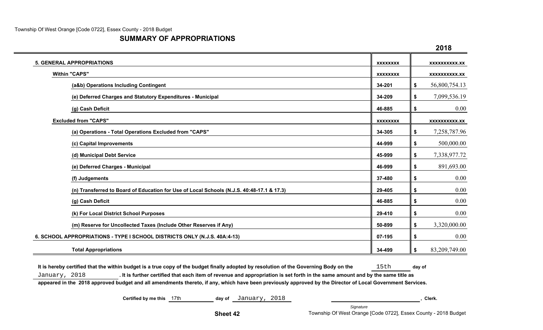$\overline{\phantom{a}}$ 

### **SUMMARY OF APPROPRIATIONS**

|                                                                                           |                 | 2018                 |
|-------------------------------------------------------------------------------------------|-----------------|----------------------|
| <b>5. GENERAL APPROPRIATIONS</b>                                                          | <b>XXXXXXXX</b> | XXXXXXXXXX.XX        |
| <b>Within "CAPS"</b>                                                                      | <b>XXXXXXXX</b> | <b>XXXXXXXXXX.XX</b> |
| (a&b) Operations Including Contingent                                                     | 34-201          | \$<br>56,800,754.13  |
| (e) Deferred Charges and Statutory Expenditures - Municipal                               | 34-209          | \$<br>7,099,536.19   |
| (g) Cash Deficit                                                                          | 46-885          | \$<br>0.00           |
| <b>Excluded from "CAPS"</b>                                                               | <b>XXXXXXXX</b> | <b>XXXXXXXXXX.XX</b> |
| (a) Operations - Total Operations Excluded from "CAPS"                                    | 34-305          | \$<br>7,258,787.96   |
| (c) Capital Improvements                                                                  | 44-999          | \$<br>500,000.00     |
| (d) Municipal Debt Service                                                                | 45-999          | \$<br>7,338,977.72   |
| (e) Deferred Charges - Municipal                                                          | 46-999          | \$<br>891,693.00     |
| (f) Judgements                                                                            | 37-480          | \$<br>0.00           |
| (n) Transferred to Board of Education for Use of Local Schools (N.J.S. 40:48-17.1 & 17.3) | 29-405          | \$<br>0.00           |
| (g) Cash Deficit                                                                          | 46-885          | \$<br>0.00           |
| (k) For Local District School Purposes                                                    | 29-410          | \$<br>0.00           |
| (m) Reserve for Uncollected Taxes (Include Other Reserves if Any)                         | 50-899          | \$<br>3,320,000.00   |
| 6. SCHOOL APPROPRIATIONS - TYPE I SCHOOL DISTRICTS ONLY (N.J.S. 40A:4-13)                 | 07-195          | \$<br>0.00           |
| <b>Total Appropriations</b>                                                               | 34-499          | \$<br>83,209,749.00  |

It is hereby certified that the within budget is a true copy of the budget finally adopted by resolution of the Governing Body on the **15th** day of January, 2018 **. It is further certified that each item of revenue and appropriation is set forth in the same amount and by the same title as**

**appeared in the 2018 approved budget and all amendments thereto, if any, which have been previously approved by the Director of Local Government Services.**

**Certified by me this** 17th **day of** January, 2018 **, Clerk.**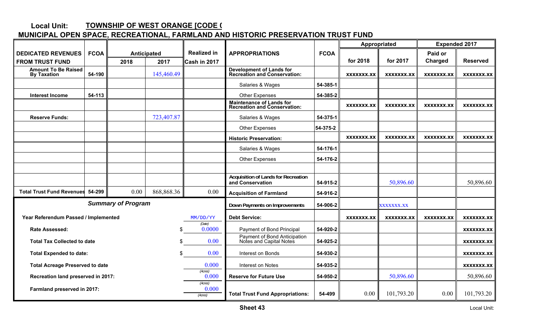#### **Local Unit: MUNICIPAL OPEN SPACE, RECREATIONAL, FARMLAND AND HISTORIC PRESERVATION TRUST FUND TOWNSHIP OF WEST ORANGE [CODE 0**

|                                                        |             |                           |              |                             |                                                                  |             | Appropriated      |                   | <b>Expended 2017</b> |                   |
|--------------------------------------------------------|-------------|---------------------------|--------------|-----------------------------|------------------------------------------------------------------|-------------|-------------------|-------------------|----------------------|-------------------|
| <b>DEDICATED REVENUES</b>                              | <b>FCOA</b> | Anticipated               |              | <b>Realized in</b>          | <b>APPROPRIATIONS</b>                                            | <b>FCOA</b> |                   |                   | Paid or              |                   |
| <b>FROM TRUST FUND</b>                                 |             | 2018                      | 2017         | Cash in 2017                |                                                                  |             | for 2018          | for 2017          | Charged              | <b>Reserved</b>   |
| <b>Amount To Be Raised</b><br><b>By Taxation</b>       | 54-190      |                           | 145,460.49   |                             | <b>Development of Lands for<br/>Recreation and Conservation:</b> |             | XXXXXXX.XX        | <b>XXXXXXX.XX</b> | XXXXXXX.XX           | XXXXXXX.XX        |
|                                                        |             |                           |              |                             | Salaries & Wages                                                 | 54-385-1    |                   |                   |                      |                   |
| <b>Interest Income</b>                                 | 54-113      |                           |              |                             | <b>Other Expenses</b>                                            | 54-385-2    |                   |                   |                      |                   |
|                                                        |             |                           |              |                             | Maintenance of Lands for<br><b>Recreation and Conservation:</b>  |             | <b>XXXXXXX.XX</b> | XXXXXXX.XX        | <b>XXXXXXX.XX</b>    | XXXXXXX.XX        |
| <b>Reserve Funds:</b>                                  |             |                           | 723,407.87   |                             | Salaries & Wages                                                 | 54-375-1    |                   |                   |                      |                   |
|                                                        |             |                           |              |                             | <b>Other Expenses</b>                                            | 54-375-2    |                   |                   |                      |                   |
|                                                        |             |                           |              |                             | <b>Historic Preservation:</b>                                    |             | <b>XXXXXXX.XX</b> | XXXXXXX.XX        | XXXXXXX.XX           | XXXXXXX.XX        |
|                                                        |             |                           |              |                             | Salaries & Wages                                                 | 54-176-1    |                   |                   |                      |                   |
|                                                        |             |                           |              |                             | <b>Other Expenses</b>                                            | 54-176-2    |                   |                   |                      |                   |
|                                                        |             |                           |              |                             |                                                                  |             |                   |                   |                      |                   |
|                                                        |             |                           |              |                             | <b>Acquisition of Lands for Recreation</b><br>and Conservation   | 54-915-2    |                   | 50,896.60         |                      | 50,896.60         |
| <b>Total Trust Fund Revenues</b>                       | 54-299      | 0.00                      | 868, 868. 36 | 0.00                        | <b>Acquisition of Farmland</b>                                   | 54-916-2    |                   |                   |                      |                   |
|                                                        |             | <b>Summary of Program</b> |              |                             | Down Payments on Improvements                                    | 54-906-2    |                   | <b>XXXXXXX.XX</b> |                      |                   |
| Year Referendum Passed / Implemented                   |             |                           |              | MM/DD/YY                    | <b>Debt Service:</b>                                             |             | <b>XXXXXXX.XX</b> | XXXXXXX.XX        | XXXXXXX.XX           | XXXXXXX.XX        |
| <b>Rate Assessed:</b>                                  |             |                           | \$           | (Date)<br>0.0000            | Payment of Bond Principal                                        | 54-920-2    |                   |                   |                      | <b>XXXXXXX.XX</b> |
| <b>Total Tax Collected to date</b>                     |             |                           |              | 0.00                        | Payment of Bond Anticipation<br>Notes and Capital Notes          | 54-925-2    |                   |                   |                      | XXXXXXX.XX        |
| <b>Total Expended to date:</b>                         |             |                           | 0.00         | Interest on Bonds           | 54-930-2                                                         |             |                   |                   | XXXXXXX.XX           |                   |
| <b>Total Acreage Preserved to date</b>                 |             |                           |              | 0.000                       | Interest on Notes                                                | 54-935-2    |                   |                   |                      | XXXXXXX.XX        |
| (Acres)<br>0.000<br>Recreation land preserved in 2017: |             |                           |              |                             | <b>Reserve for Future Use</b>                                    | 54-950-2    |                   | 50,896.60         |                      | 50,896.60         |
| Farmland preserved in 2017:                            |             |                           |              | (Acres)<br>0.000<br>(Acres) | <b>Total Trust Fund Appropriations:</b>                          | 54-499      | 0.00              | 101,793.20        | 0.00                 | 101,793.20        |